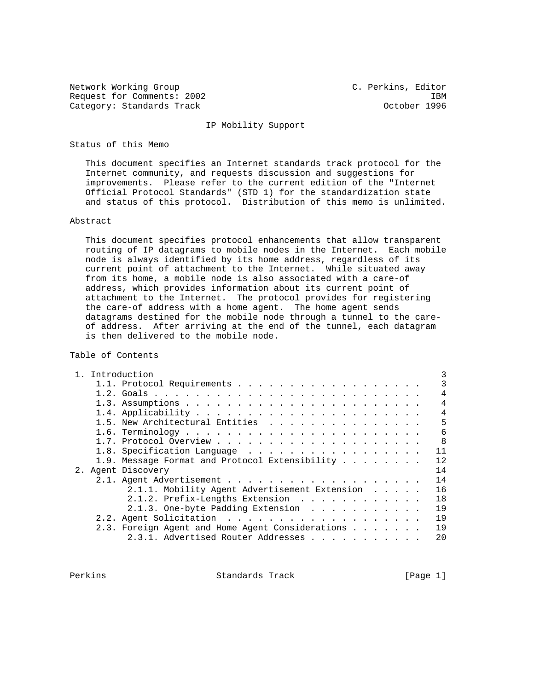Network Working Group C. Perkins, Editor Request for Comments: 2002 **IBM** Category: Standards Track Category: Standards Track Category: October 1996

## IP Mobility Support

Status of this Memo

 This document specifies an Internet standards track protocol for the Internet community, and requests discussion and suggestions for improvements. Please refer to the current edition of the "Internet Official Protocol Standards" (STD 1) for the standardization state and status of this protocol. Distribution of this memo is unlimited.

# Abstract

 This document specifies protocol enhancements that allow transparent routing of IP datagrams to mobile nodes in the Internet. Each mobile node is always identified by its home address, regardless of its current point of attachment to the Internet. While situated away from its home, a mobile node is also associated with a care-of address, which provides information about its current point of attachment to the Internet. The protocol provides for registering the care-of address with a home agent. The home agent sends datagrams destined for the mobile node through a tunnel to the care of address. After arriving at the end of the tunnel, each datagram is then delivered to the mobile node.

# Table of Contents

|  | 1. Introduction                                  | 3              |
|--|--------------------------------------------------|----------------|
|  | 1.1. Protocol Requirements                       | 3              |
|  |                                                  | 4              |
|  |                                                  | 4              |
|  |                                                  | $\overline{4}$ |
|  | 1.5. New Architectural Entities                  | 5              |
|  |                                                  | 6              |
|  |                                                  | $\mathsf{R}$   |
|  | 1.8. Specification Language                      | 11             |
|  | 1.9. Message Format and Protocol Extensibility   | 12             |
|  | 2. Agent Discovery                               | 14             |
|  |                                                  | 14             |
|  | 2.1.1. Mobility Agent Advertisement Extension    | 16             |
|  | 2.1.2. Prefix-Lengths Extension                  | 18             |
|  | 2.1.3. One-byte Padding Extension                | 19             |
|  |                                                  | 19             |
|  | 2.3. Foreign Agent and Home Agent Considerations | 19             |
|  | 2.3.1. Advertised Router Addresses               | 20             |

Perkins **Standards Track** [Page 1]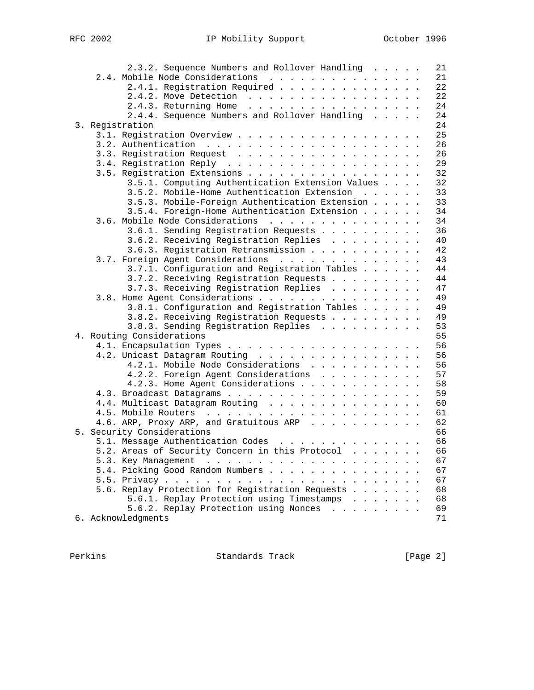| 2.3.2. Sequence Numbers and Rollover Handling    | 21 |
|--------------------------------------------------|----|
| 2.4. Mobile Node Considerations                  | 21 |
| 2.4.1. Registration Required                     | 22 |
| 2.4.2. Move Detection                            | 22 |
| 2.4.3. Returning Home                            | 24 |
| 2.4.4. Sequence Numbers and Rollover Handling    | 24 |
| 3. Registration                                  | 24 |
|                                                  | 25 |
|                                                  | 26 |
|                                                  | 26 |
|                                                  | 29 |
| 3.5. Registration Extensions                     | 32 |
| 3.5.1. Computing Authentication Extension Values | 32 |
| 3.5.2. Mobile-Home Authentication Extension      | 33 |
| 3.5.3. Mobile-Foreign Authentication Extension   | 33 |
| 3.5.4. Foreign-Home Authentication Extension     | 34 |
| 3.6. Mobile Node Considerations                  | 34 |
| 3.6.1. Sending Registration Requests             | 36 |
| 3.6.2. Receiving Registration Replies            | 40 |
| 3.6.3. Registration Retransmission               | 42 |
| 3.7. Foreign Agent Considerations                | 43 |
| 3.7.1. Configuration and Registration Tables     | 44 |
| 3.7.2. Receiving Registration Requests           | 44 |
| 3.7.3. Receiving Registration Replies            | 47 |
| 3.8. Home Agent Considerations                   | 49 |
| 3.8.1. Configuration and Registration Tables     | 49 |
| 3.8.2. Receiving Registration Requests           | 49 |
| 3.8.3. Sending Registration Replies              | 53 |
| 4. Routing Considerations                        | 55 |
|                                                  | 56 |
| 4.2. Unicast Datagram Routing                    | 56 |
| 4.2.1. Mobile Node Considerations                | 56 |
| 4.2.2. Foreign Agent Considerations              | 57 |
| 4.2.3. Home Agent Considerations                 | 58 |
|                                                  | 59 |
|                                                  | 60 |
| 4.4. Multicast Datagram Routing                  | 61 |
| 4.6. ARP, Proxy ARP, and Gratuitous ARP          | 62 |
|                                                  | 66 |
| 5. Security Considerations                       | 66 |
| 5.1. Message Authentication Codes                | 66 |
| 5.2. Areas of Security Concern in this Protocol  |    |
|                                                  | 67 |
| 5.4. Picking Good Random Numbers                 | 67 |
|                                                  | 67 |
| 5.6. Replay Protection for Registration Requests | 68 |
| 5.6.1. Replay Protection using Timestamps        | 68 |
| 5.6.2. Replay Protection using Nonces            | 69 |
| 6. Acknowledgments                               | 71 |

Perkins **Standards Track** [Page 2]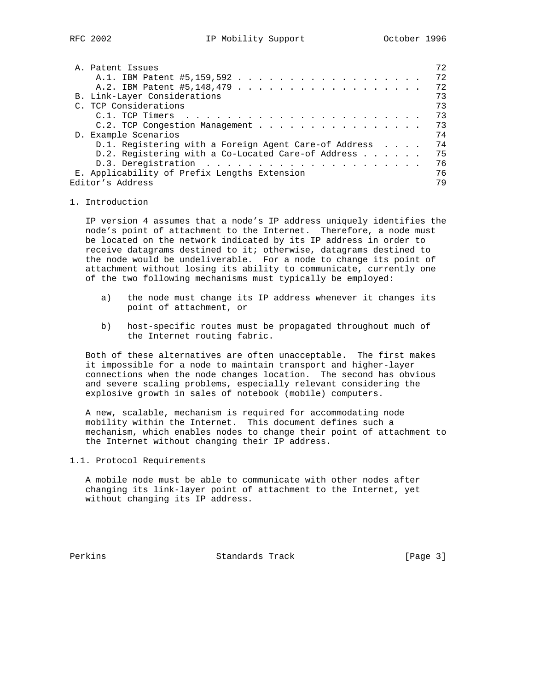| A. Patent Issues                                      | 72 |
|-------------------------------------------------------|----|
| A.1. IBM Patent #5,159,592                            | 72 |
|                                                       | 72 |
| B. Link-Layer Considerations                          | 73 |
| C. TCP Considerations                                 | 73 |
|                                                       | 73 |
| C.2. TCP Congestion Management                        | 73 |
| D. Example Scenarios                                  | 74 |
| D.1. Registering with a Foreign Agent Care-of Address | 74 |
| D.2. Registering with a Co-Located Care-of Address    | 75 |
|                                                       | 76 |
| E. Applicability of Prefix Lengths Extension          | 76 |
| Editor's Address                                      | 79 |
|                                                       |    |

#### 1. Introduction

 IP version 4 assumes that a node's IP address uniquely identifies the node's point of attachment to the Internet. Therefore, a node must be located on the network indicated by its IP address in order to receive datagrams destined to it; otherwise, datagrams destined to the node would be undeliverable. For a node to change its point of attachment without losing its ability to communicate, currently one of the two following mechanisms must typically be employed:

- a) the node must change its IP address whenever it changes its point of attachment, or
- b) host-specific routes must be propagated throughout much of the Internet routing fabric.

 Both of these alternatives are often unacceptable. The first makes it impossible for a node to maintain transport and higher-layer connections when the node changes location. The second has obvious and severe scaling problems, especially relevant considering the explosive growth in sales of notebook (mobile) computers.

 A new, scalable, mechanism is required for accommodating node mobility within the Internet. This document defines such a mechanism, which enables nodes to change their point of attachment to the Internet without changing their IP address.

1.1. Protocol Requirements

 A mobile node must be able to communicate with other nodes after changing its link-layer point of attachment to the Internet, yet without changing its IP address.

Perkins **Example 2** Standards Track **Example 2** [Page 3]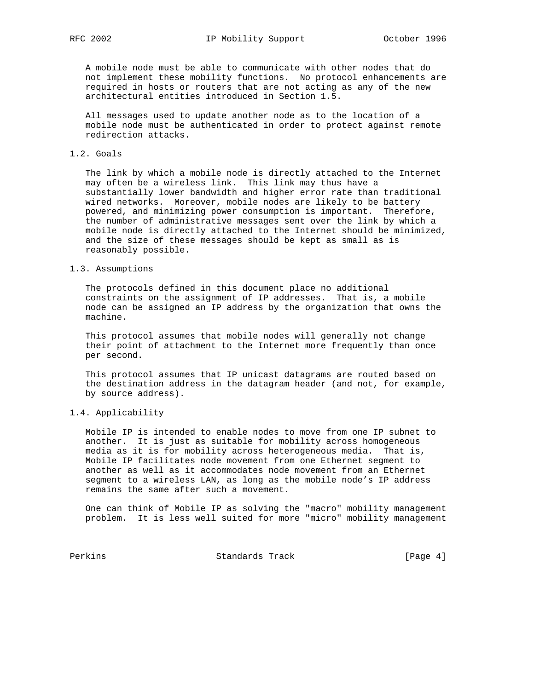A mobile node must be able to communicate with other nodes that do not implement these mobility functions. No protocol enhancements are required in hosts or routers that are not acting as any of the new architectural entities introduced in Section 1.5.

 All messages used to update another node as to the location of a mobile node must be authenticated in order to protect against remote redirection attacks.

## 1.2. Goals

 The link by which a mobile node is directly attached to the Internet may often be a wireless link. This link may thus have a substantially lower bandwidth and higher error rate than traditional wired networks. Moreover, mobile nodes are likely to be battery powered, and minimizing power consumption is important. Therefore, the number of administrative messages sent over the link by which a mobile node is directly attached to the Internet should be minimized, and the size of these messages should be kept as small as is reasonably possible.

## 1.3. Assumptions

 The protocols defined in this document place no additional constraints on the assignment of IP addresses. That is, a mobile node can be assigned an IP address by the organization that owns the machine.

 This protocol assumes that mobile nodes will generally not change their point of attachment to the Internet more frequently than once per second.

 This protocol assumes that IP unicast datagrams are routed based on the destination address in the datagram header (and not, for example, by source address).

# 1.4. Applicability

 Mobile IP is intended to enable nodes to move from one IP subnet to another. It is just as suitable for mobility across homogeneous media as it is for mobility across heterogeneous media. That is, Mobile IP facilitates node movement from one Ethernet segment to another as well as it accommodates node movement from an Ethernet segment to a wireless LAN, as long as the mobile node's IP address remains the same after such a movement.

 One can think of Mobile IP as solving the "macro" mobility management problem. It is less well suited for more "micro" mobility management

Perkins Standards Track [Page 4]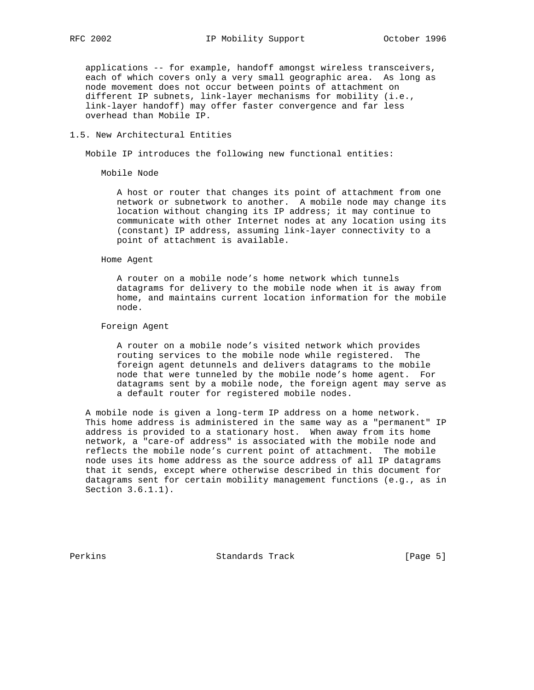applications -- for example, handoff amongst wireless transceivers, each of which covers only a very small geographic area. As long as node movement does not occur between points of attachment on different IP subnets, link-layer mechanisms for mobility (i.e., link-layer handoff) may offer faster convergence and far less overhead than Mobile IP.

### 1.5. New Architectural Entities

Mobile IP introduces the following new functional entities:

Mobile Node

 A host or router that changes its point of attachment from one network or subnetwork to another. A mobile node may change its location without changing its IP address; it may continue to communicate with other Internet nodes at any location using its (constant) IP address, assuming link-layer connectivity to a point of attachment is available.

Home Agent

 A router on a mobile node's home network which tunnels datagrams for delivery to the mobile node when it is away from home, and maintains current location information for the mobile node.

Foreign Agent

 A router on a mobile node's visited network which provides routing services to the mobile node while registered. The foreign agent detunnels and delivers datagrams to the mobile node that were tunneled by the mobile node's home agent. For datagrams sent by a mobile node, the foreign agent may serve as a default router for registered mobile nodes.

 A mobile node is given a long-term IP address on a home network. This home address is administered in the same way as a "permanent" IP address is provided to a stationary host. When away from its home network, a "care-of address" is associated with the mobile node and reflects the mobile node's current point of attachment. The mobile node uses its home address as the source address of all IP datagrams that it sends, except where otherwise described in this document for datagrams sent for certain mobility management functions (e.g., as in Section 3.6.1.1).

Perkins **Example 2** Standards Track **Example 2** [Page 5]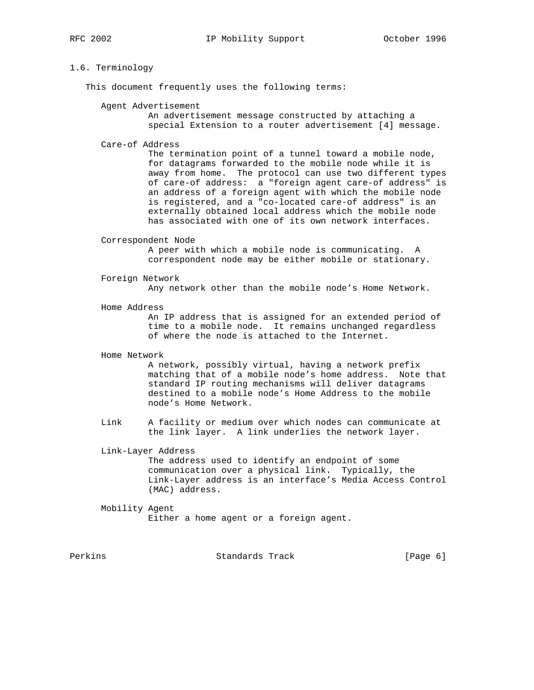# 1.6. Terminology

This document frequently uses the following terms:

Agent Advertisement

 An advertisement message constructed by attaching a special Extension to a router advertisement [4] message.

Care-of Address

 The termination point of a tunnel toward a mobile node, for datagrams forwarded to the mobile node while it is away from home. The protocol can use two different types of care-of address: a "foreign agent care-of address" is an address of a foreign agent with which the mobile node is registered, and a "co-located care-of address" is an externally obtained local address which the mobile node has associated with one of its own network interfaces.

#### Correspondent Node

 A peer with which a mobile node is communicating. A correspondent node may be either mobile or stationary.

#### Foreign Network

Any network other than the mobile node's Home Network.

Home Address

 An IP address that is assigned for an extended period of time to a mobile node. It remains unchanged regardless of where the node is attached to the Internet.

Home Network

 A network, possibly virtual, having a network prefix matching that of a mobile node's home address. Note that standard IP routing mechanisms will deliver datagrams destined to a mobile node's Home Address to the mobile node's Home Network.

 Link A facility or medium over which nodes can communicate at the link layer. A link underlies the network layer.

## Link-Layer Address

 The address used to identify an endpoint of some communication over a physical link. Typically, the Link-Layer address is an interface's Media Access Control (MAC) address.

## Mobility Agent Either a home agent or a foreign agent.

Perkins **Example 2** Standards Track **Perkins** [Page 6]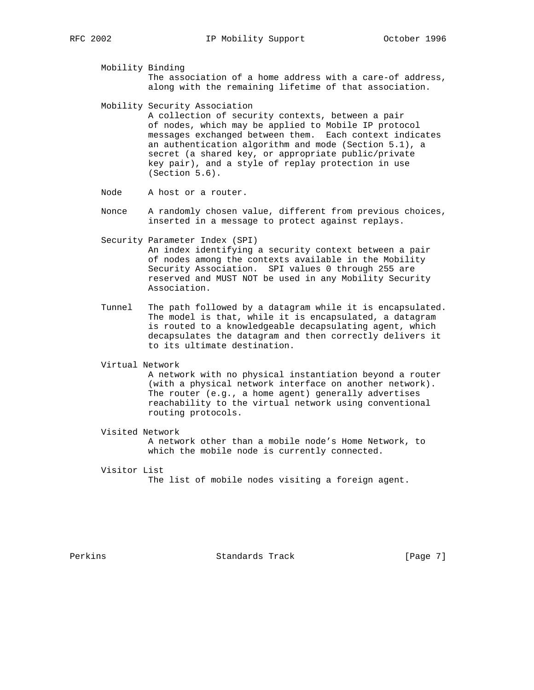Mobility Binding The association of a home address with a care-of address, along with the remaining lifetime of that association.

Mobility Security Association

 A collection of security contexts, between a pair of nodes, which may be applied to Mobile IP protocol messages exchanged between them. Each context indicates an authentication algorithm and mode (Section 5.1), a secret (a shared key, or appropriate public/private key pair), and a style of replay protection in use (Section 5.6).

Node A host or a router.

Association.

- Nonce A randomly chosen value, different from previous choices, inserted in a message to protect against replays.
- Security Parameter Index (SPI) An index identifying a security context between a pair of nodes among the contexts available in the Mobility Security Association. SPI values 0 through 255 are reserved and MUST NOT be used in any Mobility Security
- Tunnel The path followed by a datagram while it is encapsulated. The model is that, while it is encapsulated, a datagram is routed to a knowledgeable decapsulating agent, which decapsulates the datagram and then correctly delivers it to its ultimate destination.

#### Virtual Network

 A network with no physical instantiation beyond a router (with a physical network interface on another network). The router (e.g., a home agent) generally advertises reachability to the virtual network using conventional routing protocols.

Visited Network

 A network other than a mobile node's Home Network, to which the mobile node is currently connected.

Visitor List

The list of mobile nodes visiting a foreign agent.

Perkins **Example 2** Standards Track **Example 2** [Page 7]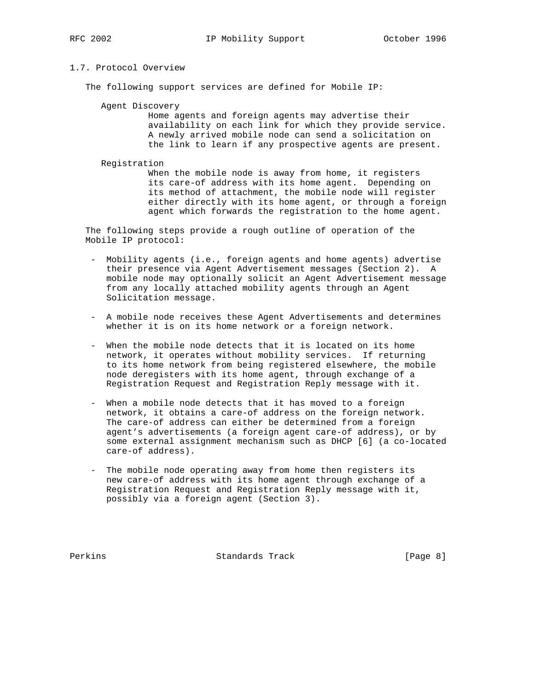# 1.7. Protocol Overview

The following support services are defined for Mobile IP:

Agent Discovery

 Home agents and foreign agents may advertise their availability on each link for which they provide service. A newly arrived mobile node can send a solicitation on the link to learn if any prospective agents are present.

Registration

 When the mobile node is away from home, it registers its care-of address with its home agent. Depending on its method of attachment, the mobile node will register either directly with its home agent, or through a foreign agent which forwards the registration to the home agent.

 The following steps provide a rough outline of operation of the Mobile IP protocol:

- Mobility agents (i.e., foreign agents and home agents) advertise their presence via Agent Advertisement messages (Section 2). A mobile node may optionally solicit an Agent Advertisement message from any locally attached mobility agents through an Agent Solicitation message.
- A mobile node receives these Agent Advertisements and determines whether it is on its home network or a foreign network.
- When the mobile node detects that it is located on its home network, it operates without mobility services. If returning to its home network from being registered elsewhere, the mobile node deregisters with its home agent, through exchange of a Registration Request and Registration Reply message with it.
- When a mobile node detects that it has moved to a foreign network, it obtains a care-of address on the foreign network. The care-of address can either be determined from a foreign agent's advertisements (a foreign agent care-of address), or by some external assignment mechanism such as DHCP [6] (a co-located care-of address).
- The mobile node operating away from home then registers its new care-of address with its home agent through exchange of a Registration Request and Registration Reply message with it, possibly via a foreign agent (Section 3).

Perkins **Example 2** Standards Track **Example 2** [Page 8]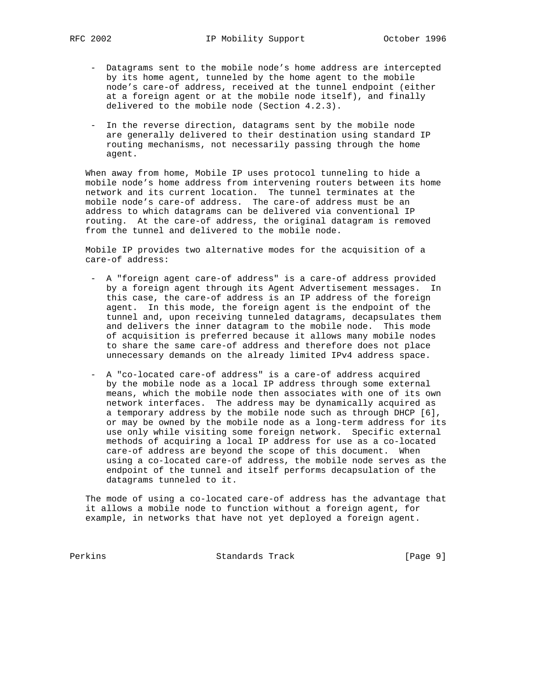- Datagrams sent to the mobile node's home address are intercepted by its home agent, tunneled by the home agent to the mobile node's care-of address, received at the tunnel endpoint (either at a foreign agent or at the mobile node itself), and finally delivered to the mobile node (Section 4.2.3).
- In the reverse direction, datagrams sent by the mobile node are generally delivered to their destination using standard IP routing mechanisms, not necessarily passing through the home agent.

 When away from home, Mobile IP uses protocol tunneling to hide a mobile node's home address from intervening routers between its home network and its current location. The tunnel terminates at the mobile node's care-of address. The care-of address must be an address to which datagrams can be delivered via conventional IP routing. At the care-of address, the original datagram is removed from the tunnel and delivered to the mobile node.

 Mobile IP provides two alternative modes for the acquisition of a care-of address:

- A "foreign agent care-of address" is a care-of address provided by a foreign agent through its Agent Advertisement messages. In this case, the care-of address is an IP address of the foreign agent. In this mode, the foreign agent is the endpoint of the tunnel and, upon receiving tunneled datagrams, decapsulates them and delivers the inner datagram to the mobile node. This mode of acquisition is preferred because it allows many mobile nodes to share the same care-of address and therefore does not place unnecessary demands on the already limited IPv4 address space.
- A "co-located care-of address" is a care-of address acquired by the mobile node as a local IP address through some external means, which the mobile node then associates with one of its own network interfaces. The address may be dynamically acquired as a temporary address by the mobile node such as through DHCP [6], or may be owned by the mobile node as a long-term address for its use only while visiting some foreign network. Specific external methods of acquiring a local IP address for use as a co-located care-of address are beyond the scope of this document. When using a co-located care-of address, the mobile node serves as the endpoint of the tunnel and itself performs decapsulation of the datagrams tunneled to it.

 The mode of using a co-located care-of address has the advantage that it allows a mobile node to function without a foreign agent, for example, in networks that have not yet deployed a foreign agent.

Perkins **Example 2018** Standards Track **Example 2018** [Page 9]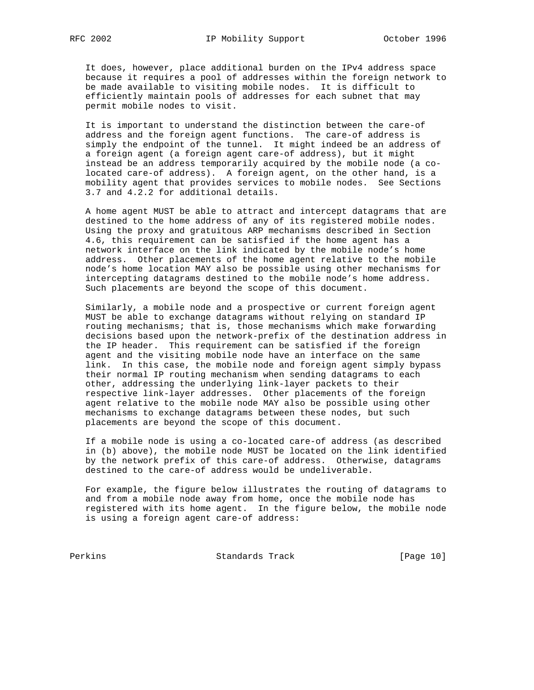It does, however, place additional burden on the IPv4 address space because it requires a pool of addresses within the foreign network to be made available to visiting mobile nodes. It is difficult to efficiently maintain pools of addresses for each subnet that may permit mobile nodes to visit.

 It is important to understand the distinction between the care-of address and the foreign agent functions. The care-of address is simply the endpoint of the tunnel. It might indeed be an address of a foreign agent (a foreign agent care-of address), but it might instead be an address temporarily acquired by the mobile node (a co located care-of address). A foreign agent, on the other hand, is a mobility agent that provides services to mobile nodes. See Sections 3.7 and 4.2.2 for additional details.

 A home agent MUST be able to attract and intercept datagrams that are destined to the home address of any of its registered mobile nodes. Using the proxy and gratuitous ARP mechanisms described in Section 4.6, this requirement can be satisfied if the home agent has a network interface on the link indicated by the mobile node's home address. Other placements of the home agent relative to the mobile node's home location MAY also be possible using other mechanisms for intercepting datagrams destined to the mobile node's home address. Such placements are beyond the scope of this document.

 Similarly, a mobile node and a prospective or current foreign agent MUST be able to exchange datagrams without relying on standard IP routing mechanisms; that is, those mechanisms which make forwarding decisions based upon the network-prefix of the destination address in the IP header. This requirement can be satisfied if the foreign agent and the visiting mobile node have an interface on the same link. In this case, the mobile node and foreign agent simply bypass their normal IP routing mechanism when sending datagrams to each other, addressing the underlying link-layer packets to their respective link-layer addresses. Other placements of the foreign agent relative to the mobile node MAY also be possible using other mechanisms to exchange datagrams between these nodes, but such placements are beyond the scope of this document.

 If a mobile node is using a co-located care-of address (as described in (b) above), the mobile node MUST be located on the link identified by the network prefix of this care-of address. Otherwise, datagrams destined to the care-of address would be undeliverable.

 For example, the figure below illustrates the routing of datagrams to and from a mobile node away from home, once the mobile node has registered with its home agent. In the figure below, the mobile node is using a foreign agent care-of address:

Perkins Standards Track [Page 10]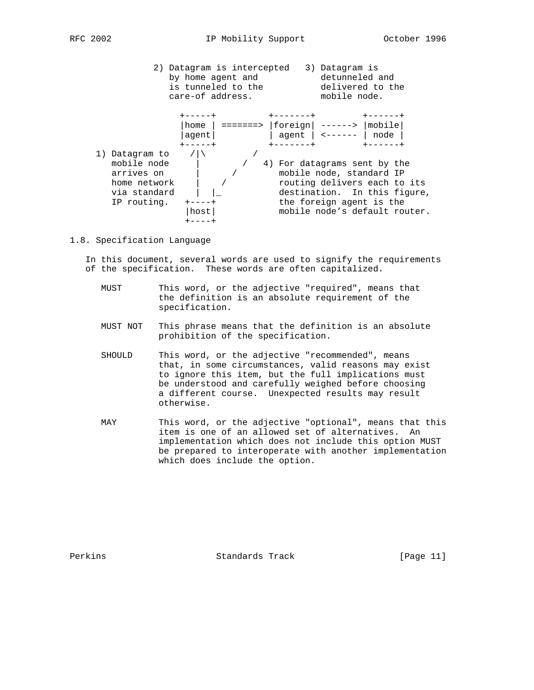



# 1.8. Specification Language

 In this document, several words are used to signify the requirements of the specification. These words are often capitalized.

- MUST This word, or the adjective "required", means that the definition is an absolute requirement of the specification.
- MUST NOT This phrase means that the definition is an absolute prohibition of the specification.
- SHOULD This word, or the adjective "recommended", means that, in some circumstances, valid reasons may exist to ignore this item, but the full implications must be understood and carefully weighed before choosing a different course. Unexpected results may result otherwise.
- MAY This word, or the adjective "optional", means that this item is one of an allowed set of alternatives. An implementation which does not include this option MUST be prepared to interoperate with another implementation which does include the option.

Perkins 6 (Page 11) Standards Track [Page 11]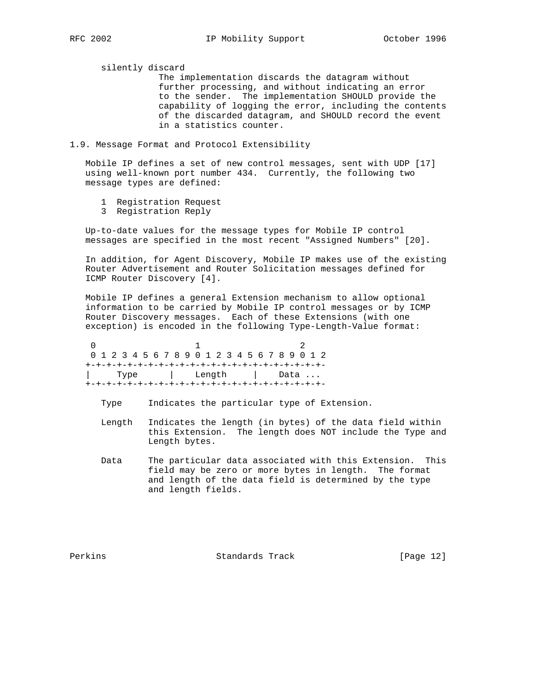silently discard

 The implementation discards the datagram without further processing, and without indicating an error to the sender. The implementation SHOULD provide the capability of logging the error, including the contents of the discarded datagram, and SHOULD record the event in a statistics counter.

#### 1.9. Message Format and Protocol Extensibility

 Mobile IP defines a set of new control messages, sent with UDP [17] using well-known port number 434. Currently, the following two message types are defined:

- 1 Registration Request
- 3 Registration Reply

 Up-to-date values for the message types for Mobile IP control messages are specified in the most recent "Assigned Numbers" [20].

 In addition, for Agent Discovery, Mobile IP makes use of the existing Router Advertisement and Router Solicitation messages defined for ICMP Router Discovery [4].

 Mobile IP defines a general Extension mechanism to allow optional information to be carried by Mobile IP control messages or by ICMP Router Discovery messages. Each of these Extensions (with one exception) is encoded in the following Type-Length-Value format:

| 0 1 2 3 4 5 6 7 8 9 0 1 2 3 4 5 6 7 8 9 0 1 2 |                      |  |  |  |  |  |  |  |  |  |  |
|-----------------------------------------------|----------------------|--|--|--|--|--|--|--|--|--|--|
|                                               |                      |  |  |  |  |  |  |  |  |  |  |
|                                               | Type   Length   Data |  |  |  |  |  |  |  |  |  |  |
|                                               |                      |  |  |  |  |  |  |  |  |  |  |

Type Indicates the particular type of Extension.

- Length Indicates the length (in bytes) of the data field within this Extension. The length does NOT include the Type and Length bytes.
- Data The particular data associated with this Extension. This field may be zero or more bytes in length. The format and length of the data field is determined by the type and length fields.

Perkins 6 (Page 12) Standards Track [Page 12]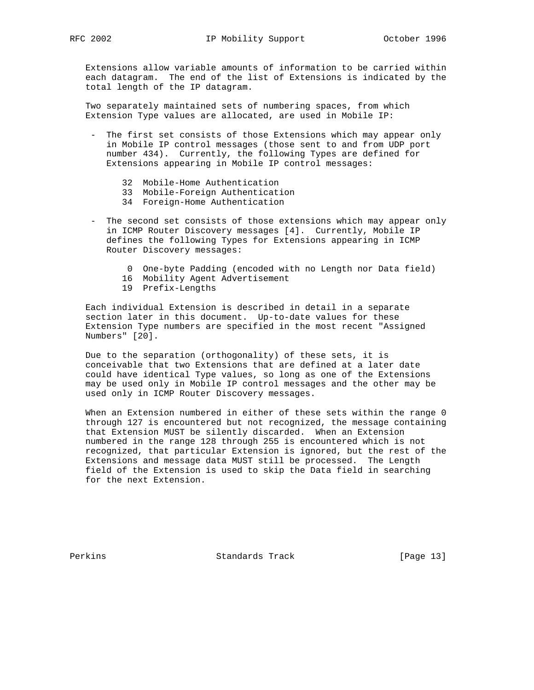Extensions allow variable amounts of information to be carried within each datagram. The end of the list of Extensions is indicated by the total length of the IP datagram.

 Two separately maintained sets of numbering spaces, from which Extension Type values are allocated, are used in Mobile IP:

- The first set consists of those Extensions which may appear only in Mobile IP control messages (those sent to and from UDP port number 434). Currently, the following Types are defined for Extensions appearing in Mobile IP control messages:
	- 32 Mobile-Home Authentication
	- 33 Mobile-Foreign Authentication
	- 34 Foreign-Home Authentication
- The second set consists of those extensions which may appear only in ICMP Router Discovery messages [4]. Currently, Mobile IP defines the following Types for Extensions appearing in ICMP Router Discovery messages:
	- 0 One-byte Padding (encoded with no Length nor Data field)
	- 16 Mobility Agent Advertisement
	- 19 Prefix-Lengths

 Each individual Extension is described in detail in a separate section later in this document. Up-to-date values for these Extension Type numbers are specified in the most recent "Assigned Numbers" [20].

 Due to the separation (orthogonality) of these sets, it is conceivable that two Extensions that are defined at a later date could have identical Type values, so long as one of the Extensions may be used only in Mobile IP control messages and the other may be used only in ICMP Router Discovery messages.

 When an Extension numbered in either of these sets within the range 0 through 127 is encountered but not recognized, the message containing that Extension MUST be silently discarded. When an Extension numbered in the range 128 through 255 is encountered which is not recognized, that particular Extension is ignored, but the rest of the Extensions and message data MUST still be processed. The Length field of the Extension is used to skip the Data field in searching for the next Extension.

Perkins Standards Track [Page 13]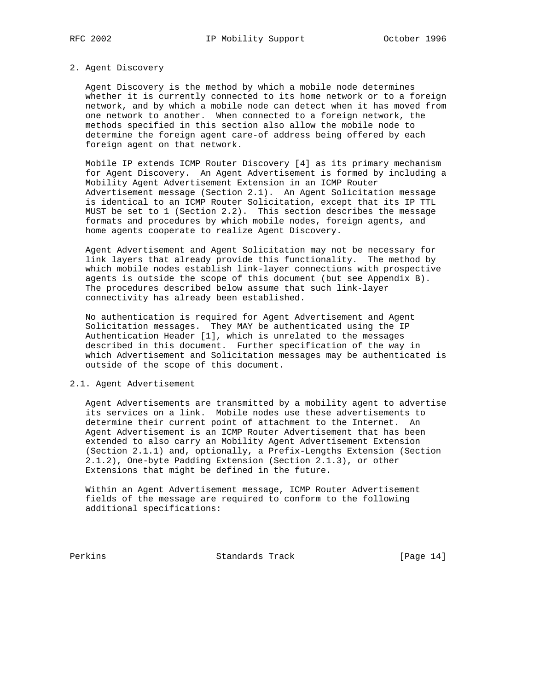## 2. Agent Discovery

 Agent Discovery is the method by which a mobile node determines whether it is currently connected to its home network or to a foreign network, and by which a mobile node can detect when it has moved from one network to another. When connected to a foreign network, the methods specified in this section also allow the mobile node to determine the foreign agent care-of address being offered by each foreign agent on that network.

 Mobile IP extends ICMP Router Discovery [4] as its primary mechanism for Agent Discovery. An Agent Advertisement is formed by including a Mobility Agent Advertisement Extension in an ICMP Router Advertisement message (Section 2.1). An Agent Solicitation message is identical to an ICMP Router Solicitation, except that its IP TTL MUST be set to 1 (Section 2.2). This section describes the message formats and procedures by which mobile nodes, foreign agents, and home agents cooperate to realize Agent Discovery.

 Agent Advertisement and Agent Solicitation may not be necessary for link layers that already provide this functionality. The method by which mobile nodes establish link-layer connections with prospective agents is outside the scope of this document (but see Appendix B). The procedures described below assume that such link-layer connectivity has already been established.

 No authentication is required for Agent Advertisement and Agent Solicitation messages. They MAY be authenticated using the IP Authentication Header [1], which is unrelated to the messages described in this document. Further specification of the way in which Advertisement and Solicitation messages may be authenticated is outside of the scope of this document.

## 2.1. Agent Advertisement

 Agent Advertisements are transmitted by a mobility agent to advertise its services on a link. Mobile nodes use these advertisements to determine their current point of attachment to the Internet. An Agent Advertisement is an ICMP Router Advertisement that has been extended to also carry an Mobility Agent Advertisement Extension (Section 2.1.1) and, optionally, a Prefix-Lengths Extension (Section 2.1.2), One-byte Padding Extension (Section 2.1.3), or other Extensions that might be defined in the future.

 Within an Agent Advertisement message, ICMP Router Advertisement fields of the message are required to conform to the following additional specifications:

Perkins Standards Track [Page 14]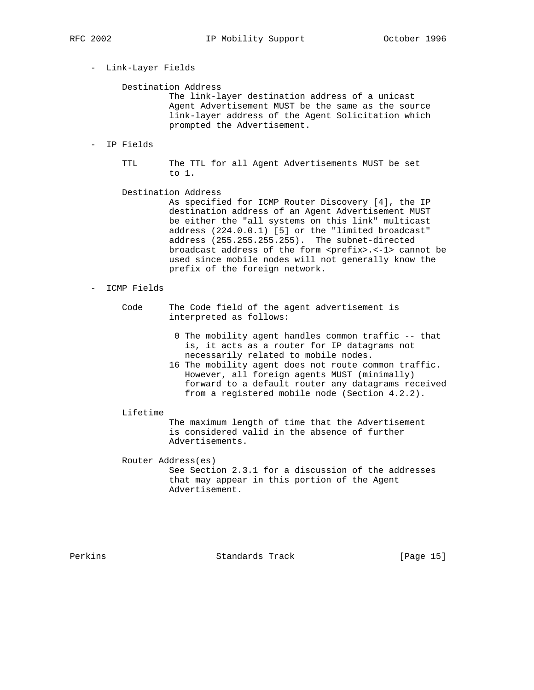## - Link-Layer Fields

#### Destination Address

 The link-layer destination address of a unicast Agent Advertisement MUST be the same as the source link-layer address of the Agent Solicitation which prompted the Advertisement.

- IP Fields
	- TTL The TTL for all Agent Advertisements MUST be set to 1.

#### Destination Address

 As specified for ICMP Router Discovery [4], the IP destination address of an Agent Advertisement MUST be either the "all systems on this link" multicast address (224.0.0.1) [5] or the "limited broadcast" address (255.255.255.255). The subnet-directed broadcast address of the form <prefix>.<-1> cannot be used since mobile nodes will not generally know the prefix of the foreign network.

- ICMP Fields
	- Code The Code field of the agent advertisement is interpreted as follows:
		- 0 The mobility agent handles common traffic -- that is, it acts as a router for IP datagrams not necessarily related to mobile nodes.
		- 16 The mobility agent does not route common traffic. However, all foreign agents MUST (minimally) forward to a default router any datagrams received from a registered mobile node (Section 4.2.2).
	- Lifetime

 The maximum length of time that the Advertisement is considered valid in the absence of further Advertisements.

 Router Address(es) See Section 2.3.1 for a discussion of the addresses that may appear in this portion of the Agent Advertisement.

Perkins **Example 28** Standards Track **Fixage 15** [Page 15]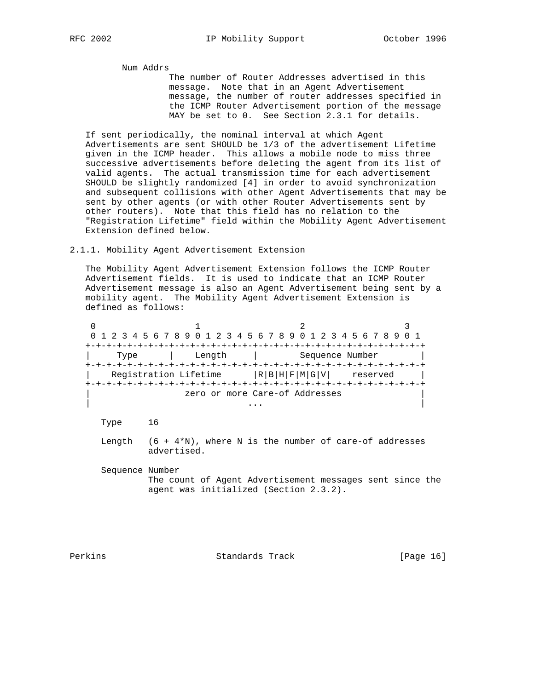Num Addrs

 The number of Router Addresses advertised in this message. Note that in an Agent Advertisement message, the number of router addresses specified in the ICMP Router Advertisement portion of the message MAY be set to 0. See Section 2.3.1 for details.

 If sent periodically, the nominal interval at which Agent Advertisements are sent SHOULD be 1/3 of the advertisement Lifetime given in the ICMP header. This allows a mobile node to miss three successive advertisements before deleting the agent from its list of valid agents. The actual transmission time for each advertisement SHOULD be slightly randomized [4] in order to avoid synchronization and subsequent collisions with other Agent Advertisements that may be sent by other agents (or with other Router Advertisements sent by other routers). Note that this field has no relation to the "Registration Lifetime" field within the Mobility Agent Advertisement Extension defined below.

2.1.1. Mobility Agent Advertisement Extension

 The Mobility Agent Advertisement Extension follows the ICMP Router Advertisement fields. It is used to indicate that an ICMP Router Advertisement message is also an Agent Advertisement being sent by a mobility agent. The Mobility Agent Advertisement Extension is defined as follows:

0  $1$  2 3 0 1 2 3 4 5 6 7 8 9 0 1 2 3 4 5 6 7 8 9 0 1 2 3 4 5 6 7 8 9 0 1 +-+-+-+-+-+-+-+-+-+-+-+-+-+-+-+-+-+-+-+-+-+-+-+-+-+-+-+-+-+-+-+-+ | Type | Length | Sequence Number | +-+-+-+-+-+-+-+-+-+-+-+-+-+-+-+-+-+-+-+-+-+-+-+-+-+-+-+-+-+-+-+-+  $Registration$  Lifetime  $|R|B|H|F|M|G|V|$  reserved | +-+-+-+-+-+-+-+-+-+-+-+-+-+-+-+-+-+-+-+-+-+-+-+-+-+-+-+-+-+-+-+-+ zero or more Care-of Addresses | ... | ... | ... | ... | ... | ... | ... | ... | ... | ... | ... | ... | ... | ... | ... | ... | ... | ... | .

Type 16

Length  $(6 + 4*N)$ , where N is the number of care-of addresses advertised.

 Sequence Number The count of Agent Advertisement messages sent since the agent was initialized (Section 2.3.2).

Perkins **Standards Track** [Page 16]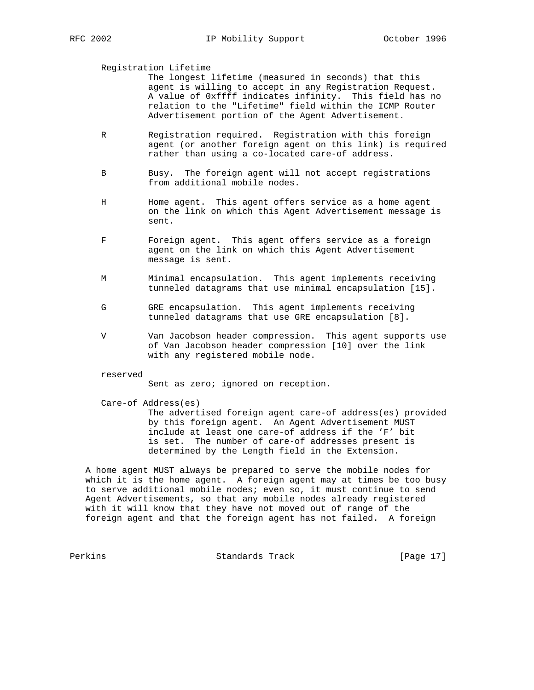# Registration Lifetime

 The longest lifetime (measured in seconds) that this agent is willing to accept in any Registration Request. A value of 0xffff indicates infinity. This field has no relation to the "Lifetime" field within the ICMP Router Advertisement portion of the Agent Advertisement.

- R Registration required. Registration with this foreign agent (or another foreign agent on this link) is required rather than using a co-located care-of address.
- B Busy. The foreign agent will not accept registrations from additional mobile nodes.
- H Home agent. This agent offers service as a home agent on the link on which this Agent Advertisement message is sent.
- F Foreign agent. This agent offers service as a foreign agent on the link on which this Agent Advertisement message is sent.
- M Minimal encapsulation. This agent implements receiving tunneled datagrams that use minimal encapsulation [15].
- G GRE encapsulation. This agent implements receiving tunneled datagrams that use GRE encapsulation [8].
- V Van Jacobson header compression. This agent supports use of Van Jacobson header compression [10] over the link with any registered mobile node.

reserved

Sent as zero; ignored on reception.

Care-of Address(es)

 The advertised foreign agent care-of address(es) provided by this foreign agent. An Agent Advertisement MUST include at least one care-of address if the 'F' bit is set. The number of care-of addresses present is determined by the Length field in the Extension.

 A home agent MUST always be prepared to serve the mobile nodes for which it is the home agent. A foreign agent may at times be too busy to serve additional mobile nodes; even so, it must continue to send Agent Advertisements, so that any mobile nodes already registered with it will know that they have not moved out of range of the foreign agent and that the foreign agent has not failed. A foreign

Perkins 6. Standards Track [Page 17]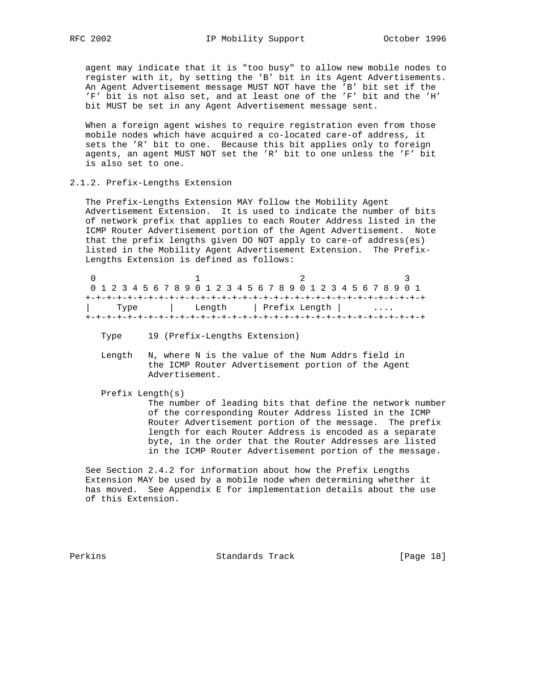agent may indicate that it is "too busy" to allow new mobile nodes to register with it, by setting the 'B' bit in its Agent Advertisements. An Agent Advertisement message MUST NOT have the 'B' bit set if the 'F' bit is not also set, and at least one of the 'F' bit and the 'H' bit MUST be set in any Agent Advertisement message sent.

 When a foreign agent wishes to require registration even from those mobile nodes which have acquired a co-located care-of address, it sets the 'R' bit to one. Because this bit applies only to foreign agents, an agent MUST NOT set the 'R' bit to one unless the 'F' bit is also set to one.

## 2.1.2. Prefix-Lengths Extension

 The Prefix-Lengths Extension MAY follow the Mobility Agent Advertisement Extension. It is used to indicate the number of bits of network prefix that applies to each Router Address listed in the ICMP Router Advertisement portion of the Agent Advertisement. Note that the prefix lengths given DO NOT apply to care-of address(es) listed in the Mobility Agent Advertisement Extension. The Prefix- Lengths Extension is defined as follows:

0  $1$  2 3 0 1 2 3 4 5 6 7 8 9 0 1 2 3 4 5 6 7 8 9 0 1 2 3 4 5 6 7 8 9 0 1 +-+-+-+-+-+-+-+-+-+-+-+-+-+-+-+-+-+-+-+-+-+-+-+-+-+-+-+-+-+-+-+-+ | Type | Length | Prefix Length | .... +-+-+-+-+-+-+-+-+-+-+-+-+-+-+-+-+-+-+-+-+-+-+-+-+-+-+-+-+-+-+-+-+

Type 19 (Prefix-Lengths Extension)

 Length N, where N is the value of the Num Addrs field in the ICMP Router Advertisement portion of the Agent Advertisement.

Prefix Length(s)

 The number of leading bits that define the network number of the corresponding Router Address listed in the ICMP Router Advertisement portion of the message. The prefix length for each Router Address is encoded as a separate byte, in the order that the Router Addresses are listed in the ICMP Router Advertisement portion of the message.

 See Section 2.4.2 for information about how the Prefix Lengths Extension MAY be used by a mobile node when determining whether it has moved. See Appendix E for implementation details about the use of this Extension.

Perkins Standards Track [Page 18]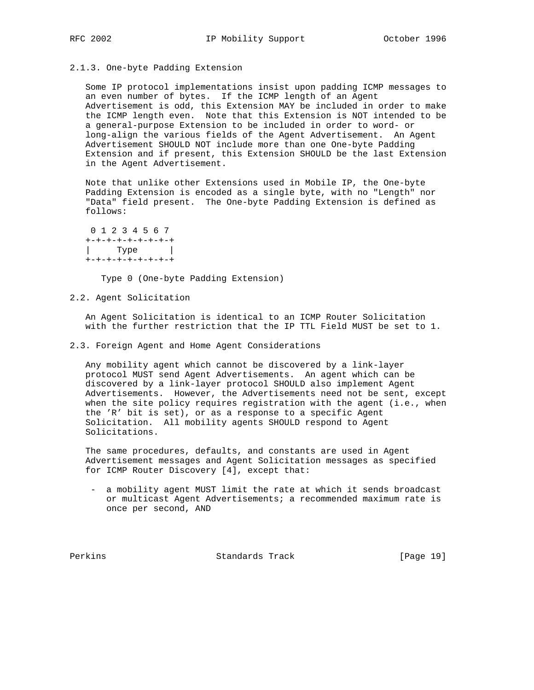## 2.1.3. One-byte Padding Extension

 Some IP protocol implementations insist upon padding ICMP messages to an even number of bytes. If the ICMP length of an Agent Advertisement is odd, this Extension MAY be included in order to make the ICMP length even. Note that this Extension is NOT intended to be a general-purpose Extension to be included in order to word- or long-align the various fields of the Agent Advertisement. An Agent Advertisement SHOULD NOT include more than one One-byte Padding Extension and if present, this Extension SHOULD be the last Extension in the Agent Advertisement.

 Note that unlike other Extensions used in Mobile IP, the One-byte Padding Extension is encoded as a single byte, with no "Length" nor "Data" field present. The One-byte Padding Extension is defined as follows:

 0 1 2 3 4 5 6 7 +-+-+-+-+-+-+-+-+ | Type | +-+-+-+-+-+-+-+-+

Type 0 (One-byte Padding Extension)

2.2. Agent Solicitation

 An Agent Solicitation is identical to an ICMP Router Solicitation with the further restriction that the IP TTL Field MUST be set to 1.

2.3. Foreign Agent and Home Agent Considerations

 Any mobility agent which cannot be discovered by a link-layer protocol MUST send Agent Advertisements. An agent which can be discovered by a link-layer protocol SHOULD also implement Agent Advertisements. However, the Advertisements need not be sent, except when the site policy requires registration with the agent (i.e., when the 'R' bit is set), or as a response to a specific Agent Solicitation. All mobility agents SHOULD respond to Agent Solicitations.

 The same procedures, defaults, and constants are used in Agent Advertisement messages and Agent Solicitation messages as specified for ICMP Router Discovery [4], except that:

 - a mobility agent MUST limit the rate at which it sends broadcast or multicast Agent Advertisements; a recommended maximum rate is once per second, AND

Perkins **Example 2018** Standards Track [Page 19]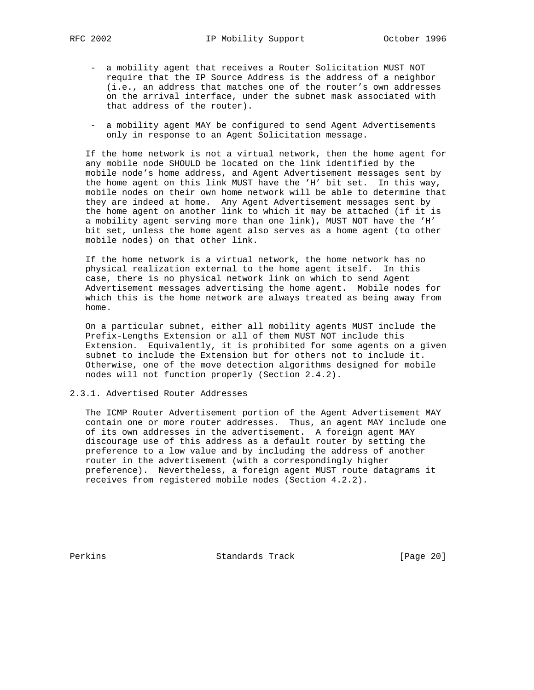- a mobility agent that receives a Router Solicitation MUST NOT require that the IP Source Address is the address of a neighbor (i.e., an address that matches one of the router's own addresses on the arrival interface, under the subnet mask associated with that address of the router).
- a mobility agent MAY be configured to send Agent Advertisements only in response to an Agent Solicitation message.

 If the home network is not a virtual network, then the home agent for any mobile node SHOULD be located on the link identified by the mobile node's home address, and Agent Advertisement messages sent by the home agent on this link MUST have the 'H' bit set. In this way, mobile nodes on their own home network will be able to determine that they are indeed at home. Any Agent Advertisement messages sent by the home agent on another link to which it may be attached (if it is a mobility agent serving more than one link), MUST NOT have the 'H' bit set, unless the home agent also serves as a home agent (to other mobile nodes) on that other link.

 If the home network is a virtual network, the home network has no physical realization external to the home agent itself. In this case, there is no physical network link on which to send Agent Advertisement messages advertising the home agent. Mobile nodes for which this is the home network are always treated as being away from home.

 On a particular subnet, either all mobility agents MUST include the Prefix-Lengths Extension or all of them MUST NOT include this Extension. Equivalently, it is prohibited for some agents on a given subnet to include the Extension but for others not to include it. Otherwise, one of the move detection algorithms designed for mobile nodes will not function properly (Section 2.4.2).

## 2.3.1. Advertised Router Addresses

 The ICMP Router Advertisement portion of the Agent Advertisement MAY contain one or more router addresses. Thus, an agent MAY include one of its own addresses in the advertisement. A foreign agent MAY discourage use of this address as a default router by setting the preference to a low value and by including the address of another router in the advertisement (with a correspondingly higher preference). Nevertheless, a foreign agent MUST route datagrams it receives from registered mobile nodes (Section 4.2.2).

Perkins Standards Track [Page 20]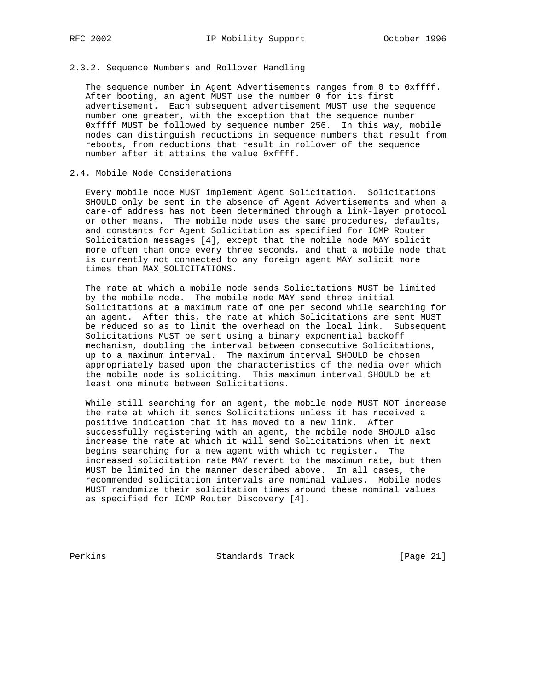# 2.3.2. Sequence Numbers and Rollover Handling

 The sequence number in Agent Advertisements ranges from 0 to 0xffff. After booting, an agent MUST use the number 0 for its first advertisement. Each subsequent advertisement MUST use the sequence number one greater, with the exception that the sequence number 0xffff MUST be followed by sequence number 256. In this way, mobile nodes can distinguish reductions in sequence numbers that result from reboots, from reductions that result in rollover of the sequence number after it attains the value 0xffff.

## 2.4. Mobile Node Considerations

 Every mobile node MUST implement Agent Solicitation. Solicitations SHOULD only be sent in the absence of Agent Advertisements and when a care-of address has not been determined through a link-layer protocol or other means. The mobile node uses the same procedures, defaults, and constants for Agent Solicitation as specified for ICMP Router Solicitation messages [4], except that the mobile node MAY solicit more often than once every three seconds, and that a mobile node that is currently not connected to any foreign agent MAY solicit more times than MAX\_SOLICITATIONS.

 The rate at which a mobile node sends Solicitations MUST be limited by the mobile node. The mobile node MAY send three initial Solicitations at a maximum rate of one per second while searching for an agent. After this, the rate at which Solicitations are sent MUST be reduced so as to limit the overhead on the local link. Subsequent Solicitations MUST be sent using a binary exponential backoff mechanism, doubling the interval between consecutive Solicitations, up to a maximum interval. The maximum interval SHOULD be chosen appropriately based upon the characteristics of the media over which the mobile node is soliciting. This maximum interval SHOULD be at least one minute between Solicitations.

 While still searching for an agent, the mobile node MUST NOT increase the rate at which it sends Solicitations unless it has received a positive indication that it has moved to a new link. After successfully registering with an agent, the mobile node SHOULD also increase the rate at which it will send Solicitations when it next begins searching for a new agent with which to register. The increased solicitation rate MAY revert to the maximum rate, but then MUST be limited in the manner described above. In all cases, the recommended solicitation intervals are nominal values. Mobile nodes MUST randomize their solicitation times around these nominal values as specified for ICMP Router Discovery [4].

Perkins Standards Track [Page 21]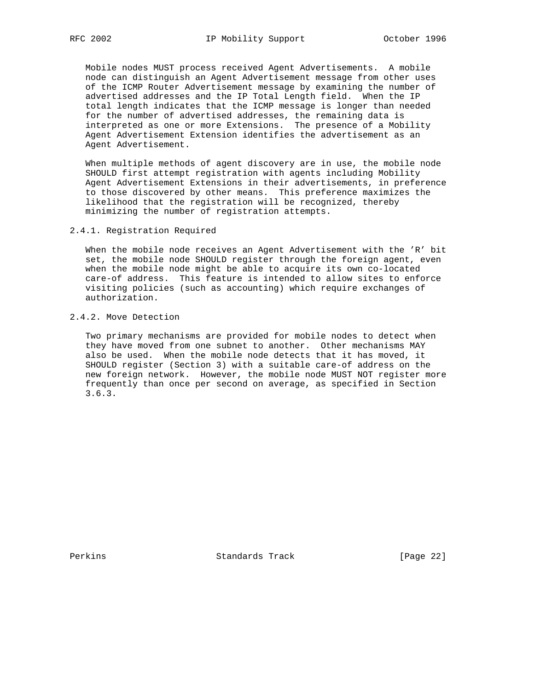Mobile nodes MUST process received Agent Advertisements. A mobile node can distinguish an Agent Advertisement message from other uses of the ICMP Router Advertisement message by examining the number of advertised addresses and the IP Total Length field. When the IP total length indicates that the ICMP message is longer than needed for the number of advertised addresses, the remaining data is interpreted as one or more Extensions. The presence of a Mobility Agent Advertisement Extension identifies the advertisement as an Agent Advertisement.

 When multiple methods of agent discovery are in use, the mobile node SHOULD first attempt registration with agents including Mobility Agent Advertisement Extensions in their advertisements, in preference to those discovered by other means. This preference maximizes the likelihood that the registration will be recognized, thereby minimizing the number of registration attempts.

2.4.1. Registration Required

 When the mobile node receives an Agent Advertisement with the 'R' bit set, the mobile node SHOULD register through the foreign agent, even when the mobile node might be able to acquire its own co-located care-of address. This feature is intended to allow sites to enforce visiting policies (such as accounting) which require exchanges of authorization.

# 2.4.2. Move Detection

 Two primary mechanisms are provided for mobile nodes to detect when they have moved from one subnet to another. Other mechanisms MAY also be used. When the mobile node detects that it has moved, it SHOULD register (Section 3) with a suitable care-of address on the new foreign network. However, the mobile node MUST NOT register more frequently than once per second on average, as specified in Section 3.6.3.

Perkins Standards Track [Page 22]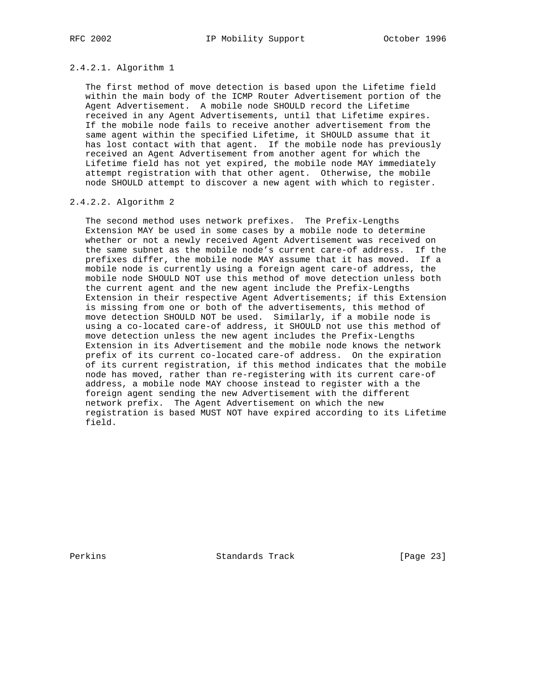## 2.4.2.1. Algorithm 1

 The first method of move detection is based upon the Lifetime field within the main body of the ICMP Router Advertisement portion of the Agent Advertisement. A mobile node SHOULD record the Lifetime received in any Agent Advertisements, until that Lifetime expires. If the mobile node fails to receive another advertisement from the same agent within the specified Lifetime, it SHOULD assume that it has lost contact with that agent. If the mobile node has previously received an Agent Advertisement from another agent for which the Lifetime field has not yet expired, the mobile node MAY immediately attempt registration with that other agent. Otherwise, the mobile node SHOULD attempt to discover a new agent with which to register.

## 2.4.2.2. Algorithm 2

The second method uses network prefixes. The Prefix-Lengths Extension MAY be used in some cases by a mobile node to determine whether or not a newly received Agent Advertisement was received on the same subnet as the mobile node's current care-of address. If the prefixes differ, the mobile node MAY assume that it has moved. If a mobile node is currently using a foreign agent care-of address, the mobile node SHOULD NOT use this method of move detection unless both the current agent and the new agent include the Prefix-Lengths Extension in their respective Agent Advertisements; if this Extension is missing from one or both of the advertisements, this method of move detection SHOULD NOT be used. Similarly, if a mobile node is using a co-located care-of address, it SHOULD not use this method of move detection unless the new agent includes the Prefix-Lengths Extension in its Advertisement and the mobile node knows the network prefix of its current co-located care-of address. On the expiration of its current registration, if this method indicates that the mobile node has moved, rather than re-registering with its current care-of address, a mobile node MAY choose instead to register with a the foreign agent sending the new Advertisement with the different network prefix. The Agent Advertisement on which the new registration is based MUST NOT have expired according to its Lifetime field.

Perkins **Standards Track** [Page 23]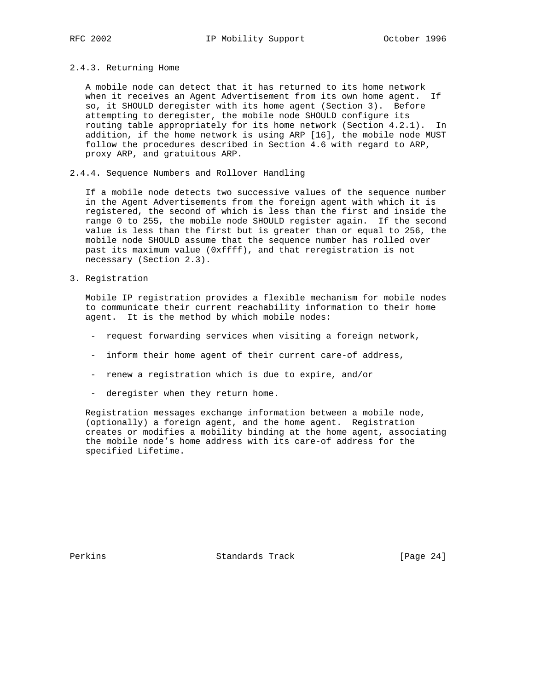## 2.4.3. Returning Home

 A mobile node can detect that it has returned to its home network when it receives an Agent Advertisement from its own home agent. If so, it SHOULD deregister with its home agent (Section 3). Before attempting to deregister, the mobile node SHOULD configure its routing table appropriately for its home network (Section 4.2.1). In addition, if the home network is using ARP [16], the mobile node MUST follow the procedures described in Section 4.6 with regard to ARP, proxy ARP, and gratuitous ARP.

## 2.4.4. Sequence Numbers and Rollover Handling

 If a mobile node detects two successive values of the sequence number in the Agent Advertisements from the foreign agent with which it is registered, the second of which is less than the first and inside the range 0 to 255, the mobile node SHOULD register again. If the second value is less than the first but is greater than or equal to 256, the mobile node SHOULD assume that the sequence number has rolled over past its maximum value (0xffff), and that reregistration is not necessary (Section 2.3).

## 3. Registration

 Mobile IP registration provides a flexible mechanism for mobile nodes to communicate their current reachability information to their home agent. It is the method by which mobile nodes:

- request forwarding services when visiting a foreign network,
- inform their home agent of their current care-of address,
- renew a registration which is due to expire, and/or
- deregister when they return home.

 Registration messages exchange information between a mobile node, (optionally) a foreign agent, and the home agent. Registration creates or modifies a mobility binding at the home agent, associating the mobile node's home address with its care-of address for the specified Lifetime.

Perkins Standards Track [Page 24]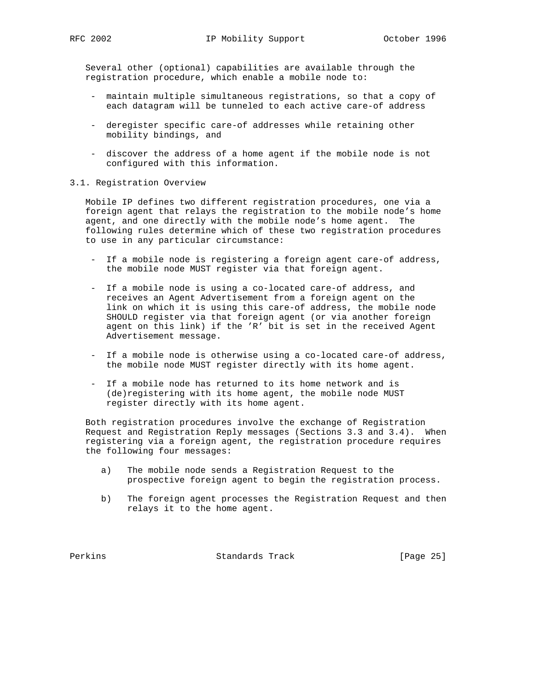Several other (optional) capabilities are available through the registration procedure, which enable a mobile node to:

- maintain multiple simultaneous registrations, so that a copy of each datagram will be tunneled to each active care-of address
- deregister specific care-of addresses while retaining other mobility bindings, and
- discover the address of a home agent if the mobile node is not configured with this information.

## 3.1. Registration Overview

 Mobile IP defines two different registration procedures, one via a foreign agent that relays the registration to the mobile node's home agent, and one directly with the mobile node's home agent. The following rules determine which of these two registration procedures to use in any particular circumstance:

- If a mobile node is registering a foreign agent care-of address, the mobile node MUST register via that foreign agent.
- If a mobile node is using a co-located care-of address, and receives an Agent Advertisement from a foreign agent on the link on which it is using this care-of address, the mobile node SHOULD register via that foreign agent (or via another foreign agent on this link) if the 'R' bit is set in the received Agent Advertisement message.
- If a mobile node is otherwise using a co-located care-of address, the mobile node MUST register directly with its home agent.
- If a mobile node has returned to its home network and is (de)registering with its home agent, the mobile node MUST register directly with its home agent.

 Both registration procedures involve the exchange of Registration Request and Registration Reply messages (Sections 3.3 and 3.4). When registering via a foreign agent, the registration procedure requires the following four messages:

- a) The mobile node sends a Registration Request to the prospective foreign agent to begin the registration process.
- b) The foreign agent processes the Registration Request and then relays it to the home agent.

Perkins Standards Track [Page 25]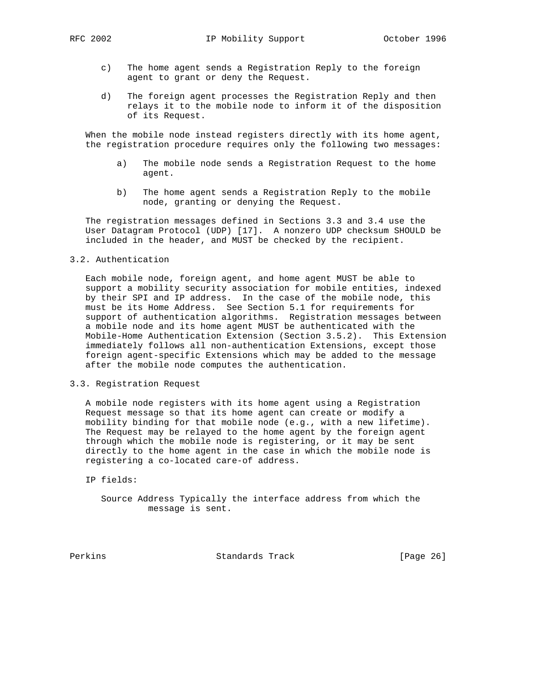- c) The home agent sends a Registration Reply to the foreign agent to grant or deny the Request.
- d) The foreign agent processes the Registration Reply and then relays it to the mobile node to inform it of the disposition of its Request.

 When the mobile node instead registers directly with its home agent, the registration procedure requires only the following two messages:

- a) The mobile node sends a Registration Request to the home agent.
- b) The home agent sends a Registration Reply to the mobile node, granting or denying the Request.

 The registration messages defined in Sections 3.3 and 3.4 use the User Datagram Protocol (UDP) [17]. A nonzero UDP checksum SHOULD be included in the header, and MUST be checked by the recipient.

## 3.2. Authentication

 Each mobile node, foreign agent, and home agent MUST be able to support a mobility security association for mobile entities, indexed by their SPI and IP address. In the case of the mobile node, this must be its Home Address. See Section 5.1 for requirements for support of authentication algorithms. Registration messages between a mobile node and its home agent MUST be authenticated with the Mobile-Home Authentication Extension (Section 3.5.2). This Extension immediately follows all non-authentication Extensions, except those foreign agent-specific Extensions which may be added to the message after the mobile node computes the authentication.

3.3. Registration Request

 A mobile node registers with its home agent using a Registration Request message so that its home agent can create or modify a mobility binding for that mobile node (e.g., with a new lifetime). The Request may be relayed to the home agent by the foreign agent through which the mobile node is registering, or it may be sent directly to the home agent in the case in which the mobile node is registering a co-located care-of address.

IP fields:

 Source Address Typically the interface address from which the message is sent.

Perkins **Standards Track** [Page 26]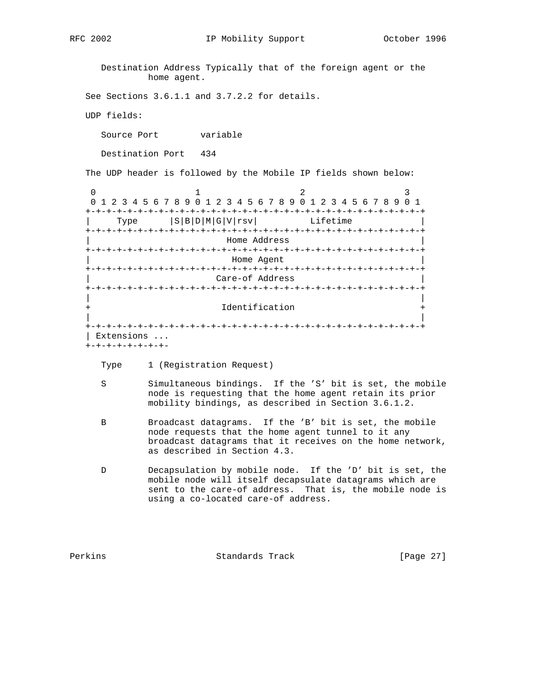Destination Address Typically that of the foreign agent or the home agent.

See Sections 3.6.1.1 and 3.7.2.2 for details.

UDP fields:

Source Port variable

Destination Port 434

The UDP header is followed by the Mobile IP fields shown below:

0  $1$  2 3 0 1 2 3 4 5 6 7 8 9 0 1 2 3 4 5 6 7 8 9 0 1 2 3 4 5 6 7 8 9 0 1 +-+-+-+-+-+-+-+-+-+-+-+-+-+-+-+-+-+-+-+-+-+-+-+-+-+-+-+-+-+-+-+-+ Type  $|S|B|D|M|G|V|rsv|$  Lifetime +-+-+-+-+-+-+-+-+-+-+-+-+-+-+-+-+-+-+-+-+-+-+-+-+-+-+-+-+-+-+-+-+ | Home Address | +-+-+-+-+-+-+-+-+-+-+-+-+-+-+-+-+-+-+-+-+-+-+-+-+-+-+-+-+-+-+-+-+ Home Agent +-+-+-+-+-+-+-+-+-+-+-+-+-+-+-+-+-+-+-+-+-+-+-+-+-+-+-+-+-+-+-+-+ | Care-of Address | +-+-+-+-+-+-+-+-+-+-+-+-+-+-+-+-+-+-+-+-+-+-+-+-+-+-+-+-+-+-+-+-+ | | Identification | | +-+-+-+-+-+-+-+-+-+-+-+-+-+-+-+-+-+-+-+-+-+-+-+-+-+-+-+-+-+-+-+-+ | Extensions ... +-+-+-+-+-+-+-+-

Type 1 (Registration Request)

- S Simultaneous bindings. If the 'S' bit is set, the mobile node is requesting that the home agent retain its prior mobility bindings, as described in Section 3.6.1.2.
- B Broadcast datagrams. If the 'B' bit is set, the mobile node requests that the home agent tunnel to it any broadcast datagrams that it receives on the home network, as described in Section 4.3.
- D Decapsulation by mobile node. If the 'D' bit is set, the mobile node will itself decapsulate datagrams which are sent to the care-of address. That is, the mobile node is using a co-located care-of address.

Perkins 6 Standards Track [Page 27]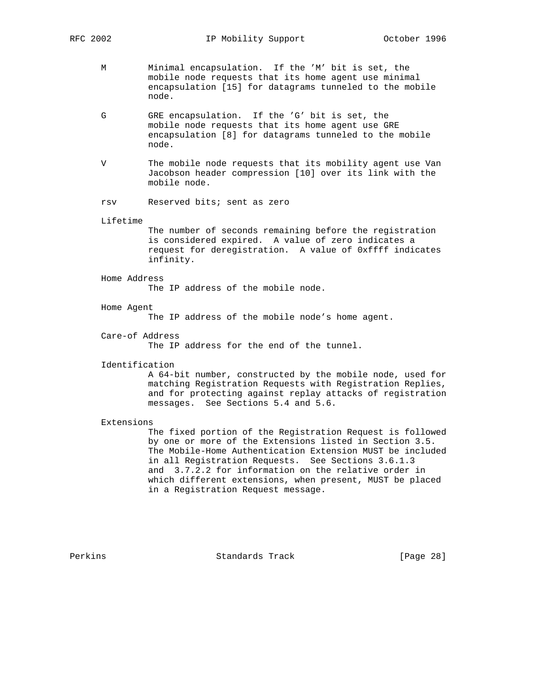- M Minimal encapsulation. If the 'M' bit is set, the mobile node requests that its home agent use minimal encapsulation [15] for datagrams tunneled to the mobile node.
- G GRE encapsulation. If the 'G' bit is set, the mobile node requests that its home agent use GRE encapsulation [8] for datagrams tunneled to the mobile node.
- V The mobile node requests that its mobility agent use Van Jacobson header compression [10] over its link with the mobile node.
- rsv Reserved bits; sent as zero
- Lifetime

 The number of seconds remaining before the registration is considered expired. A value of zero indicates a request for deregistration. A value of 0xffff indicates infinity.

## Home Address

The IP address of the mobile node.

Home Agent

The IP address of the mobile node's home agent.

Care-of Address

The IP address for the end of the tunnel.

Identification

 A 64-bit number, constructed by the mobile node, used for matching Registration Requests with Registration Replies, and for protecting against replay attacks of registration messages. See Sections 5.4 and 5.6.

## Extensions

 The fixed portion of the Registration Request is followed by one or more of the Extensions listed in Section 3.5. The Mobile-Home Authentication Extension MUST be included in all Registration Requests. See Sections 3.6.1.3 and 3.7.2.2 for information on the relative order in which different extensions, when present, MUST be placed in a Registration Request message.

Perkins 6. Standards Track [Page 28]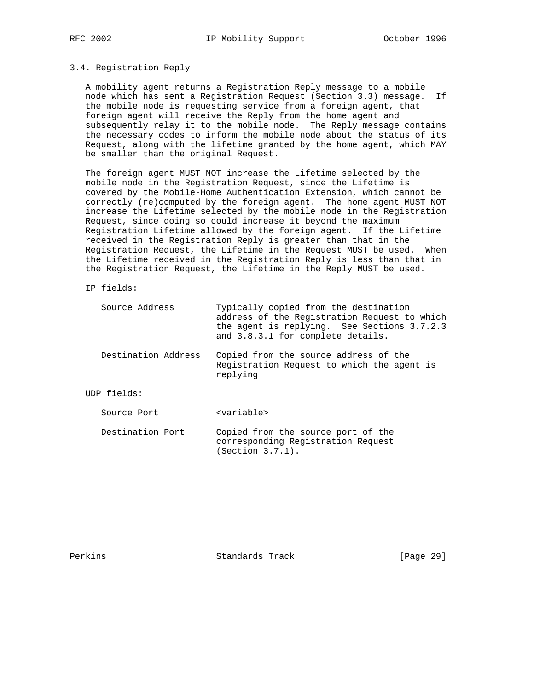## 3.4. Registration Reply

 A mobility agent returns a Registration Reply message to a mobile node which has sent a Registration Request (Section 3.3) message. If the mobile node is requesting service from a foreign agent, that foreign agent will receive the Reply from the home agent and subsequently relay it to the mobile node. The Reply message contains the necessary codes to inform the mobile node about the status of its Request, along with the lifetime granted by the home agent, which MAY be smaller than the original Request.

 The foreign agent MUST NOT increase the Lifetime selected by the mobile node in the Registration Request, since the Lifetime is covered by the Mobile-Home Authentication Extension, which cannot be correctly (re)computed by the foreign agent. The home agent MUST NOT increase the Lifetime selected by the mobile node in the Registration Request, since doing so could increase it beyond the maximum Registration Lifetime allowed by the foreign agent. If the Lifetime received in the Registration Reply is greater than that in the Registration Request, the Lifetime in the Request MUST be used. When the Lifetime received in the Registration Reply is less than that in the Registration Request, the Lifetime in the Reply MUST be used.

IP fields:

| Source Address      | Typically copied from the destination<br>address of the Registration Request to which<br>the agent is replying. See Sections 3.7.2.3<br>and 3.8.3.1 for complete details. |  |  |  |  |  |
|---------------------|---------------------------------------------------------------------------------------------------------------------------------------------------------------------------|--|--|--|--|--|
| Destination Address | Copied from the source address of the<br>Registration Request to which the agent is<br>replying                                                                           |  |  |  |  |  |
| $IDP$ fields:       |                                                                                                                                                                           |  |  |  |  |  |
| Source Port         | <variable></variable>                                                                                                                                                     |  |  |  |  |  |
| Destination Port    | Copied from the source port of the<br>corresponding Registration Request<br>(Section 3.7.1).                                                                              |  |  |  |  |  |

Perkins **Standards Track** [Page 29]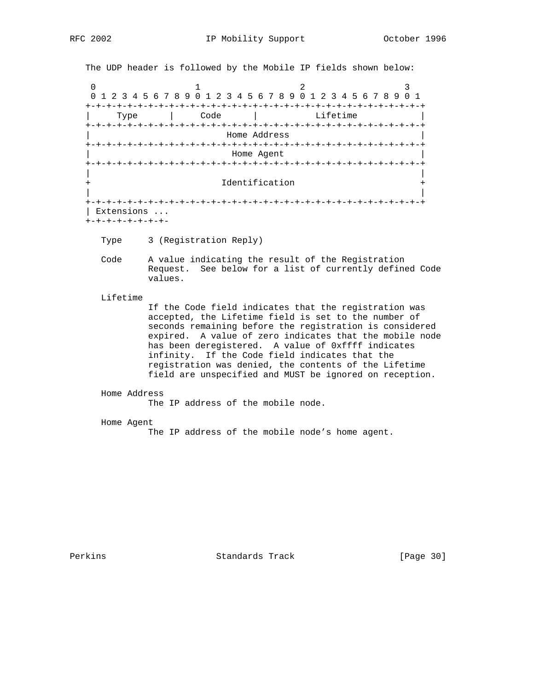The UDP header is followed by the Mobile IP fields shown below:

0  $1$  2 3 0 1 2 3 4 5 6 7 8 9 0 1 2 3 4 5 6 7 8 9 0 1 2 3 4 5 6 7 8 9 0 1 +-+-+-+-+-+-+-+-+-+-+-+-+-+-+-+-+-+-+-+-+-+-+-+-+-+-+-+-+-+-+-+-+ | Type | Code | Lifetime | +-+-+-+-+-+-+-+-+-+-+-+-+-+-+-+-+-+-+-+-+-+-+-+-+-+-+-+-+-+-+-+-+ | Home Address | +-+-+-+-+-+-+-+-+-+-+-+-+-+-+-+-+-+-+-+-+-+-+-+-+-+-+-+-+-+-+-+-+ Home Agent +-+-+-+-+-+-+-+-+-+-+-+-+-+-+-+-+-+-+-+-+-+-+-+-+-+-+-+-+-+-+-+-+ | | Identification | | +-+-+-+-+-+-+-+-+-+-+-+-+-+-+-+-+-+-+-+-+-+-+-+-+-+-+-+-+-+-+-+-+ | Extensions ... +-+-+-+-+-+-+-+-

Type 3 (Registration Reply)

 Code A value indicating the result of the Registration Request. See below for a list of currently defined Code values.

Lifetime

 If the Code field indicates that the registration was accepted, the Lifetime field is set to the number of seconds remaining before the registration is considered expired. A value of zero indicates that the mobile node has been deregistered. A value of 0xffff indicates infinity. If the Code field indicates that the registration was denied, the contents of the Lifetime field are unspecified and MUST be ignored on reception.

#### Home Address

The IP address of the mobile node.

Home Agent

The IP address of the mobile node's home agent.

Perkins Standards Track [Page 30]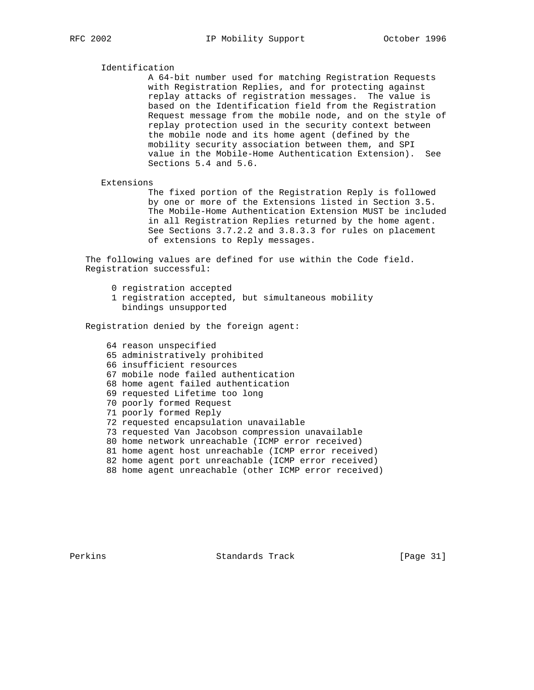# Identification

 A 64-bit number used for matching Registration Requests with Registration Replies, and for protecting against replay attacks of registration messages. The value is based on the Identification field from the Registration Request message from the mobile node, and on the style of replay protection used in the security context between the mobile node and its home agent (defined by the mobility security association between them, and SPI value in the Mobile-Home Authentication Extension). See Sections 5.4 and 5.6.

#### Extensions

 The fixed portion of the Registration Reply is followed by one or more of the Extensions listed in Section 3.5. The Mobile-Home Authentication Extension MUST be included in all Registration Replies returned by the home agent. See Sections 3.7.2.2 and 3.8.3.3 for rules on placement of extensions to Reply messages.

 The following values are defined for use within the Code field. Registration successful:

- 0 registration accepted
- 1 registration accepted, but simultaneous mobility bindings unsupported

Registration denied by the foreign agent:

- 64 reason unspecified 65 administratively prohibited 66 insufficient resources 67 mobile node failed authentication 68 home agent failed authentication 69 requested Lifetime too long 70 poorly formed Request 71 poorly formed Reply 72 requested encapsulation unavailable 73 requested Van Jacobson compression unavailable 80 home network unreachable (ICMP error received) 81 home agent host unreachable (ICMP error received) 82 home agent port unreachable (ICMP error received)
- 88 home agent unreachable (other ICMP error received)

Perkins 6 (Page 31) Standards Track [Page 31]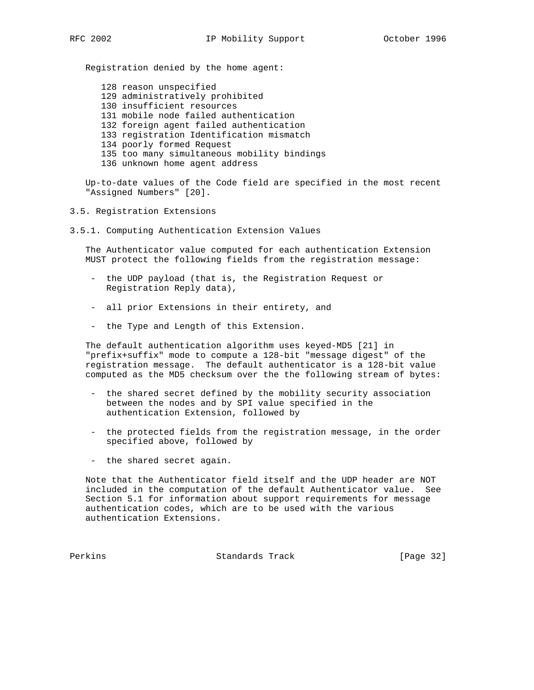Registration denied by the home agent:

- 128 reason unspecified
- 129 administratively prohibited
- 130 insufficient resources
- 131 mobile node failed authentication
- 132 foreign agent failed authentication
- 133 registration Identification mismatch
- 134 poorly formed Request
- 135 too many simultaneous mobility bindings
- 136 unknown home agent address

 Up-to-date values of the Code field are specified in the most recent "Assigned Numbers" [20].

- 3.5. Registration Extensions
- 3.5.1. Computing Authentication Extension Values

 The Authenticator value computed for each authentication Extension MUST protect the following fields from the registration message:

- the UDP payload (that is, the Registration Request or Registration Reply data),
- all prior Extensions in their entirety, and
- the Type and Length of this Extension.

 The default authentication algorithm uses keyed-MD5 [21] in "prefix+suffix" mode to compute a 128-bit "message digest" of the registration message. The default authenticator is a 128-bit value computed as the MD5 checksum over the the following stream of bytes:

- the shared secret defined by the mobility security association between the nodes and by SPI value specified in the authentication Extension, followed by
- the protected fields from the registration message, in the order specified above, followed by
- the shared secret again.

 Note that the Authenticator field itself and the UDP header are NOT included in the computation of the default Authenticator value. See Section 5.1 for information about support requirements for message authentication codes, which are to be used with the various authentication Extensions.

Perkins **Standards Track** [Page 32]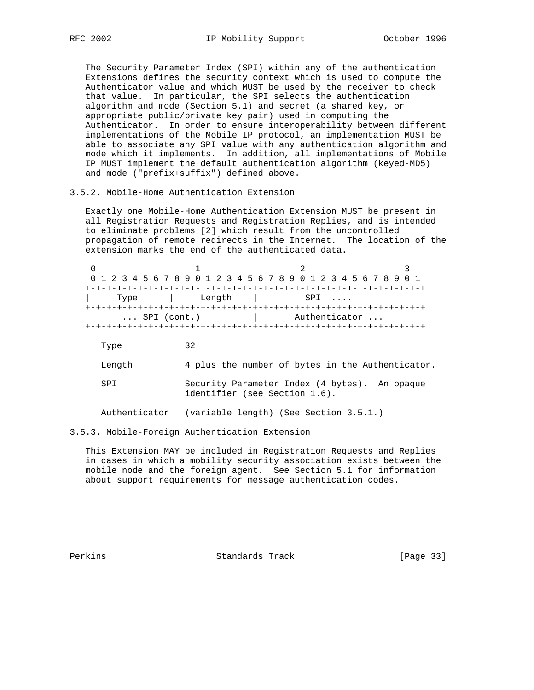The Security Parameter Index (SPI) within any of the authentication Extensions defines the security context which is used to compute the Authenticator value and which MUST be used by the receiver to check that value. In particular, the SPI selects the authentication algorithm and mode (Section 5.1) and secret (a shared key, or appropriate public/private key pair) used in computing the Authenticator. In order to ensure interoperability between different implementations of the Mobile IP protocol, an implementation MUST be able to associate any SPI value with any authentication algorithm and mode which it implements. In addition, all implementations of Mobile IP MUST implement the default authentication algorithm (keyed-MD5) and mode ("prefix+suffix") defined above.

## 3.5.2. Mobile-Home Authentication Extension

 Exactly one Mobile-Home Authentication Extension MUST be present in all Registration Requests and Registration Replies, and is intended to eliminate problems [2] which result from the uncontrolled propagation of remote redirects in the Internet. The location of the extension marks the end of the authenticated data.

| 0 | 0 1 2 3 4 5 6 7 8 9 0 1 2 3 4 5 6 7 8 9 0 1 2 3 4 5 6 7 8 9 0 1 |                                                                      |               |           |
|---|-----------------------------------------------------------------|----------------------------------------------------------------------|---------------|-----------|
|   | Type                                                            | Length                                                               | $SPI$         |           |
|   | $\ldots$ SPI (cont.)                                            |                                                                      | Authenticator |           |
|   |                                                                 |                                                                      |               |           |
|   | Type                                                            | 32                                                                   |               |           |
|   | Length                                                          | 4 plus the number of bytes in the Authenticator.                     |               |           |
|   | SPI                                                             | Security Parameter Index (4 bytes).<br>identifier (see Section 1.6). |               | An opaque |
|   | Authenticator                                                   | (variable length) (See Section 3.5.1.)                               |               |           |

3.5.3. Mobile-Foreign Authentication Extension

 This Extension MAY be included in Registration Requests and Replies in cases in which a mobility security association exists between the mobile node and the foreign agent. See Section 5.1 for information about support requirements for message authentication codes.

Perkins **Standards Track** [Page 33]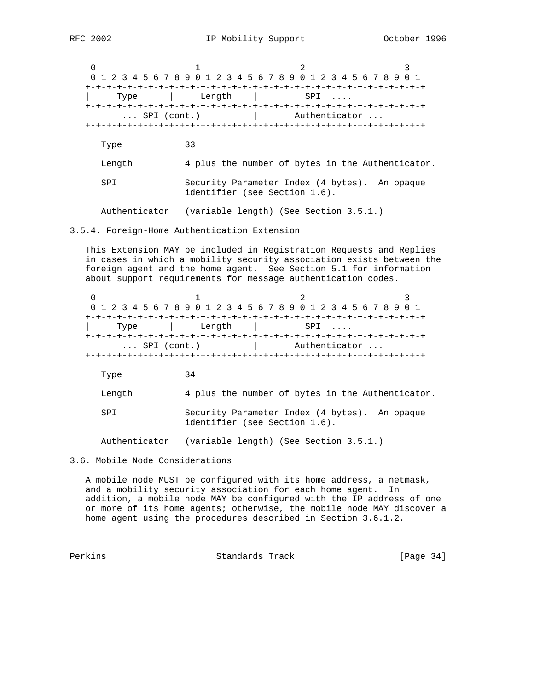| 0                    |        |                                        |                                                                 |  |
|----------------------|--------|----------------------------------------|-----------------------------------------------------------------|--|
|                      |        |                                        | 0 1 2 3 4 5 6 7 8 9 0 1 2 3 4 5 6 7 8 9 0 1 2 3 4 5 6 7 8 9 0 1 |  |
|                      |        |                                        |                                                                 |  |
| Type                 | Length | SPI                                    |                                                                 |  |
|                      |        |                                        |                                                                 |  |
| $\ldots$ SPI (cont.) |        |                                        | Authenticator                                                   |  |
|                      |        |                                        |                                                                 |  |
|                      |        |                                        |                                                                 |  |
| Type                 | 33     |                                        |                                                                 |  |
|                      |        |                                        |                                                                 |  |
| Length               |        |                                        | 4 plus the number of bytes in the Authenticator.                |  |
|                      |        |                                        |                                                                 |  |
| SPT                  |        |                                        | Security Parameter Index (4 bytes). An opaque                   |  |
|                      |        | identifier (see Section 1.6).          |                                                                 |  |
|                      |        |                                        |                                                                 |  |
| Authenticator        |        | (variable length) (See Section 3.5.1.) |                                                                 |  |

#### 3.5.4. Foreign-Home Authentication Extension

 This Extension MAY be included in Registration Requests and Replies in cases in which a mobility security association exists between the foreign agent and the home agent. See Section 5.1 for information about support requirements for message authentication codes.

| $\left( \right)$ |        |                                                                 |                                               |  |
|------------------|--------|-----------------------------------------------------------------|-----------------------------------------------|--|
|                  |        | 0 1 2 3 4 5 6 7 8 9 0 1 2 3 4 5 6 7 8 9 0 1 2 3 4 5 6 7 8 9 0 1 |                                               |  |
|                  |        |                                                                 |                                               |  |
|                  | Type   | Length   SPI                                                    |                                               |  |
|                  |        |                                                                 |                                               |  |
|                  |        | $\ldots$ SPI (cont.)                                            | Authenticator                                 |  |
|                  |        |                                                                 |                                               |  |
|                  |        |                                                                 |                                               |  |
|                  | Type   | 34                                                              |                                               |  |
|                  | Length | 4 plus the number of bytes in the Authenticator.                |                                               |  |
|                  |        |                                                                 |                                               |  |
|                  | SPT    |                                                                 | Security Parameter Index (4 bytes). An opaque |  |
|                  |        |                                                                 |                                               |  |

identifier (see Section 1.6).

Authenticator (variable length) (See Section 3.5.1.)

# 3.6. Mobile Node Considerations

 A mobile node MUST be configured with its home address, a netmask, and a mobility security association for each home agent. In addition, a mobile node MAY be configured with the IP address of one or more of its home agents; otherwise, the mobile node MAY discover a home agent using the procedures described in Section 3.6.1.2.

Perkins Standards Track [Page 34]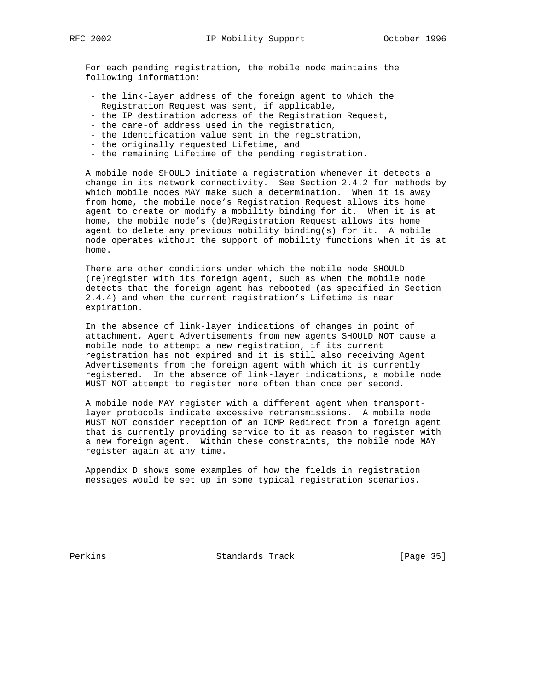For each pending registration, the mobile node maintains the following information:

- the link-layer address of the foreign agent to which the Registration Request was sent, if applicable,
- the IP destination address of the Registration Request,
- the care-of address used in the registration,
- the Identification value sent in the registration,
- the originally requested Lifetime, and
- the remaining Lifetime of the pending registration.

 A mobile node SHOULD initiate a registration whenever it detects a change in its network connectivity. See Section 2.4.2 for methods by which mobile nodes MAY make such a determination. When it is away from home, the mobile node's Registration Request allows its home agent to create or modify a mobility binding for it. When it is at home, the mobile node's (de)Registration Request allows its home agent to delete any previous mobility binding(s) for it. A mobile node operates without the support of mobility functions when it is at home.

 There are other conditions under which the mobile node SHOULD (re)register with its foreign agent, such as when the mobile node detects that the foreign agent has rebooted (as specified in Section 2.4.4) and when the current registration's Lifetime is near expiration.

 In the absence of link-layer indications of changes in point of attachment, Agent Advertisements from new agents SHOULD NOT cause a mobile node to attempt a new registration, if its current registration has not expired and it is still also receiving Agent Advertisements from the foreign agent with which it is currently registered. In the absence of link-layer indications, a mobile node MUST NOT attempt to register more often than once per second.

 A mobile node MAY register with a different agent when transport layer protocols indicate excessive retransmissions. A mobile node MUST NOT consider reception of an ICMP Redirect from a foreign agent that is currently providing service to it as reason to register with a new foreign agent. Within these constraints, the mobile node MAY register again at any time.

 Appendix D shows some examples of how the fields in registration messages would be set up in some typical registration scenarios.

Perkins Standards Track [Page 35]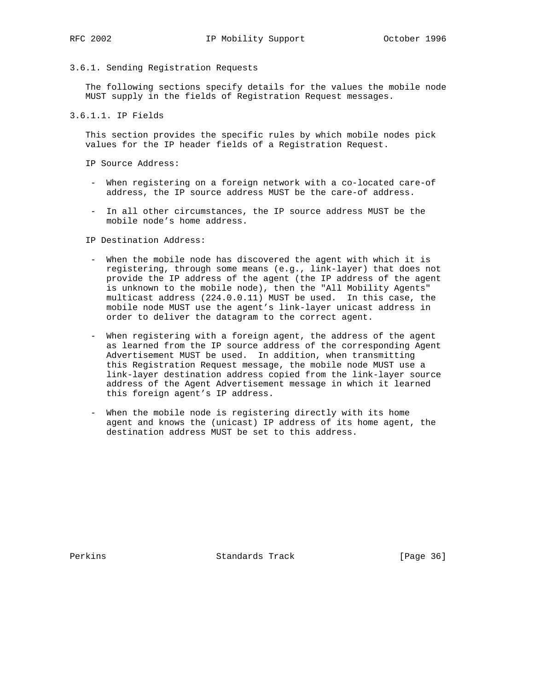## 3.6.1. Sending Registration Requests

 The following sections specify details for the values the mobile node MUST supply in the fields of Registration Request messages.

3.6.1.1. IP Fields

 This section provides the specific rules by which mobile nodes pick values for the IP header fields of a Registration Request.

- IP Source Address:
	- When registering on a foreign network with a co-located care-of address, the IP source address MUST be the care-of address.
	- In all other circumstances, the IP source address MUST be the mobile node's home address.

IP Destination Address:

- When the mobile node has discovered the agent with which it is registering, through some means (e.g., link-layer) that does not provide the IP address of the agent (the IP address of the agent is unknown to the mobile node), then the "All Mobility Agents" multicast address (224.0.0.11) MUST be used. In this case, the mobile node MUST use the agent's link-layer unicast address in order to deliver the datagram to the correct agent.
- When registering with a foreign agent, the address of the agent as learned from the IP source address of the corresponding Agent Advertisement MUST be used. In addition, when transmitting this Registration Request message, the mobile node MUST use a link-layer destination address copied from the link-layer source address of the Agent Advertisement message in which it learned this foreign agent's IP address.
- When the mobile node is registering directly with its home agent and knows the (unicast) IP address of its home agent, the destination address MUST be set to this address.

Perkins **Standards Track** [Page 36]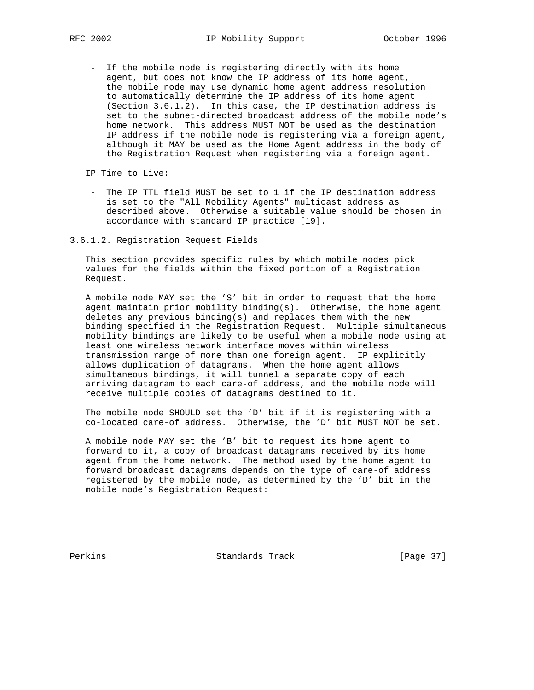- If the mobile node is registering directly with its home agent, but does not know the IP address of its home agent, the mobile node may use dynamic home agent address resolution to automatically determine the IP address of its home agent (Section 3.6.1.2). In this case, the IP destination address is set to the subnet-directed broadcast address of the mobile node's home network. This address MUST NOT be used as the destination IP address if the mobile node is registering via a foreign agent, although it MAY be used as the Home Agent address in the body of the Registration Request when registering via a foreign agent.

IP Time to Live:

- The IP TTL field MUST be set to 1 if the IP destination address is set to the "All Mobility Agents" multicast address as described above. Otherwise a suitable value should be chosen in accordance with standard IP practice [19].
- 3.6.1.2. Registration Request Fields

 This section provides specific rules by which mobile nodes pick values for the fields within the fixed portion of a Registration Request.

 A mobile node MAY set the 'S' bit in order to request that the home agent maintain prior mobility binding(s). Otherwise, the home agent deletes any previous binding(s) and replaces them with the new binding specified in the Registration Request. Multiple simultaneous mobility bindings are likely to be useful when a mobile node using at least one wireless network interface moves within wireless transmission range of more than one foreign agent. IP explicitly allows duplication of datagrams. When the home agent allows simultaneous bindings, it will tunnel a separate copy of each arriving datagram to each care-of address, and the mobile node will receive multiple copies of datagrams destined to it.

 The mobile node SHOULD set the 'D' bit if it is registering with a co-located care-of address. Otherwise, the 'D' bit MUST NOT be set.

 A mobile node MAY set the 'B' bit to request its home agent to forward to it, a copy of broadcast datagrams received by its home agent from the home network. The method used by the home agent to forward broadcast datagrams depends on the type of care-of address registered by the mobile node, as determined by the 'D' bit in the mobile node's Registration Request:

Perkins Standards Track [Page 37]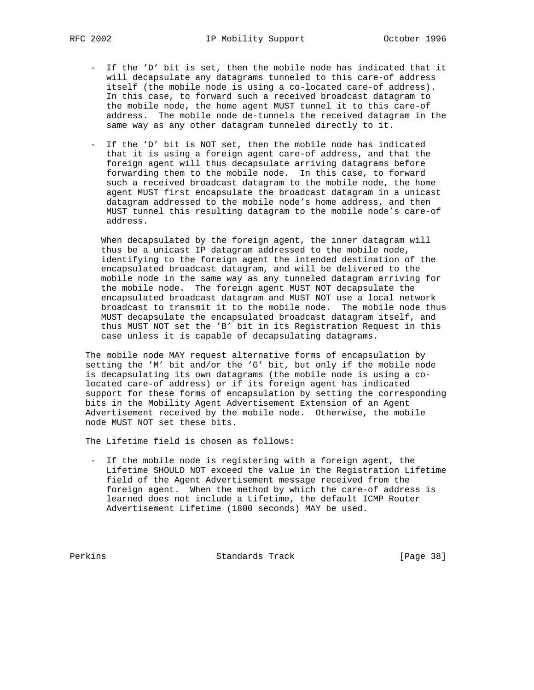- If the 'D' bit is set, then the mobile node has indicated that it will decapsulate any datagrams tunneled to this care-of address itself (the mobile node is using a co-located care-of address). In this case, to forward such a received broadcast datagram to the mobile node, the home agent MUST tunnel it to this care-of address. The mobile node de-tunnels the received datagram in the same way as any other datagram tunneled directly to it.
- If the 'D' bit is NOT set, then the mobile node has indicated that it is using a foreign agent care-of address, and that the foreign agent will thus decapsulate arriving datagrams before forwarding them to the mobile node. In this case, to forward such a received broadcast datagram to the mobile node, the home agent MUST first encapsulate the broadcast datagram in a unicast datagram addressed to the mobile node's home address, and then MUST tunnel this resulting datagram to the mobile node's care-of address.

 When decapsulated by the foreign agent, the inner datagram will thus be a unicast IP datagram addressed to the mobile node, identifying to the foreign agent the intended destination of the encapsulated broadcast datagram, and will be delivered to the mobile node in the same way as any tunneled datagram arriving for the mobile node. The foreign agent MUST NOT decapsulate the encapsulated broadcast datagram and MUST NOT use a local network broadcast to transmit it to the mobile node. The mobile node thus MUST decapsulate the encapsulated broadcast datagram itself, and thus MUST NOT set the 'B' bit in its Registration Request in this case unless it is capable of decapsulating datagrams.

 The mobile node MAY request alternative forms of encapsulation by setting the 'M' bit and/or the 'G' bit, but only if the mobile node is decapsulating its own datagrams (the mobile node is using a co located care-of address) or if its foreign agent has indicated support for these forms of encapsulation by setting the corresponding bits in the Mobility Agent Advertisement Extension of an Agent Advertisement received by the mobile node. Otherwise, the mobile node MUST NOT set these bits.

The Lifetime field is chosen as follows:

 - If the mobile node is registering with a foreign agent, the Lifetime SHOULD NOT exceed the value in the Registration Lifetime field of the Agent Advertisement message received from the foreign agent. When the method by which the care-of address is learned does not include a Lifetime, the default ICMP Router Advertisement Lifetime (1800 seconds) MAY be used.

Perkins Standards Track [Page 38]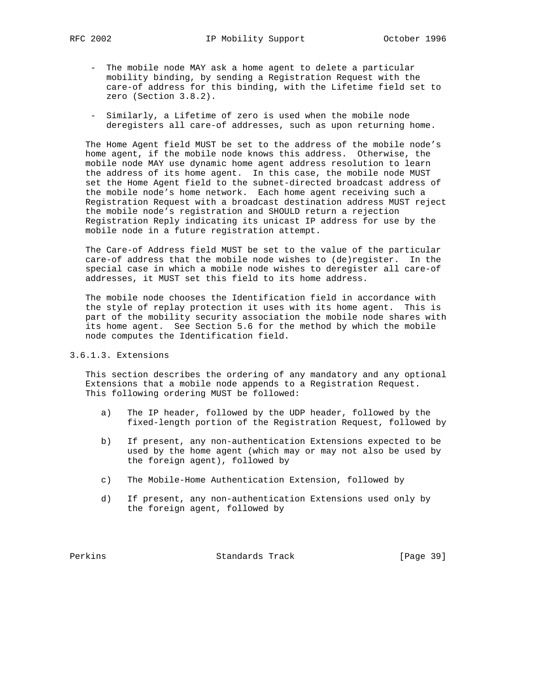- The mobile node MAY ask a home agent to delete a particular mobility binding, by sending a Registration Request with the care-of address for this binding, with the Lifetime field set to zero (Section 3.8.2).
- Similarly, a Lifetime of zero is used when the mobile node deregisters all care-of addresses, such as upon returning home.

 The Home Agent field MUST be set to the address of the mobile node's home agent, if the mobile node knows this address. Otherwise, the mobile node MAY use dynamic home agent address resolution to learn the address of its home agent. In this case, the mobile node MUST set the Home Agent field to the subnet-directed broadcast address of the mobile node's home network. Each home agent receiving such a Registration Request with a broadcast destination address MUST reject the mobile node's registration and SHOULD return a rejection Registration Reply indicating its unicast IP address for use by the mobile node in a future registration attempt.

 The Care-of Address field MUST be set to the value of the particular care-of address that the mobile node wishes to (de)register. In the special case in which a mobile node wishes to deregister all care-of addresses, it MUST set this field to its home address.

 The mobile node chooses the Identification field in accordance with the style of replay protection it uses with its home agent. This is part of the mobility security association the mobile node shares with its home agent. See Section 5.6 for the method by which the mobile node computes the Identification field.

### 3.6.1.3. Extensions

 This section describes the ordering of any mandatory and any optional Extensions that a mobile node appends to a Registration Request. This following ordering MUST be followed:

- a) The IP header, followed by the UDP header, followed by the fixed-length portion of the Registration Request, followed by
- b) If present, any non-authentication Extensions expected to be used by the home agent (which may or may not also be used by the foreign agent), followed by
- c) The Mobile-Home Authentication Extension, followed by
- d) If present, any non-authentication Extensions used only by the foreign agent, followed by

Perkins Standards Track [Page 39]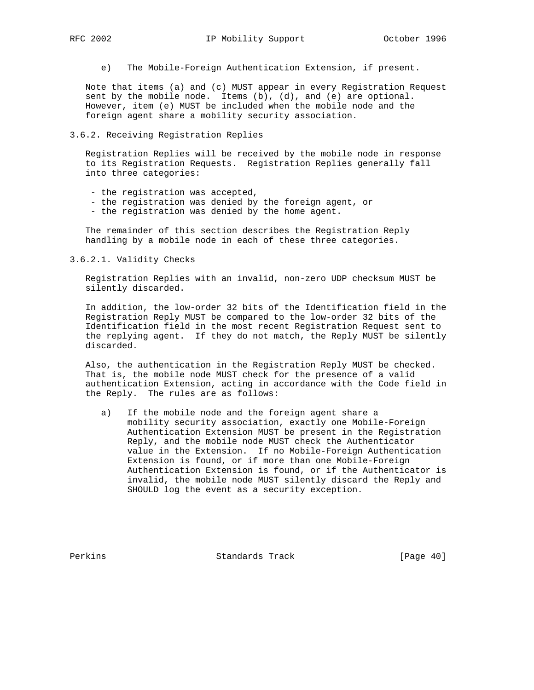e) The Mobile-Foreign Authentication Extension, if present.

 Note that items (a) and (c) MUST appear in every Registration Request sent by the mobile node. Items (b), (d), and (e) are optional. However, item (e) MUST be included when the mobile node and the foreign agent share a mobility security association.

#### 3.6.2. Receiving Registration Replies

 Registration Replies will be received by the mobile node in response to its Registration Requests. Registration Replies generally fall into three categories:

- the registration was accepted,
- the registration was denied by the foreign agent, or
- the registration was denied by the home agent.

 The remainder of this section describes the Registration Reply handling by a mobile node in each of these three categories.

#### 3.6.2.1. Validity Checks

 Registration Replies with an invalid, non-zero UDP checksum MUST be silently discarded.

 In addition, the low-order 32 bits of the Identification field in the Registration Reply MUST be compared to the low-order 32 bits of the Identification field in the most recent Registration Request sent to the replying agent. If they do not match, the Reply MUST be silently discarded.

 Also, the authentication in the Registration Reply MUST be checked. That is, the mobile node MUST check for the presence of a valid authentication Extension, acting in accordance with the Code field in the Reply. The rules are as follows:

 a) If the mobile node and the foreign agent share a mobility security association, exactly one Mobile-Foreign Authentication Extension MUST be present in the Registration Reply, and the mobile node MUST check the Authenticator value in the Extension. If no Mobile-Foreign Authentication Extension is found, or if more than one Mobile-Foreign Authentication Extension is found, or if the Authenticator is invalid, the mobile node MUST silently discard the Reply and SHOULD log the event as a security exception.

Perkins Standards Track [Page 40]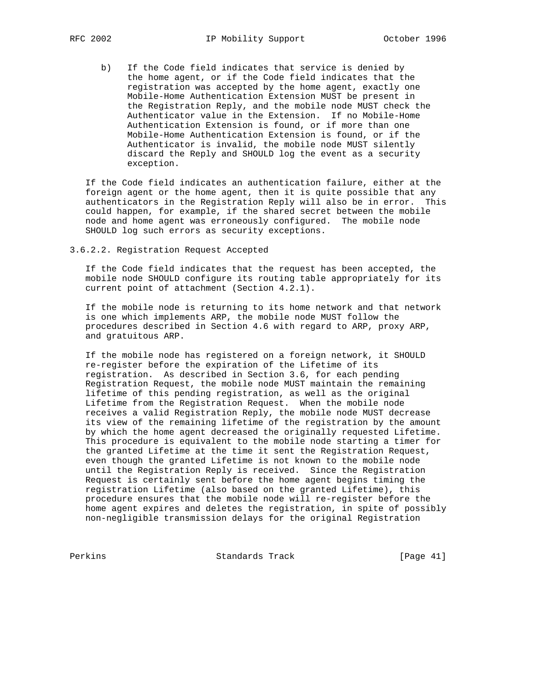b) If the Code field indicates that service is denied by the home agent, or if the Code field indicates that the registration was accepted by the home agent, exactly one Mobile-Home Authentication Extension MUST be present in the Registration Reply, and the mobile node MUST check the Authenticator value in the Extension. If no Mobile-Home Authentication Extension is found, or if more than one Mobile-Home Authentication Extension is found, or if the Authenticator is invalid, the mobile node MUST silently discard the Reply and SHOULD log the event as a security exception.

 If the Code field indicates an authentication failure, either at the foreign agent or the home agent, then it is quite possible that any authenticators in the Registration Reply will also be in error. This could happen, for example, if the shared secret between the mobile node and home agent was erroneously configured. The mobile node SHOULD log such errors as security exceptions.

3.6.2.2. Registration Request Accepted

 If the Code field indicates that the request has been accepted, the mobile node SHOULD configure its routing table appropriately for its current point of attachment (Section 4.2.1).

 If the mobile node is returning to its home network and that network is one which implements ARP, the mobile node MUST follow the procedures described in Section 4.6 with regard to ARP, proxy ARP, and gratuitous ARP.

 If the mobile node has registered on a foreign network, it SHOULD re-register before the expiration of the Lifetime of its registration. As described in Section 3.6, for each pending Registration Request, the mobile node MUST maintain the remaining lifetime of this pending registration, as well as the original Lifetime from the Registration Request. When the mobile node receives a valid Registration Reply, the mobile node MUST decrease its view of the remaining lifetime of the registration by the amount by which the home agent decreased the originally requested Lifetime. This procedure is equivalent to the mobile node starting a timer for the granted Lifetime at the time it sent the Registration Request, even though the granted Lifetime is not known to the mobile node until the Registration Reply is received. Since the Registration Request is certainly sent before the home agent begins timing the registration Lifetime (also based on the granted Lifetime), this procedure ensures that the mobile node will re-register before the home agent expires and deletes the registration, in spite of possibly non-negligible transmission delays for the original Registration

Perkins Standards Track [Page 41]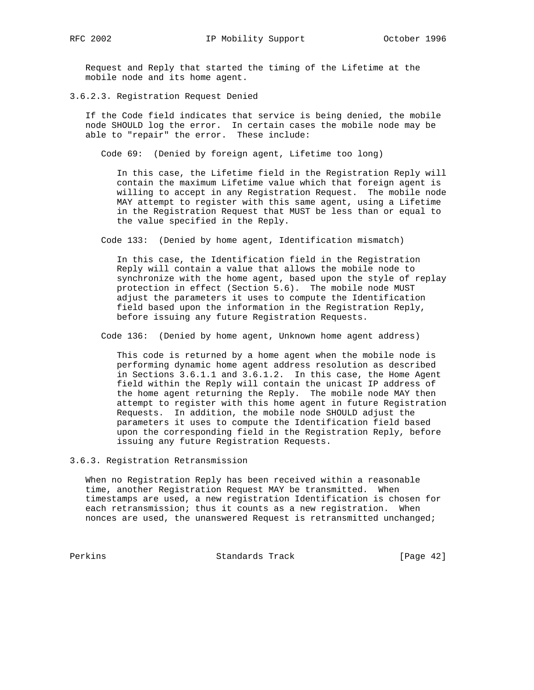Request and Reply that started the timing of the Lifetime at the mobile node and its home agent.

3.6.2.3. Registration Request Denied

 If the Code field indicates that service is being denied, the mobile node SHOULD log the error. In certain cases the mobile node may be able to "repair" the error. These include:

Code 69: (Denied by foreign agent, Lifetime too long)

 In this case, the Lifetime field in the Registration Reply will contain the maximum Lifetime value which that foreign agent is willing to accept in any Registration Request. The mobile node MAY attempt to register with this same agent, using a Lifetime in the Registration Request that MUST be less than or equal to the value specified in the Reply.

Code 133: (Denied by home agent, Identification mismatch)

 In this case, the Identification field in the Registration Reply will contain a value that allows the mobile node to synchronize with the home agent, based upon the style of replay protection in effect (Section 5.6). The mobile node MUST adjust the parameters it uses to compute the Identification field based upon the information in the Registration Reply, before issuing any future Registration Requests.

Code 136: (Denied by home agent, Unknown home agent address)

 This code is returned by a home agent when the mobile node is performing dynamic home agent address resolution as described in Sections 3.6.1.1 and 3.6.1.2. In this case, the Home Agent field within the Reply will contain the unicast IP address of the home agent returning the Reply. The mobile node MAY then attempt to register with this home agent in future Registration Requests. In addition, the mobile node SHOULD adjust the parameters it uses to compute the Identification field based upon the corresponding field in the Registration Reply, before issuing any future Registration Requests.

3.6.3. Registration Retransmission

 When no Registration Reply has been received within a reasonable time, another Registration Request MAY be transmitted. When timestamps are used, a new registration Identification is chosen for each retransmission; thus it counts as a new registration. When nonces are used, the unanswered Request is retransmitted unchanged;

Perkins **Standards Track** [Page 42]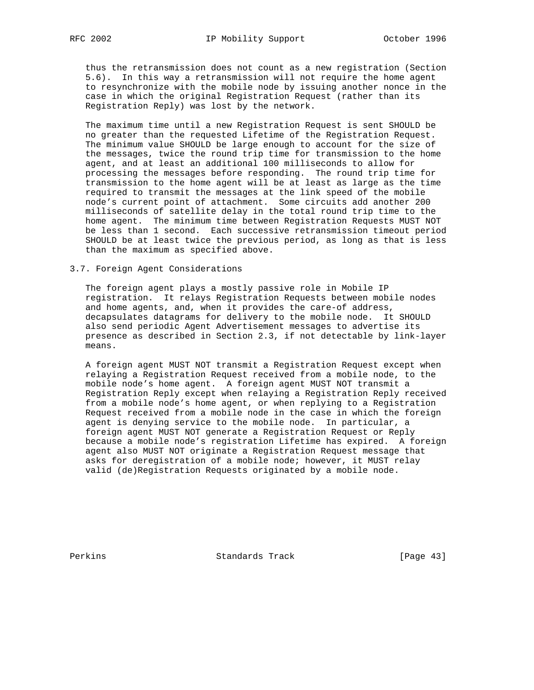thus the retransmission does not count as a new registration (Section 5.6). In this way a retransmission will not require the home agent to resynchronize with the mobile node by issuing another nonce in the case in which the original Registration Request (rather than its Registration Reply) was lost by the network.

 The maximum time until a new Registration Request is sent SHOULD be no greater than the requested Lifetime of the Registration Request. The minimum value SHOULD be large enough to account for the size of the messages, twice the round trip time for transmission to the home agent, and at least an additional 100 milliseconds to allow for processing the messages before responding. The round trip time for transmission to the home agent will be at least as large as the time required to transmit the messages at the link speed of the mobile node's current point of attachment. Some circuits add another 200 milliseconds of satellite delay in the total round trip time to the home agent. The minimum time between Registration Requests MUST NOT be less than 1 second. Each successive retransmission timeout period SHOULD be at least twice the previous period, as long as that is less than the maximum as specified above.

## 3.7. Foreign Agent Considerations

 The foreign agent plays a mostly passive role in Mobile IP registration. It relays Registration Requests between mobile nodes and home agents, and, when it provides the care-of address, decapsulates datagrams for delivery to the mobile node. It SHOULD also send periodic Agent Advertisement messages to advertise its presence as described in Section 2.3, if not detectable by link-layer means.

 A foreign agent MUST NOT transmit a Registration Request except when relaying a Registration Request received from a mobile node, to the mobile node's home agent. A foreign agent MUST NOT transmit a Registration Reply except when relaying a Registration Reply received from a mobile node's home agent, or when replying to a Registration Request received from a mobile node in the case in which the foreign agent is denying service to the mobile node. In particular, a foreign agent MUST NOT generate a Registration Request or Reply because a mobile node's registration Lifetime has expired. A foreign agent also MUST NOT originate a Registration Request message that asks for deregistration of a mobile node; however, it MUST relay valid (de)Registration Requests originated by a mobile node.

Perkins Standards Track [Page 43]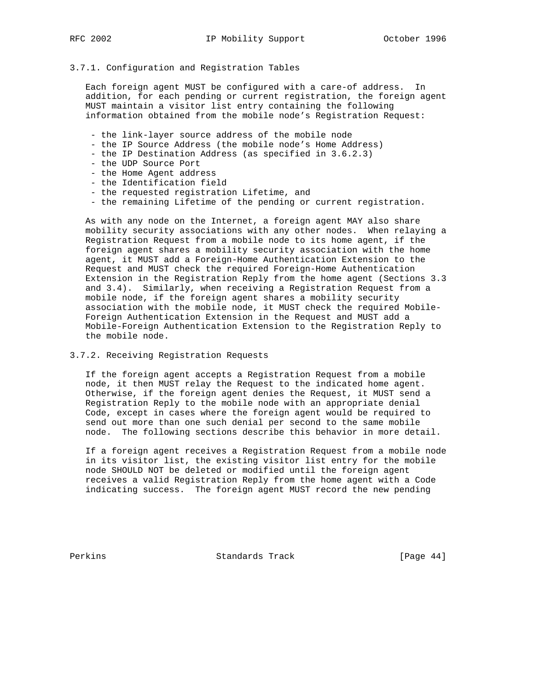# 3.7.1. Configuration and Registration Tables

 Each foreign agent MUST be configured with a care-of address. In addition, for each pending or current registration, the foreign agent MUST maintain a visitor list entry containing the following information obtained from the mobile node's Registration Request:

- the link-layer source address of the mobile node
- the IP Source Address (the mobile node's Home Address)
- the IP Destination Address (as specified in 3.6.2.3)
- the UDP Source Port
- the Home Agent address
- the Identification field
- the requested registration Lifetime, and
- the remaining Lifetime of the pending or current registration.

 As with any node on the Internet, a foreign agent MAY also share mobility security associations with any other nodes. When relaying a Registration Request from a mobile node to its home agent, if the foreign agent shares a mobility security association with the home agent, it MUST add a Foreign-Home Authentication Extension to the Request and MUST check the required Foreign-Home Authentication Extension in the Registration Reply from the home agent (Sections 3.3 and 3.4). Similarly, when receiving a Registration Request from a mobile node, if the foreign agent shares a mobility security association with the mobile node, it MUST check the required Mobile- Foreign Authentication Extension in the Request and MUST add a Mobile-Foreign Authentication Extension to the Registration Reply to the mobile node.

## 3.7.2. Receiving Registration Requests

 If the foreign agent accepts a Registration Request from a mobile node, it then MUST relay the Request to the indicated home agent. Otherwise, if the foreign agent denies the Request, it MUST send a Registration Reply to the mobile node with an appropriate denial Code, except in cases where the foreign agent would be required to send out more than one such denial per second to the same mobile node. The following sections describe this behavior in more detail.

 If a foreign agent receives a Registration Request from a mobile node in its visitor list, the existing visitor list entry for the mobile node SHOULD NOT be deleted or modified until the foreign agent receives a valid Registration Reply from the home agent with a Code indicating success. The foreign agent MUST record the new pending

Perkins Standards Track [Page 44]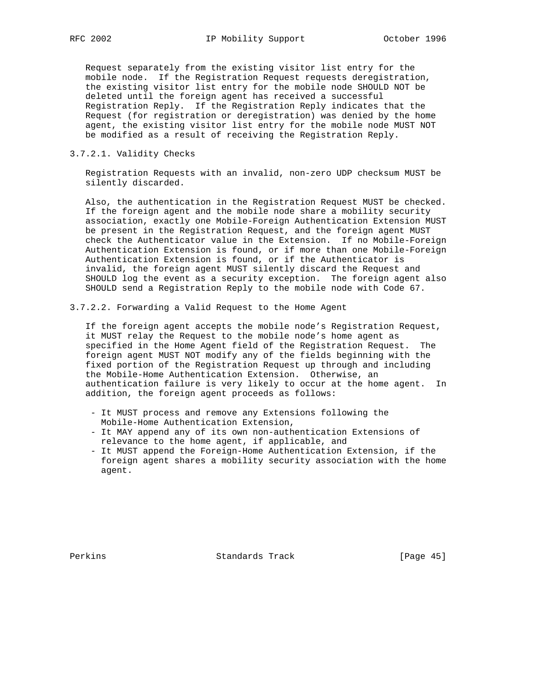Request separately from the existing visitor list entry for the mobile node. If the Registration Request requests deregistration, the existing visitor list entry for the mobile node SHOULD NOT be deleted until the foreign agent has received a successful Registration Reply. If the Registration Reply indicates that the Request (for registration or deregistration) was denied by the home agent, the existing visitor list entry for the mobile node MUST NOT be modified as a result of receiving the Registration Reply.

3.7.2.1. Validity Checks

 Registration Requests with an invalid, non-zero UDP checksum MUST be silently discarded.

 Also, the authentication in the Registration Request MUST be checked. If the foreign agent and the mobile node share a mobility security association, exactly one Mobile-Foreign Authentication Extension MUST be present in the Registration Request, and the foreign agent MUST check the Authenticator value in the Extension. If no Mobile-Foreign Authentication Extension is found, or if more than one Mobile-Foreign Authentication Extension is found, or if the Authenticator is invalid, the foreign agent MUST silently discard the Request and SHOULD log the event as a security exception. The foreign agent also SHOULD send a Registration Reply to the mobile node with Code 67.

3.7.2.2. Forwarding a Valid Request to the Home Agent

 If the foreign agent accepts the mobile node's Registration Request, it MUST relay the Request to the mobile node's home agent as specified in the Home Agent field of the Registration Request. The foreign agent MUST NOT modify any of the fields beginning with the fixed portion of the Registration Request up through and including the Mobile-Home Authentication Extension. Otherwise, an authentication failure is very likely to occur at the home agent. In addition, the foreign agent proceeds as follows:

- It MUST process and remove any Extensions following the Mobile-Home Authentication Extension,
- It MAY append any of its own non-authentication Extensions of relevance to the home agent, if applicable, and
- It MUST append the Foreign-Home Authentication Extension, if the foreign agent shares a mobility security association with the home agent.

Perkins Standards Track [Page 45]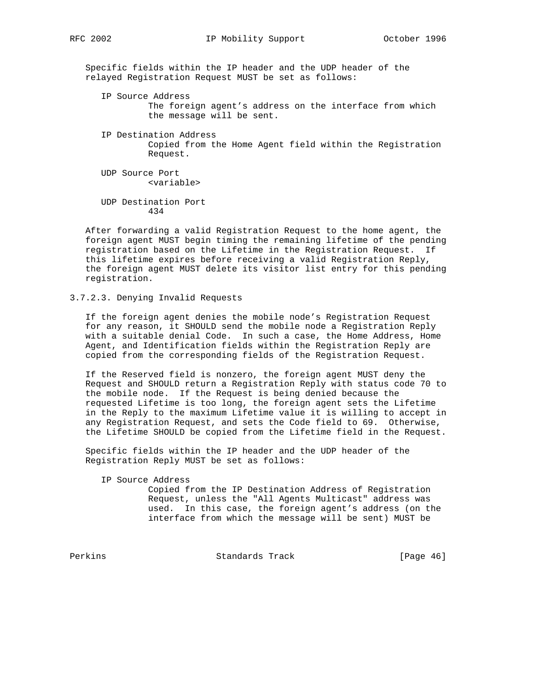Specific fields within the IP header and the UDP header of the relayed Registration Request MUST be set as follows:

- IP Source Address The foreign agent's address on the interface from which the message will be sent.
- IP Destination Address Copied from the Home Agent field within the Registration Request.

 UDP Source Port <variable>

 UDP Destination Port 434

 After forwarding a valid Registration Request to the home agent, the foreign agent MUST begin timing the remaining lifetime of the pending registration based on the Lifetime in the Registration Request. If this lifetime expires before receiving a valid Registration Reply, the foreign agent MUST delete its visitor list entry for this pending registration.

# 3.7.2.3. Denying Invalid Requests

 If the foreign agent denies the mobile node's Registration Request for any reason, it SHOULD send the mobile node a Registration Reply with a suitable denial Code. In such a case, the Home Address, Home Agent, and Identification fields within the Registration Reply are copied from the corresponding fields of the Registration Request.

 If the Reserved field is nonzero, the foreign agent MUST deny the Request and SHOULD return a Registration Reply with status code 70 to the mobile node. If the Request is being denied because the requested Lifetime is too long, the foreign agent sets the Lifetime in the Reply to the maximum Lifetime value it is willing to accept in any Registration Request, and sets the Code field to 69. Otherwise, the Lifetime SHOULD be copied from the Lifetime field in the Request.

 Specific fields within the IP header and the UDP header of the Registration Reply MUST be set as follows:

IP Source Address

 Copied from the IP Destination Address of Registration Request, unless the "All Agents Multicast" address was used. In this case, the foreign agent's address (on the interface from which the message will be sent) MUST be

Perkins **Standards Track** [Page 46]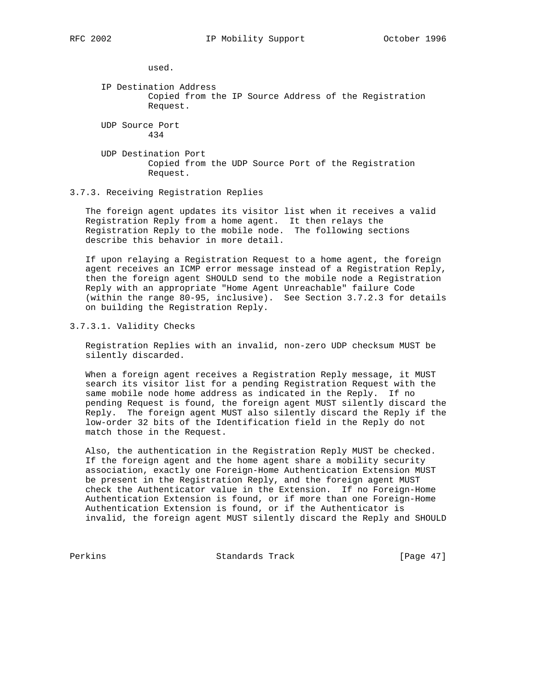used.

- IP Destination Address Copied from the IP Source Address of the Registration Request.
- UDP Source Port 434
- UDP Destination Port Copied from the UDP Source Port of the Registration Request.
- 3.7.3. Receiving Registration Replies

 The foreign agent updates its visitor list when it receives a valid Registration Reply from a home agent. It then relays the Registration Reply to the mobile node. The following sections describe this behavior in more detail.

 If upon relaying a Registration Request to a home agent, the foreign agent receives an ICMP error message instead of a Registration Reply, then the foreign agent SHOULD send to the mobile node a Registration Reply with an appropriate "Home Agent Unreachable" failure Code (within the range 80-95, inclusive). See Section 3.7.2.3 for details on building the Registration Reply.

3.7.3.1. Validity Checks

 Registration Replies with an invalid, non-zero UDP checksum MUST be silently discarded.

 When a foreign agent receives a Registration Reply message, it MUST search its visitor list for a pending Registration Request with the same mobile node home address as indicated in the Reply. If no pending Request is found, the foreign agent MUST silently discard the Reply. The foreign agent MUST also silently discard the Reply if the low-order 32 bits of the Identification field in the Reply do not match those in the Request.

 Also, the authentication in the Registration Reply MUST be checked. If the foreign agent and the home agent share a mobility security association, exactly one Foreign-Home Authentication Extension MUST be present in the Registration Reply, and the foreign agent MUST check the Authenticator value in the Extension. If no Foreign-Home Authentication Extension is found, or if more than one Foreign-Home Authentication Extension is found, or if the Authenticator is invalid, the foreign agent MUST silently discard the Reply and SHOULD

Perkins **Standards Track** [Page 47]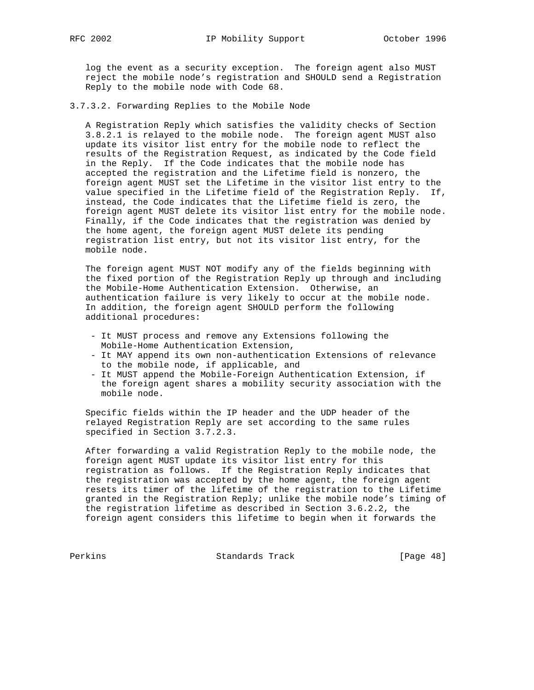log the event as a security exception. The foreign agent also MUST reject the mobile node's registration and SHOULD send a Registration Reply to the mobile node with Code 68.

3.7.3.2. Forwarding Replies to the Mobile Node

 A Registration Reply which satisfies the validity checks of Section 3.8.2.1 is relayed to the mobile node. The foreign agent MUST also update its visitor list entry for the mobile node to reflect the results of the Registration Request, as indicated by the Code field in the Reply. If the Code indicates that the mobile node has accepted the registration and the Lifetime field is nonzero, the foreign agent MUST set the Lifetime in the visitor list entry to the value specified in the Lifetime field of the Registration Reply. If, instead, the Code indicates that the Lifetime field is zero, the foreign agent MUST delete its visitor list entry for the mobile node. Finally, if the Code indicates that the registration was denied by the home agent, the foreign agent MUST delete its pending registration list entry, but not its visitor list entry, for the mobile node.

 The foreign agent MUST NOT modify any of the fields beginning with the fixed portion of the Registration Reply up through and including the Mobile-Home Authentication Extension. Otherwise, an authentication failure is very likely to occur at the mobile node. In addition, the foreign agent SHOULD perform the following additional procedures:

- It MUST process and remove any Extensions following the Mobile-Home Authentication Extension,
- It MAY append its own non-authentication Extensions of relevance to the mobile node, if applicable, and
- It MUST append the Mobile-Foreign Authentication Extension, if the foreign agent shares a mobility security association with the mobile node.

 Specific fields within the IP header and the UDP header of the relayed Registration Reply are set according to the same rules specified in Section 3.7.2.3.

 After forwarding a valid Registration Reply to the mobile node, the foreign agent MUST update its visitor list entry for this registration as follows. If the Registration Reply indicates that the registration was accepted by the home agent, the foreign agent resets its timer of the lifetime of the registration to the Lifetime granted in the Registration Reply; unlike the mobile node's timing of the registration lifetime as described in Section 3.6.2.2, the foreign agent considers this lifetime to begin when it forwards the

Perkins **Standards Track** [Page 48]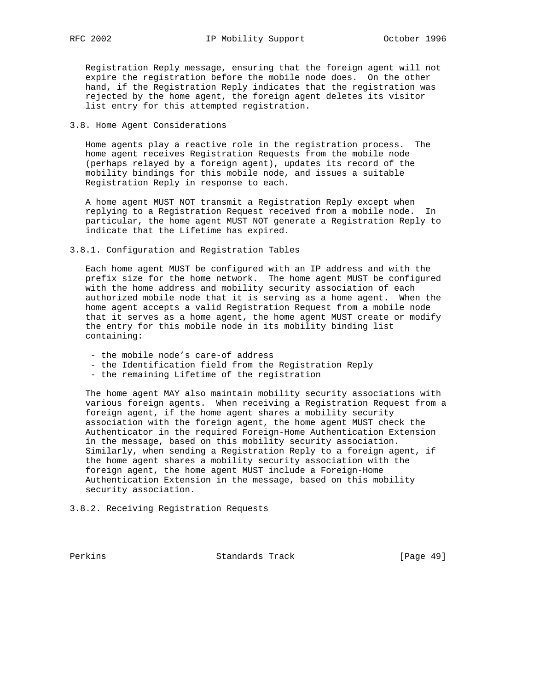Registration Reply message, ensuring that the foreign agent will not expire the registration before the mobile node does. On the other hand, if the Registration Reply indicates that the registration was rejected by the home agent, the foreign agent deletes its visitor list entry for this attempted registration.

## 3.8. Home Agent Considerations

 Home agents play a reactive role in the registration process. The home agent receives Registration Requests from the mobile node (perhaps relayed by a foreign agent), updates its record of the mobility bindings for this mobile node, and issues a suitable Registration Reply in response to each.

 A home agent MUST NOT transmit a Registration Reply except when replying to a Registration Request received from a mobile node. In particular, the home agent MUST NOT generate a Registration Reply to indicate that the Lifetime has expired.

3.8.1. Configuration and Registration Tables

 Each home agent MUST be configured with an IP address and with the prefix size for the home network. The home agent MUST be configured with the home address and mobility security association of each authorized mobile node that it is serving as a home agent. When the home agent accepts a valid Registration Request from a mobile node that it serves as a home agent, the home agent MUST create or modify the entry for this mobile node in its mobility binding list containing:

- the mobile node's care-of address
- the Identification field from the Registration Reply
- the remaining Lifetime of the registration

 The home agent MAY also maintain mobility security associations with various foreign agents. When receiving a Registration Request from a foreign agent, if the home agent shares a mobility security association with the foreign agent, the home agent MUST check the Authenticator in the required Foreign-Home Authentication Extension in the message, based on this mobility security association. Similarly, when sending a Registration Reply to a foreign agent, if the home agent shares a mobility security association with the foreign agent, the home agent MUST include a Foreign-Home Authentication Extension in the message, based on this mobility security association.

3.8.2. Receiving Registration Requests

Perkins Standards Track [Page 49]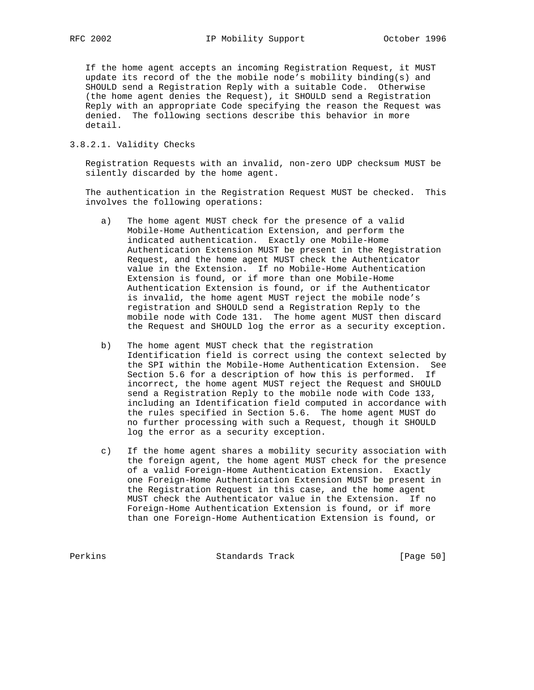If the home agent accepts an incoming Registration Request, it MUST update its record of the the mobile node's mobility binding(s) and SHOULD send a Registration Reply with a suitable Code. Otherwise (the home agent denies the Request), it SHOULD send a Registration Reply with an appropriate Code specifying the reason the Request was denied. The following sections describe this behavior in more detail.

# 3.8.2.1. Validity Checks

 Registration Requests with an invalid, non-zero UDP checksum MUST be silently discarded by the home agent.

 The authentication in the Registration Request MUST be checked. This involves the following operations:

- a) The home agent MUST check for the presence of a valid Mobile-Home Authentication Extension, and perform the indicated authentication. Exactly one Mobile-Home Authentication Extension MUST be present in the Registration Request, and the home agent MUST check the Authenticator value in the Extension. If no Mobile-Home Authentication Extension is found, or if more than one Mobile-Home Authentication Extension is found, or if the Authenticator is invalid, the home agent MUST reject the mobile node's registration and SHOULD send a Registration Reply to the mobile node with Code 131. The home agent MUST then discard the Request and SHOULD log the error as a security exception.
- b) The home agent MUST check that the registration Identification field is correct using the context selected by the SPI within the Mobile-Home Authentication Extension. See Section 5.6 for a description of how this is performed. If incorrect, the home agent MUST reject the Request and SHOULD send a Registration Reply to the mobile node with Code 133, including an Identification field computed in accordance with the rules specified in Section 5.6. The home agent MUST do no further processing with such a Request, though it SHOULD log the error as a security exception.
- c) If the home agent shares a mobility security association with the foreign agent, the home agent MUST check for the presence of a valid Foreign-Home Authentication Extension. Exactly one Foreign-Home Authentication Extension MUST be present in the Registration Request in this case, and the home agent MUST check the Authenticator value in the Extension. If no Foreign-Home Authentication Extension is found, or if more than one Foreign-Home Authentication Extension is found, or

Perkins **Standards Track** [Page 50]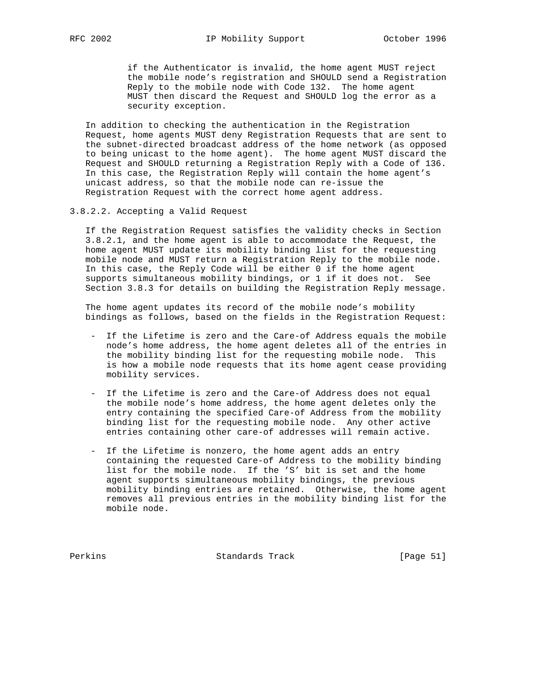if the Authenticator is invalid, the home agent MUST reject the mobile node's registration and SHOULD send a Registration Reply to the mobile node with Code 132. The home agent MUST then discard the Request and SHOULD log the error as a security exception.

 In addition to checking the authentication in the Registration Request, home agents MUST deny Registration Requests that are sent to the subnet-directed broadcast address of the home network (as opposed to being unicast to the home agent). The home agent MUST discard the Request and SHOULD returning a Registration Reply with a Code of 136. In this case, the Registration Reply will contain the home agent's unicast address, so that the mobile node can re-issue the Registration Request with the correct home agent address.

3.8.2.2. Accepting a Valid Request

 If the Registration Request satisfies the validity checks in Section 3.8.2.1, and the home agent is able to accommodate the Request, the home agent MUST update its mobility binding list for the requesting mobile node and MUST return a Registration Reply to the mobile node. In this case, the Reply Code will be either 0 if the home agent supports simultaneous mobility bindings, or 1 if it does not. See Section 3.8.3 for details on building the Registration Reply message.

 The home agent updates its record of the mobile node's mobility bindings as follows, based on the fields in the Registration Request:

- If the Lifetime is zero and the Care-of Address equals the mobile node's home address, the home agent deletes all of the entries in the mobility binding list for the requesting mobile node. This is how a mobile node requests that its home agent cease providing mobility services.
- If the Lifetime is zero and the Care-of Address does not equal the mobile node's home address, the home agent deletes only the entry containing the specified Care-of Address from the mobility binding list for the requesting mobile node. Any other active entries containing other care-of addresses will remain active.
- If the Lifetime is nonzero, the home agent adds an entry containing the requested Care-of Address to the mobility binding list for the mobile node. If the 'S' bit is set and the home agent supports simultaneous mobility bindings, the previous mobility binding entries are retained. Otherwise, the home agent removes all previous entries in the mobility binding list for the mobile node.

Perkins **Example 2018** Standards Track **Example 2018** [Page 51]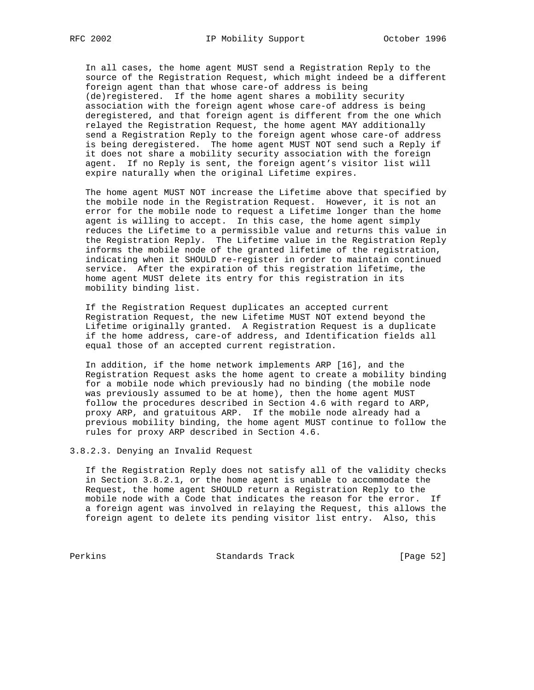In all cases, the home agent MUST send a Registration Reply to the source of the Registration Request, which might indeed be a different foreign agent than that whose care-of address is being (de)registered. If the home agent shares a mobility security association with the foreign agent whose care-of address is being deregistered, and that foreign agent is different from the one which relayed the Registration Request, the home agent MAY additionally send a Registration Reply to the foreign agent whose care-of address is being deregistered. The home agent MUST NOT send such a Reply if it does not share a mobility security association with the foreign agent. If no Reply is sent, the foreign agent's visitor list will expire naturally when the original Lifetime expires.

 The home agent MUST NOT increase the Lifetime above that specified by the mobile node in the Registration Request. However, it is not an error for the mobile node to request a Lifetime longer than the home agent is willing to accept. In this case, the home agent simply reduces the Lifetime to a permissible value and returns this value in the Registration Reply. The Lifetime value in the Registration Reply informs the mobile node of the granted lifetime of the registration, indicating when it SHOULD re-register in order to maintain continued service. After the expiration of this registration lifetime, the home agent MUST delete its entry for this registration in its mobility binding list.

 If the Registration Request duplicates an accepted current Registration Request, the new Lifetime MUST NOT extend beyond the Lifetime originally granted. A Registration Request is a duplicate if the home address, care-of address, and Identification fields all equal those of an accepted current registration.

 In addition, if the home network implements ARP [16], and the Registration Request asks the home agent to create a mobility binding for a mobile node which previously had no binding (the mobile node was previously assumed to be at home), then the home agent MUST follow the procedures described in Section 4.6 with regard to ARP, proxy ARP, and gratuitous ARP. If the mobile node already had a previous mobility binding, the home agent MUST continue to follow the rules for proxy ARP described in Section 4.6.

3.8.2.3. Denying an Invalid Request

 If the Registration Reply does not satisfy all of the validity checks in Section 3.8.2.1, or the home agent is unable to accommodate the Request, the home agent SHOULD return a Registration Reply to the mobile node with a Code that indicates the reason for the error. If a foreign agent was involved in relaying the Request, this allows the foreign agent to delete its pending visitor list entry. Also, this

Perkins **Standards Track** [Page 52]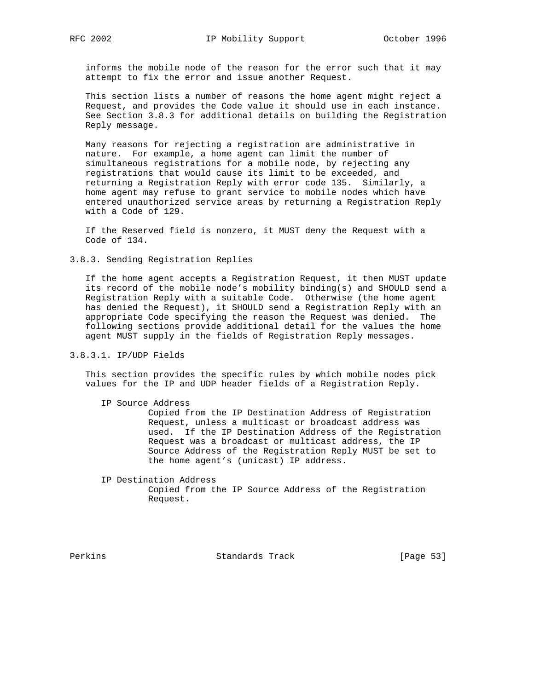informs the mobile node of the reason for the error such that it may attempt to fix the error and issue another Request.

 This section lists a number of reasons the home agent might reject a Request, and provides the Code value it should use in each instance. See Section 3.8.3 for additional details on building the Registration Reply message.

 Many reasons for rejecting a registration are administrative in nature. For example, a home agent can limit the number of simultaneous registrations for a mobile node, by rejecting any registrations that would cause its limit to be exceeded, and returning a Registration Reply with error code 135. Similarly, a home agent may refuse to grant service to mobile nodes which have entered unauthorized service areas by returning a Registration Reply with a Code of 129.

 If the Reserved field is nonzero, it MUST deny the Request with a Code of 134.

3.8.3. Sending Registration Replies

 If the home agent accepts a Registration Request, it then MUST update its record of the mobile node's mobility binding(s) and SHOULD send a Registration Reply with a suitable Code. Otherwise (the home agent has denied the Request), it SHOULD send a Registration Reply with an appropriate Code specifying the reason the Request was denied. The following sections provide additional detail for the values the home agent MUST supply in the fields of Registration Reply messages.

# 3.8.3.1. IP/UDP Fields

 This section provides the specific rules by which mobile nodes pick values for the IP and UDP header fields of a Registration Reply.

IP Source Address

 Copied from the IP Destination Address of Registration Request, unless a multicast or broadcast address was used. If the IP Destination Address of the Registration Request was a broadcast or multicast address, the IP Source Address of the Registration Reply MUST be set to the home agent's (unicast) IP address.

 IP Destination Address Copied from the IP Source Address of the Registration Request.

Perkins **Example 28** Standards Track [Page 53]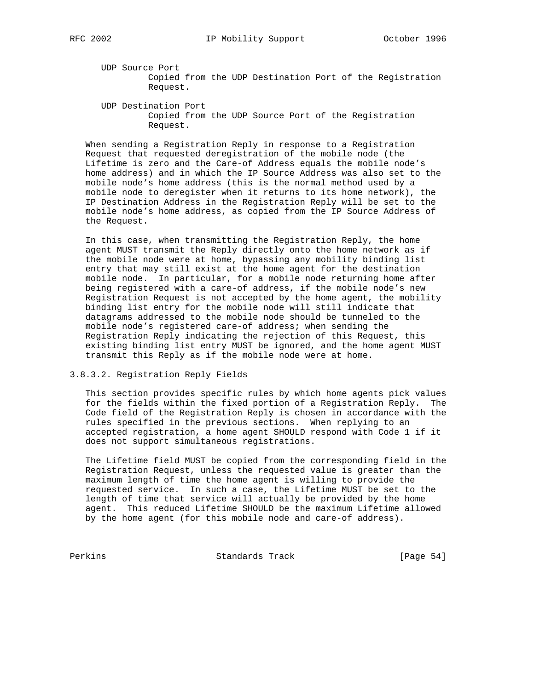- UDP Source Port Copied from the UDP Destination Port of the Registration Request.
- UDP Destination Port Copied from the UDP Source Port of the Registration Request.

 When sending a Registration Reply in response to a Registration Request that requested deregistration of the mobile node (the Lifetime is zero and the Care-of Address equals the mobile node's home address) and in which the IP Source Address was also set to the mobile node's home address (this is the normal method used by a mobile node to deregister when it returns to its home network), the IP Destination Address in the Registration Reply will be set to the mobile node's home address, as copied from the IP Source Address of the Request.

 In this case, when transmitting the Registration Reply, the home agent MUST transmit the Reply directly onto the home network as if the mobile node were at home, bypassing any mobility binding list entry that may still exist at the home agent for the destination mobile node. In particular, for a mobile node returning home after being registered with a care-of address, if the mobile node's new Registration Request is not accepted by the home agent, the mobility binding list entry for the mobile node will still indicate that datagrams addressed to the mobile node should be tunneled to the mobile node's registered care-of address; when sending the Registration Reply indicating the rejection of this Request, this existing binding list entry MUST be ignored, and the home agent MUST transmit this Reply as if the mobile node were at home.

3.8.3.2. Registration Reply Fields

 This section provides specific rules by which home agents pick values for the fields within the fixed portion of a Registration Reply. The Code field of the Registration Reply is chosen in accordance with the rules specified in the previous sections. When replying to an accepted registration, a home agent SHOULD respond with Code 1 if it does not support simultaneous registrations.

 The Lifetime field MUST be copied from the corresponding field in the Registration Request, unless the requested value is greater than the maximum length of time the home agent is willing to provide the requested service. In such a case, the Lifetime MUST be set to the length of time that service will actually be provided by the home agent. This reduced Lifetime SHOULD be the maximum Lifetime allowed by the home agent (for this mobile node and care-of address).

Perkins **Example 2** Standards Track **Frack** [Page 54]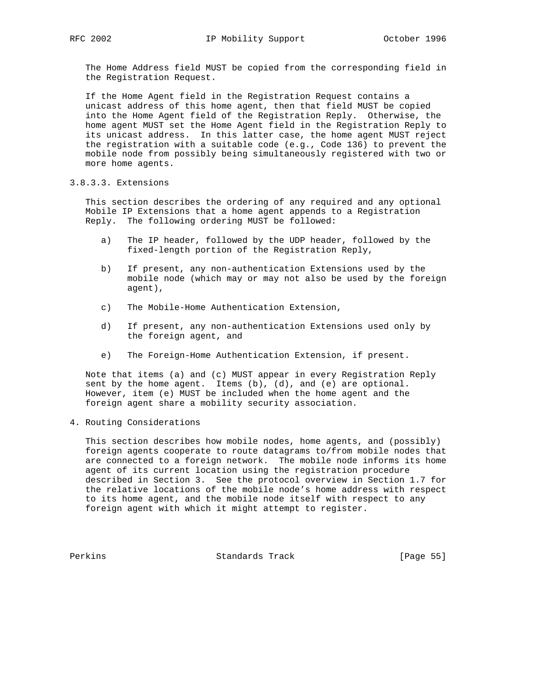The Home Address field MUST be copied from the corresponding field in the Registration Request.

 If the Home Agent field in the Registration Request contains a unicast address of this home agent, then that field MUST be copied into the Home Agent field of the Registration Reply. Otherwise, the home agent MUST set the Home Agent field in the Registration Reply to its unicast address. In this latter case, the home agent MUST reject the registration with a suitable code (e.g., Code 136) to prevent the mobile node from possibly being simultaneously registered with two or more home agents.

3.8.3.3. Extensions

 This section describes the ordering of any required and any optional Mobile IP Extensions that a home agent appends to a Registration Reply. The following ordering MUST be followed:

- a) The IP header, followed by the UDP header, followed by the fixed-length portion of the Registration Reply,
- b) If present, any non-authentication Extensions used by the mobile node (which may or may not also be used by the foreign agent),
- c) The Mobile-Home Authentication Extension,
- d) If present, any non-authentication Extensions used only by the foreign agent, and
- e) The Foreign-Home Authentication Extension, if present.

 Note that items (a) and (c) MUST appear in every Registration Reply sent by the home agent. Items (b), (d), and (e) are optional. However, item (e) MUST be included when the home agent and the foreign agent share a mobility security association.

4. Routing Considerations

 This section describes how mobile nodes, home agents, and (possibly) foreign agents cooperate to route datagrams to/from mobile nodes that are connected to a foreign network. The mobile node informs its home agent of its current location using the registration procedure described in Section 3. See the protocol overview in Section 1.7 for the relative locations of the mobile node's home address with respect to its home agent, and the mobile node itself with respect to any foreign agent with which it might attempt to register.

Perkins **Standards Track** [Page 55]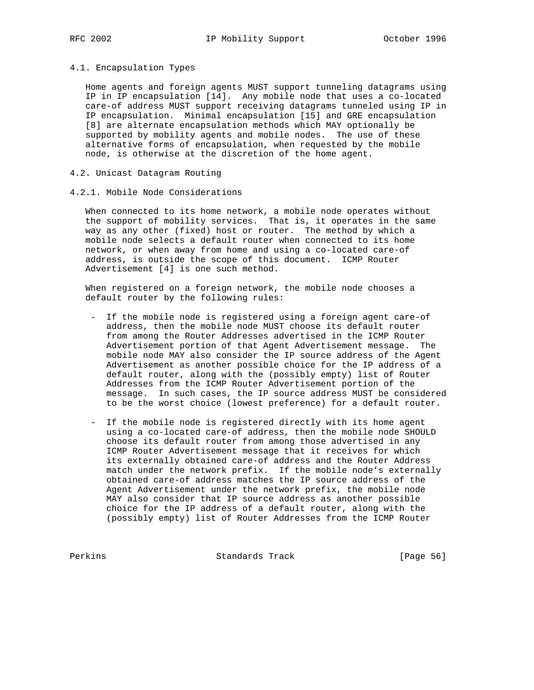## 4.1. Encapsulation Types

 Home agents and foreign agents MUST support tunneling datagrams using IP in IP encapsulation [14]. Any mobile node that uses a co-located care-of address MUST support receiving datagrams tunneled using IP in IP encapsulation. Minimal encapsulation [15] and GRE encapsulation [8] are alternate encapsulation methods which MAY optionally be supported by mobility agents and mobile nodes. The use of these alternative forms of encapsulation, when requested by the mobile node, is otherwise at the discretion of the home agent.

- 4.2. Unicast Datagram Routing
- 4.2.1. Mobile Node Considerations

 When connected to its home network, a mobile node operates without the support of mobility services. That is, it operates in the same way as any other (fixed) host or router. The method by which a mobile node selects a default router when connected to its home network, or when away from home and using a co-located care-of address, is outside the scope of this document. ICMP Router Advertisement [4] is one such method.

 When registered on a foreign network, the mobile node chooses a default router by the following rules:

- If the mobile node is registered using a foreign agent care-of address, then the mobile node MUST choose its default router from among the Router Addresses advertised in the ICMP Router Advertisement portion of that Agent Advertisement message. The mobile node MAY also consider the IP source address of the Agent Advertisement as another possible choice for the IP address of a default router, along with the (possibly empty) list of Router Addresses from the ICMP Router Advertisement portion of the message. In such cases, the IP source address MUST be considered to be the worst choice (lowest preference) for a default router.
- If the mobile node is registered directly with its home agent using a co-located care-of address, then the mobile node SHOULD choose its default router from among those advertised in any ICMP Router Advertisement message that it receives for which its externally obtained care-of address and the Router Address match under the network prefix. If the mobile node's externally obtained care-of address matches the IP source address of the Agent Advertisement under the network prefix, the mobile node MAY also consider that IP source address as another possible choice for the IP address of a default router, along with the (possibly empty) list of Router Addresses from the ICMP Router

Perkins **Example 2018** Standards Track [Page 56]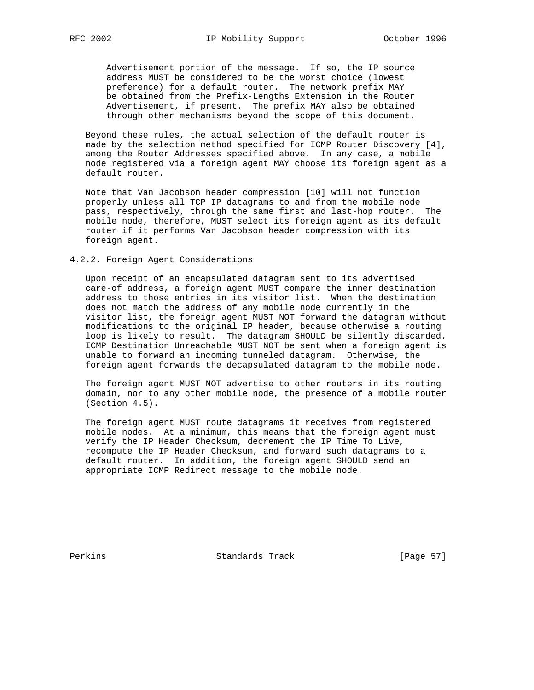Advertisement portion of the message. If so, the IP source address MUST be considered to be the worst choice (lowest preference) for a default router. The network prefix MAY be obtained from the Prefix-Lengths Extension in the Router Advertisement, if present. The prefix MAY also be obtained through other mechanisms beyond the scope of this document.

 Beyond these rules, the actual selection of the default router is made by the selection method specified for ICMP Router Discovery [4], among the Router Addresses specified above. In any case, a mobile node registered via a foreign agent MAY choose its foreign agent as a default router.

 Note that Van Jacobson header compression [10] will not function properly unless all TCP IP datagrams to and from the mobile node pass, respectively, through the same first and last-hop router. The mobile node, therefore, MUST select its foreign agent as its default router if it performs Van Jacobson header compression with its foreign agent.

4.2.2. Foreign Agent Considerations

 Upon receipt of an encapsulated datagram sent to its advertised care-of address, a foreign agent MUST compare the inner destination address to those entries in its visitor list. When the destination does not match the address of any mobile node currently in the visitor list, the foreign agent MUST NOT forward the datagram without modifications to the original IP header, because otherwise a routing loop is likely to result. The datagram SHOULD be silently discarded. ICMP Destination Unreachable MUST NOT be sent when a foreign agent is unable to forward an incoming tunneled datagram. Otherwise, the foreign agent forwards the decapsulated datagram to the mobile node.

 The foreign agent MUST NOT advertise to other routers in its routing domain, nor to any other mobile node, the presence of a mobile router (Section 4.5).

 The foreign agent MUST route datagrams it receives from registered mobile nodes. At a minimum, this means that the foreign agent must verify the IP Header Checksum, decrement the IP Time To Live, recompute the IP Header Checksum, and forward such datagrams to a default router. In addition, the foreign agent SHOULD send an appropriate ICMP Redirect message to the mobile node.

Perkins **Standards Track** [Page 57]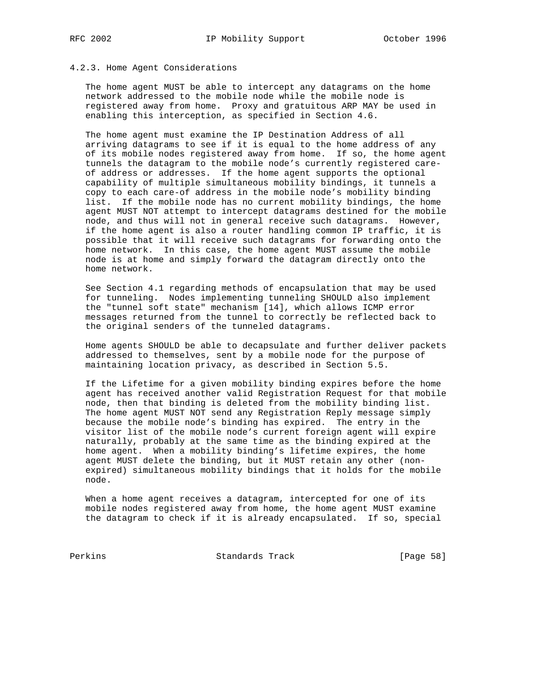# 4.2.3. Home Agent Considerations

 The home agent MUST be able to intercept any datagrams on the home network addressed to the mobile node while the mobile node is registered away from home. Proxy and gratuitous ARP MAY be used in enabling this interception, as specified in Section 4.6.

 The home agent must examine the IP Destination Address of all arriving datagrams to see if it is equal to the home address of any of its mobile nodes registered away from home. If so, the home agent tunnels the datagram to the mobile node's currently registered care of address or addresses. If the home agent supports the optional capability of multiple simultaneous mobility bindings, it tunnels a copy to each care-of address in the mobile node's mobility binding list. If the mobile node has no current mobility bindings, the home agent MUST NOT attempt to intercept datagrams destined for the mobile node, and thus will not in general receive such datagrams. However, if the home agent is also a router handling common IP traffic, it is possible that it will receive such datagrams for forwarding onto the home network. In this case, the home agent MUST assume the mobile node is at home and simply forward the datagram directly onto the home network.

 See Section 4.1 regarding methods of encapsulation that may be used for tunneling. Nodes implementing tunneling SHOULD also implement the "tunnel soft state" mechanism [14], which allows ICMP error messages returned from the tunnel to correctly be reflected back to the original senders of the tunneled datagrams.

 Home agents SHOULD be able to decapsulate and further deliver packets addressed to themselves, sent by a mobile node for the purpose of maintaining location privacy, as described in Section 5.5.

 If the Lifetime for a given mobility binding expires before the home agent has received another valid Registration Request for that mobile node, then that binding is deleted from the mobility binding list. The home agent MUST NOT send any Registration Reply message simply because the mobile node's binding has expired. The entry in the visitor list of the mobile node's current foreign agent will expire naturally, probably at the same time as the binding expired at the home agent. When a mobility binding's lifetime expires, the home agent MUST delete the binding, but it MUST retain any other (non expired) simultaneous mobility bindings that it holds for the mobile node.

 When a home agent receives a datagram, intercepted for one of its mobile nodes registered away from home, the home agent MUST examine the datagram to check if it is already encapsulated. If so, special

Perkins **Standards Track** [Page 58]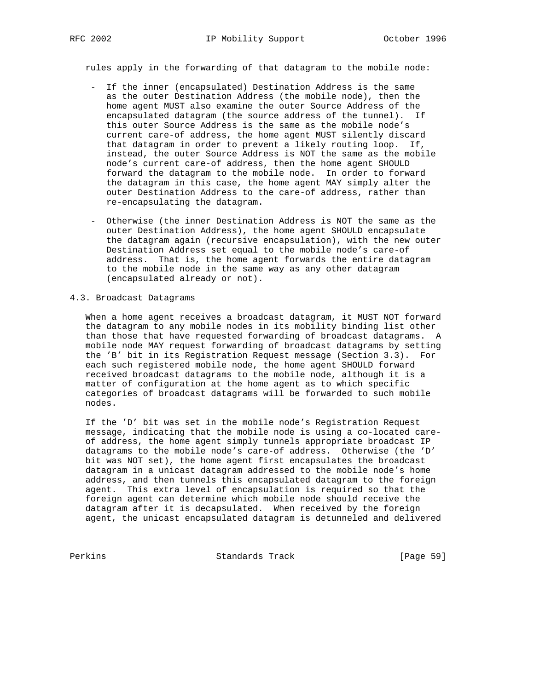rules apply in the forwarding of that datagram to the mobile node:

- If the inner (encapsulated) Destination Address is the same as the outer Destination Address (the mobile node), then the home agent MUST also examine the outer Source Address of the encapsulated datagram (the source address of the tunnel). If this outer Source Address is the same as the mobile node's current care-of address, the home agent MUST silently discard that datagram in order to prevent a likely routing loop. If, instead, the outer Source Address is NOT the same as the mobile node's current care-of address, then the home agent SHOULD forward the datagram to the mobile node. In order to forward the datagram in this case, the home agent MAY simply alter the outer Destination Address to the care-of address, rather than re-encapsulating the datagram.
- Otherwise (the inner Destination Address is NOT the same as the outer Destination Address), the home agent SHOULD encapsulate the datagram again (recursive encapsulation), with the new outer Destination Address set equal to the mobile node's care-of address. That is, the home agent forwards the entire datagram to the mobile node in the same way as any other datagram (encapsulated already or not).

#### 4.3. Broadcast Datagrams

 When a home agent receives a broadcast datagram, it MUST NOT forward the datagram to any mobile nodes in its mobility binding list other than those that have requested forwarding of broadcast datagrams. A mobile node MAY request forwarding of broadcast datagrams by setting the 'B' bit in its Registration Request message (Section 3.3). For each such registered mobile node, the home agent SHOULD forward received broadcast datagrams to the mobile node, although it is a matter of configuration at the home agent as to which specific categories of broadcast datagrams will be forwarded to such mobile nodes.

 If the 'D' bit was set in the mobile node's Registration Request message, indicating that the mobile node is using a co-located care of address, the home agent simply tunnels appropriate broadcast IP datagrams to the mobile node's care-of address. Otherwise (the 'D' bit was NOT set), the home agent first encapsulates the broadcast datagram in a unicast datagram addressed to the mobile node's home address, and then tunnels this encapsulated datagram to the foreign agent. This extra level of encapsulation is required so that the foreign agent can determine which mobile node should receive the datagram after it is decapsulated. When received by the foreign agent, the unicast encapsulated datagram is detunneled and delivered

Perkins **Standards Track** [Page 59]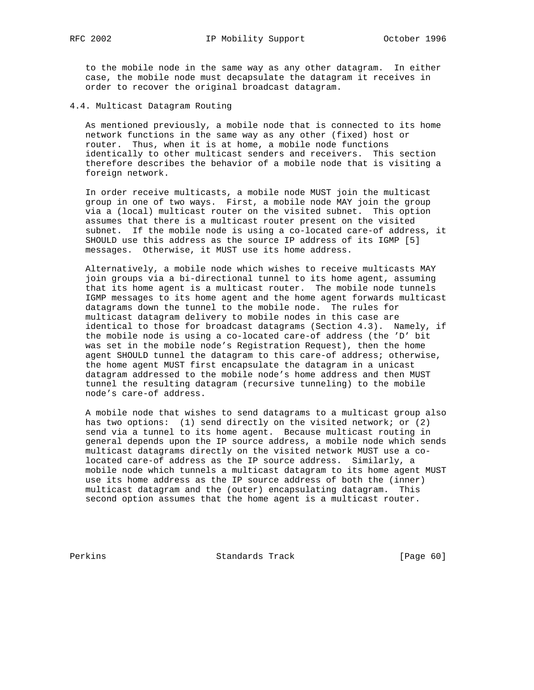to the mobile node in the same way as any other datagram. In either case, the mobile node must decapsulate the datagram it receives in order to recover the original broadcast datagram.

4.4. Multicast Datagram Routing

 As mentioned previously, a mobile node that is connected to its home network functions in the same way as any other (fixed) host or router. Thus, when it is at home, a mobile node functions identically to other multicast senders and receivers. This section therefore describes the behavior of a mobile node that is visiting a foreign network.

 In order receive multicasts, a mobile node MUST join the multicast group in one of two ways. First, a mobile node MAY join the group via a (local) multicast router on the visited subnet. This option assumes that there is a multicast router present on the visited subnet. If the mobile node is using a co-located care-of address, it SHOULD use this address as the source IP address of its IGMP [5] messages. Otherwise, it MUST use its home address.

 Alternatively, a mobile node which wishes to receive multicasts MAY join groups via a bi-directional tunnel to its home agent, assuming that its home agent is a multicast router. The mobile node tunnels IGMP messages to its home agent and the home agent forwards multicast datagrams down the tunnel to the mobile node. The rules for multicast datagram delivery to mobile nodes in this case are identical to those for broadcast datagrams (Section 4.3). Namely, if the mobile node is using a co-located care-of address (the 'D' bit was set in the mobile node's Registration Request), then the home agent SHOULD tunnel the datagram to this care-of address; otherwise, the home agent MUST first encapsulate the datagram in a unicast datagram addressed to the mobile node's home address and then MUST tunnel the resulting datagram (recursive tunneling) to the mobile node's care-of address.

 A mobile node that wishes to send datagrams to a multicast group also has two options: (1) send directly on the visited network; or (2) send via a tunnel to its home agent. Because multicast routing in general depends upon the IP source address, a mobile node which sends multicast datagrams directly on the visited network MUST use a co located care-of address as the IP source address. Similarly, a mobile node which tunnels a multicast datagram to its home agent MUST use its home address as the IP source address of both the (inner) multicast datagram and the (outer) encapsulating datagram. This second option assumes that the home agent is a multicast router.

Perkins **Standards Track** [Page 60]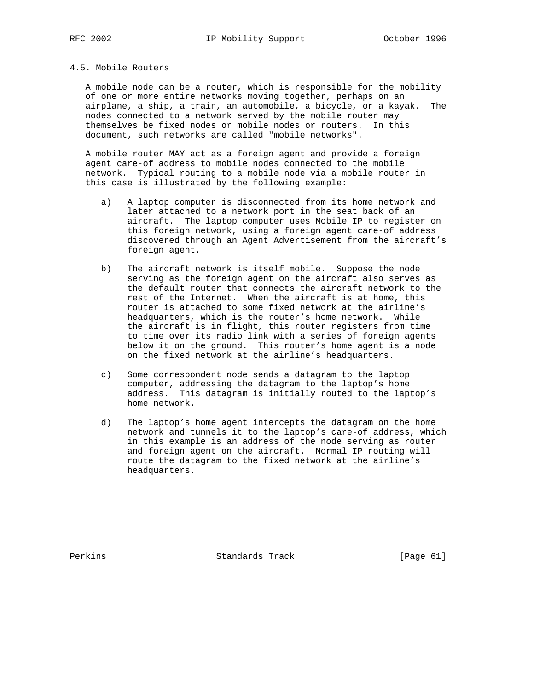## 4.5. Mobile Routers

 A mobile node can be a router, which is responsible for the mobility of one or more entire networks moving together, perhaps on an airplane, a ship, a train, an automobile, a bicycle, or a kayak. The nodes connected to a network served by the mobile router may themselves be fixed nodes or mobile nodes or routers. In this document, such networks are called "mobile networks".

 A mobile router MAY act as a foreign agent and provide a foreign agent care-of address to mobile nodes connected to the mobile network. Typical routing to a mobile node via a mobile router in this case is illustrated by the following example:

- a) A laptop computer is disconnected from its home network and later attached to a network port in the seat back of an aircraft. The laptop computer uses Mobile IP to register on this foreign network, using a foreign agent care-of address discovered through an Agent Advertisement from the aircraft's foreign agent.
- b) The aircraft network is itself mobile. Suppose the node serving as the foreign agent on the aircraft also serves as the default router that connects the aircraft network to the rest of the Internet. When the aircraft is at home, this router is attached to some fixed network at the airline's headquarters, which is the router's home network. While the aircraft is in flight, this router registers from time to time over its radio link with a series of foreign agents below it on the ground. This router's home agent is a node on the fixed network at the airline's headquarters.
- c) Some correspondent node sends a datagram to the laptop computer, addressing the datagram to the laptop's home address. This datagram is initially routed to the laptop's home network.
- d) The laptop's home agent intercepts the datagram on the home network and tunnels it to the laptop's care-of address, which in this example is an address of the node serving as router and foreign agent on the aircraft. Normal IP routing will route the datagram to the fixed network at the airline's headquarters.

Perkins Standards Track [Page 61]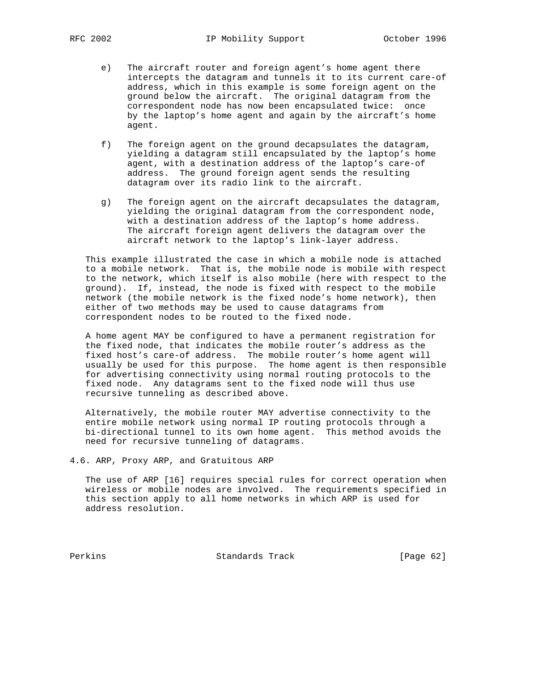- e) The aircraft router and foreign agent's home agent there intercepts the datagram and tunnels it to its current care-of address, which in this example is some foreign agent on the ground below the aircraft. The original datagram from the correspondent node has now been encapsulated twice: once by the laptop's home agent and again by the aircraft's home agent.
- f) The foreign agent on the ground decapsulates the datagram, yielding a datagram still encapsulated by the laptop's home agent, with a destination address of the laptop's care-of address. The ground foreign agent sends the resulting datagram over its radio link to the aircraft.
- g) The foreign agent on the aircraft decapsulates the datagram, yielding the original datagram from the correspondent node, with a destination address of the laptop's home address. The aircraft foreign agent delivers the datagram over the aircraft network to the laptop's link-layer address.

 This example illustrated the case in which a mobile node is attached to a mobile network. That is, the mobile node is mobile with respect to the network, which itself is also mobile (here with respect to the ground). If, instead, the node is fixed with respect to the mobile network (the mobile network is the fixed node's home network), then either of two methods may be used to cause datagrams from correspondent nodes to be routed to the fixed node.

 A home agent MAY be configured to have a permanent registration for the fixed node, that indicates the mobile router's address as the fixed host's care-of address. The mobile router's home agent will usually be used for this purpose. The home agent is then responsible for advertising connectivity using normal routing protocols to the fixed node. Any datagrams sent to the fixed node will thus use recursive tunneling as described above.

 Alternatively, the mobile router MAY advertise connectivity to the entire mobile network using normal IP routing protocols through a bi-directional tunnel to its own home agent. This method avoids the need for recursive tunneling of datagrams.

4.6. ARP, Proxy ARP, and Gratuitous ARP

 The use of ARP [16] requires special rules for correct operation when wireless or mobile nodes are involved. The requirements specified in this section apply to all home networks in which ARP is used for address resolution.

Perkins Standards Track [Page 62]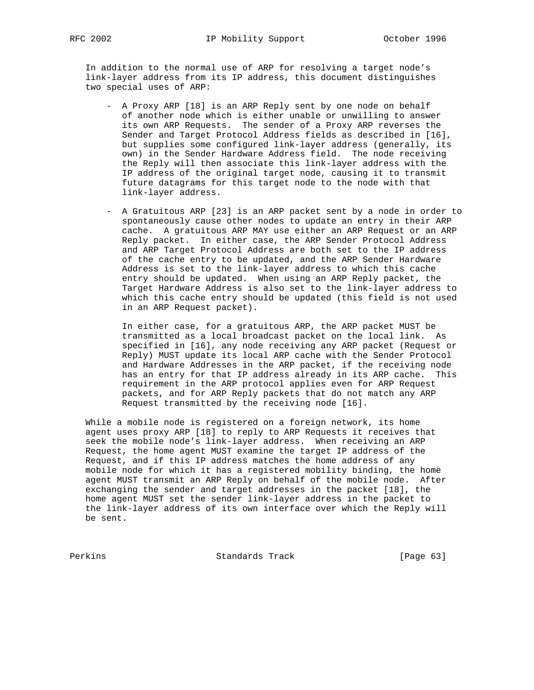In addition to the normal use of ARP for resolving a target node's link-layer address from its IP address, this document distinguishes two special uses of ARP:

- A Proxy ARP [18] is an ARP Reply sent by one node on behalf of another node which is either unable or unwilling to answer its own ARP Requests. The sender of a Proxy ARP reverses the Sender and Target Protocol Address fields as described in [16], but supplies some configured link-layer address (generally, its own) in the Sender Hardware Address field. The node receiving the Reply will then associate this link-layer address with the IP address of the original target node, causing it to transmit future datagrams for this target node to the node with that link-layer address.
- A Gratuitous ARP [23] is an ARP packet sent by a node in order to spontaneously cause other nodes to update an entry in their ARP cache. A gratuitous ARP MAY use either an ARP Request or an ARP Reply packet. In either case, the ARP Sender Protocol Address and ARP Target Protocol Address are both set to the IP address of the cache entry to be updated, and the ARP Sender Hardware Address is set to the link-layer address to which this cache entry should be updated. When using an ARP Reply packet, the Target Hardware Address is also set to the link-layer address to which this cache entry should be updated (this field is not used in an ARP Request packet).

 In either case, for a gratuitous ARP, the ARP packet MUST be transmitted as a local broadcast packet on the local link. As specified in [16], any node receiving any ARP packet (Request or Reply) MUST update its local ARP cache with the Sender Protocol and Hardware Addresses in the ARP packet, if the receiving node has an entry for that IP address already in its ARP cache. This requirement in the ARP protocol applies even for ARP Request packets, and for ARP Reply packets that do not match any ARP Request transmitted by the receiving node [16].

 While a mobile node is registered on a foreign network, its home agent uses proxy ARP [18] to reply to ARP Requests it receives that seek the mobile node's link-layer address. When receiving an ARP Request, the home agent MUST examine the target IP address of the Request, and if this IP address matches the home address of any mobile node for which it has a registered mobility binding, the home agent MUST transmit an ARP Reply on behalf of the mobile node. After exchanging the sender and target addresses in the packet [18], the home agent MUST set the sender link-layer address in the packet to the link-layer address of its own interface over which the Reply will be sent.

Perkins Standards Track [Page 63]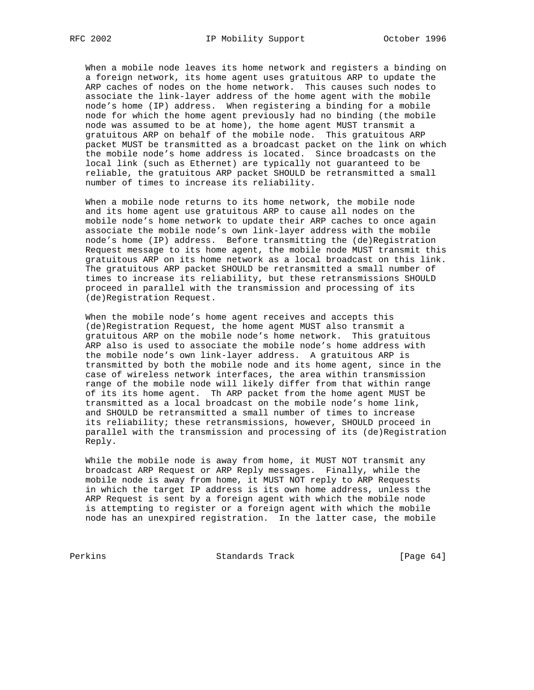When a mobile node leaves its home network and registers a binding on a foreign network, its home agent uses gratuitous ARP to update the ARP caches of nodes on the home network. This causes such nodes to associate the link-layer address of the home agent with the mobile node's home (IP) address. When registering a binding for a mobile node for which the home agent previously had no binding (the mobile node was assumed to be at home), the home agent MUST transmit a gratuitous ARP on behalf of the mobile node. This gratuitous ARP packet MUST be transmitted as a broadcast packet on the link on which the mobile node's home address is located. Since broadcasts on the local link (such as Ethernet) are typically not guaranteed to be reliable, the gratuitous ARP packet SHOULD be retransmitted a small number of times to increase its reliability.

 When a mobile node returns to its home network, the mobile node and its home agent use gratuitous ARP to cause all nodes on the mobile node's home network to update their ARP caches to once again associate the mobile node's own link-layer address with the mobile node's home (IP) address. Before transmitting the (de)Registration Request message to its home agent, the mobile node MUST transmit this gratuitous ARP on its home network as a local broadcast on this link. The gratuitous ARP packet SHOULD be retransmitted a small number of times to increase its reliability, but these retransmissions SHOULD proceed in parallel with the transmission and processing of its (de)Registration Request.

 When the mobile node's home agent receives and accepts this (de)Registration Request, the home agent MUST also transmit a gratuitous ARP on the mobile node's home network. This gratuitous ARP also is used to associate the mobile node's home address with the mobile node's own link-layer address. A gratuitous ARP is transmitted by both the mobile node and its home agent, since in the case of wireless network interfaces, the area within transmission range of the mobile node will likely differ from that within range of its its home agent. Th ARP packet from the home agent MUST be transmitted as a local broadcast on the mobile node's home link, and SHOULD be retransmitted a small number of times to increase its reliability; these retransmissions, however, SHOULD proceed in parallel with the transmission and processing of its (de)Registration Reply.

 While the mobile node is away from home, it MUST NOT transmit any broadcast ARP Request or ARP Reply messages. Finally, while the mobile node is away from home, it MUST NOT reply to ARP Requests in which the target IP address is its own home address, unless the ARP Request is sent by a foreign agent with which the mobile node is attempting to register or a foreign agent with which the mobile node has an unexpired registration. In the latter case, the mobile

Perkins Standards Track [Page 64]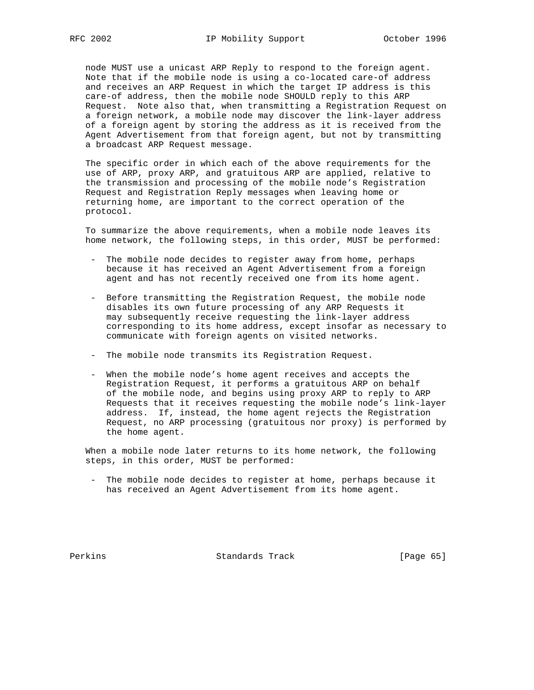node MUST use a unicast ARP Reply to respond to the foreign agent. Note that if the mobile node is using a co-located care-of address and receives an ARP Request in which the target IP address is this care-of address, then the mobile node SHOULD reply to this ARP Request. Note also that, when transmitting a Registration Request on a foreign network, a mobile node may discover the link-layer address of a foreign agent by storing the address as it is received from the Agent Advertisement from that foreign agent, but not by transmitting a broadcast ARP Request message.

 The specific order in which each of the above requirements for the use of ARP, proxy ARP, and gratuitous ARP are applied, relative to the transmission and processing of the mobile node's Registration Request and Registration Reply messages when leaving home or returning home, are important to the correct operation of the protocol.

 To summarize the above requirements, when a mobile node leaves its home network, the following steps, in this order, MUST be performed:

- The mobile node decides to register away from home, perhaps because it has received an Agent Advertisement from a foreign agent and has not recently received one from its home agent.
- Before transmitting the Registration Request, the mobile node disables its own future processing of any ARP Requests it may subsequently receive requesting the link-layer address corresponding to its home address, except insofar as necessary to communicate with foreign agents on visited networks.
- The mobile node transmits its Registration Request.
- When the mobile node's home agent receives and accepts the Registration Request, it performs a gratuitous ARP on behalf of the mobile node, and begins using proxy ARP to reply to ARP Requests that it receives requesting the mobile node's link-layer address. If, instead, the home agent rejects the Registration Request, no ARP processing (gratuitous nor proxy) is performed by the home agent.

 When a mobile node later returns to its home network, the following steps, in this order, MUST be performed:

 - The mobile node decides to register at home, perhaps because it has received an Agent Advertisement from its home agent.

Perkins Standards Track [Page 65]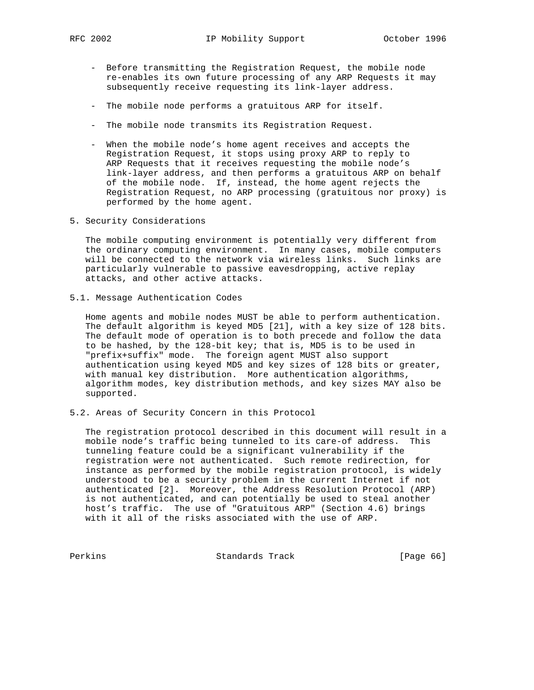- Before transmitting the Registration Request, the mobile node re-enables its own future processing of any ARP Requests it may subsequently receive requesting its link-layer address.
- The mobile node performs a gratuitous ARP for itself.
- The mobile node transmits its Registration Request.
- When the mobile node's home agent receives and accepts the Registration Request, it stops using proxy ARP to reply to ARP Requests that it receives requesting the mobile node's link-layer address, and then performs a gratuitous ARP on behalf of the mobile node. If, instead, the home agent rejects the Registration Request, no ARP processing (gratuitous nor proxy) is performed by the home agent.
- 5. Security Considerations

 The mobile computing environment is potentially very different from the ordinary computing environment. In many cases, mobile computers will be connected to the network via wireless links. Such links are particularly vulnerable to passive eavesdropping, active replay attacks, and other active attacks.

5.1. Message Authentication Codes

 Home agents and mobile nodes MUST be able to perform authentication. The default algorithm is keyed MD5 [21], with a key size of 128 bits. The default mode of operation is to both precede and follow the data to be hashed, by the 128-bit key; that is, MD5 is to be used in "prefix+suffix" mode. The foreign agent MUST also support authentication using keyed MD5 and key sizes of 128 bits or greater, with manual key distribution. More authentication algorithms, algorithm modes, key distribution methods, and key sizes MAY also be supported.

5.2. Areas of Security Concern in this Protocol

 The registration protocol described in this document will result in a mobile node's traffic being tunneled to its care-of address. This tunneling feature could be a significant vulnerability if the registration were not authenticated. Such remote redirection, for instance as performed by the mobile registration protocol, is widely understood to be a security problem in the current Internet if not authenticated [2]. Moreover, the Address Resolution Protocol (ARP) is not authenticated, and can potentially be used to steal another host's traffic. The use of "Gratuitous ARP" (Section 4.6) brings with it all of the risks associated with the use of ARP.

Perkins **Standards Track** [Page 66]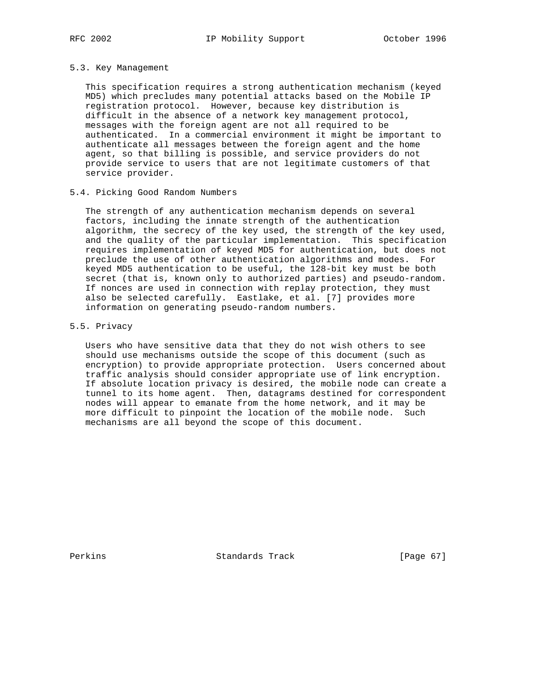## 5.3. Key Management

 This specification requires a strong authentication mechanism (keyed MD5) which precludes many potential attacks based on the Mobile IP registration protocol. However, because key distribution is difficult in the absence of a network key management protocol, messages with the foreign agent are not all required to be authenticated. In a commercial environment it might be important to authenticate all messages between the foreign agent and the home agent, so that billing is possible, and service providers do not provide service to users that are not legitimate customers of that service provider.

#### 5.4. Picking Good Random Numbers

 The strength of any authentication mechanism depends on several factors, including the innate strength of the authentication algorithm, the secrecy of the key used, the strength of the key used, and the quality of the particular implementation. This specification requires implementation of keyed MD5 for authentication, but does not preclude the use of other authentication algorithms and modes. For keyed MD5 authentication to be useful, the 128-bit key must be both secret (that is, known only to authorized parties) and pseudo-random. If nonces are used in connection with replay protection, they must also be selected carefully. Eastlake, et al. [7] provides more information on generating pseudo-random numbers.

## 5.5. Privacy

 Users who have sensitive data that they do not wish others to see should use mechanisms outside the scope of this document (such as encryption) to provide appropriate protection. Users concerned about traffic analysis should consider appropriate use of link encryption. If absolute location privacy is desired, the mobile node can create a tunnel to its home agent. Then, datagrams destined for correspondent nodes will appear to emanate from the home network, and it may be more difficult to pinpoint the location of the mobile node. Such mechanisms are all beyond the scope of this document.

Perkins Standards Track [Page 67]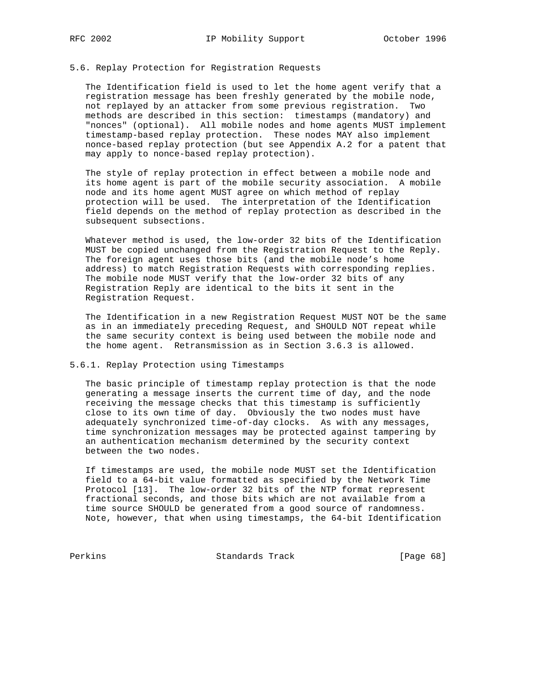# 5.6. Replay Protection for Registration Requests

 The Identification field is used to let the home agent verify that a registration message has been freshly generated by the mobile node, not replayed by an attacker from some previous registration. Two methods are described in this section: timestamps (mandatory) and "nonces" (optional). All mobile nodes and home agents MUST implement timestamp-based replay protection. These nodes MAY also implement nonce-based replay protection (but see Appendix A.2 for a patent that may apply to nonce-based replay protection).

 The style of replay protection in effect between a mobile node and its home agent is part of the mobile security association. A mobile node and its home agent MUST agree on which method of replay protection will be used. The interpretation of the Identification field depends on the method of replay protection as described in the subsequent subsections.

 Whatever method is used, the low-order 32 bits of the Identification MUST be copied unchanged from the Registration Request to the Reply. The foreign agent uses those bits (and the mobile node's home address) to match Registration Requests with corresponding replies. The mobile node MUST verify that the low-order 32 bits of any Registration Reply are identical to the bits it sent in the Registration Request.

 The Identification in a new Registration Request MUST NOT be the same as in an immediately preceding Request, and SHOULD NOT repeat while the same security context is being used between the mobile node and the home agent. Retransmission as in Section 3.6.3 is allowed.

## 5.6.1. Replay Protection using Timestamps

 The basic principle of timestamp replay protection is that the node generating a message inserts the current time of day, and the node receiving the message checks that this timestamp is sufficiently close to its own time of day. Obviously the two nodes must have adequately synchronized time-of-day clocks. As with any messages, time synchronization messages may be protected against tampering by an authentication mechanism determined by the security context between the two nodes.

 If timestamps are used, the mobile node MUST set the Identification field to a 64-bit value formatted as specified by the Network Time Protocol [13]. The low-order 32 bits of the NTP format represent fractional seconds, and those bits which are not available from a time source SHOULD be generated from a good source of randomness. Note, however, that when using timestamps, the 64-bit Identification

Perkins **Standards Track** [Page 68]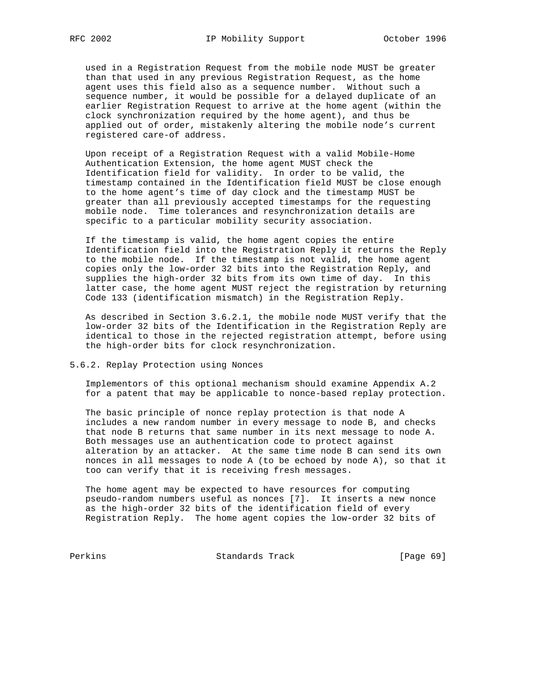used in a Registration Request from the mobile node MUST be greater than that used in any previous Registration Request, as the home agent uses this field also as a sequence number. Without such a sequence number, it would be possible for a delayed duplicate of an earlier Registration Request to arrive at the home agent (within the clock synchronization required by the home agent), and thus be applied out of order, mistakenly altering the mobile node's current registered care-of address.

 Upon receipt of a Registration Request with a valid Mobile-Home Authentication Extension, the home agent MUST check the Identification field for validity. In order to be valid, the timestamp contained in the Identification field MUST be close enough to the home agent's time of day clock and the timestamp MUST be greater than all previously accepted timestamps for the requesting mobile node. Time tolerances and resynchronization details are specific to a particular mobility security association.

 If the timestamp is valid, the home agent copies the entire Identification field into the Registration Reply it returns the Reply to the mobile node. If the timestamp is not valid, the home agent copies only the low-order 32 bits into the Registration Reply, and supplies the high-order 32 bits from its own time of day. In this latter case, the home agent MUST reject the registration by returning Code 133 (identification mismatch) in the Registration Reply.

 As described in Section 3.6.2.1, the mobile node MUST verify that the low-order 32 bits of the Identification in the Registration Reply are identical to those in the rejected registration attempt, before using the high-order bits for clock resynchronization.

### 5.6.2. Replay Protection using Nonces

 Implementors of this optional mechanism should examine Appendix A.2 for a patent that may be applicable to nonce-based replay protection.

 The basic principle of nonce replay protection is that node A includes a new random number in every message to node B, and checks that node B returns that same number in its next message to node A. Both messages use an authentication code to protect against alteration by an attacker. At the same time node B can send its own nonces in all messages to node A (to be echoed by node A), so that it too can verify that it is receiving fresh messages.

 The home agent may be expected to have resources for computing pseudo-random numbers useful as nonces [7]. It inserts a new nonce as the high-order 32 bits of the identification field of every Registration Reply. The home agent copies the low-order 32 bits of

Perkins Standards Track [Page 69]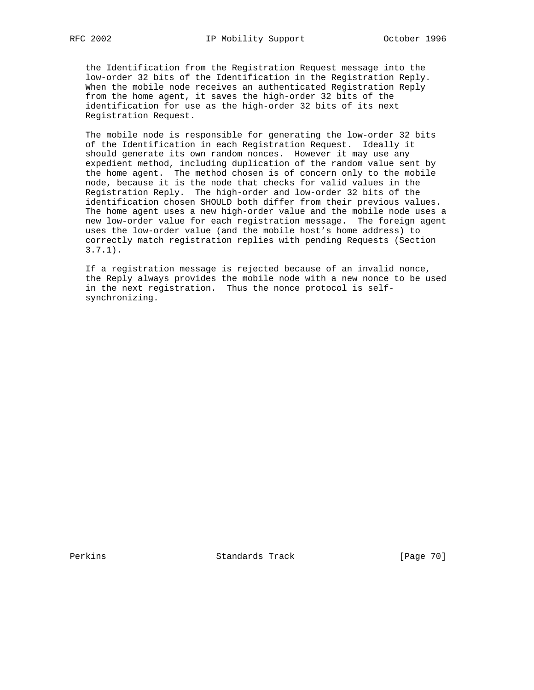the Identification from the Registration Request message into the low-order 32 bits of the Identification in the Registration Reply. When the mobile node receives an authenticated Registration Reply from the home agent, it saves the high-order 32 bits of the identification for use as the high-order 32 bits of its next Registration Request.

 The mobile node is responsible for generating the low-order 32 bits of the Identification in each Registration Request. Ideally it should generate its own random nonces. However it may use any expedient method, including duplication of the random value sent by the home agent. The method chosen is of concern only to the mobile node, because it is the node that checks for valid values in the Registration Reply. The high-order and low-order 32 bits of the identification chosen SHOULD both differ from their previous values. The home agent uses a new high-order value and the mobile node uses a new low-order value for each registration message. The foreign agent uses the low-order value (and the mobile host's home address) to correctly match registration replies with pending Requests (Section 3.7.1).

 If a registration message is rejected because of an invalid nonce, the Reply always provides the mobile node with a new nonce to be used in the next registration. Thus the nonce protocol is self synchronizing.

Perkins **Standards Track** [Page 70]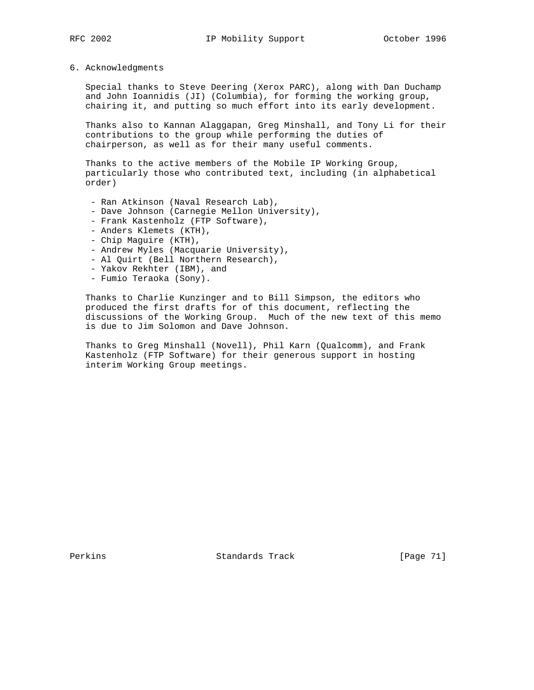- 
- 6. Acknowledgments

 Special thanks to Steve Deering (Xerox PARC), along with Dan Duchamp and John Ioannidis (JI) (Columbia), for forming the working group, chairing it, and putting so much effort into its early development.

 Thanks also to Kannan Alaggapan, Greg Minshall, and Tony Li for their contributions to the group while performing the duties of chairperson, as well as for their many useful comments.

 Thanks to the active members of the Mobile IP Working Group, particularly those who contributed text, including (in alphabetical order)

- Ran Atkinson (Naval Research Lab),
- Dave Johnson (Carnegie Mellon University),
- Frank Kastenholz (FTP Software),
- Anders Klemets (KTH),
- Chip Maguire (KTH),
- Andrew Myles (Macquarie University),
- Al Quirt (Bell Northern Research),
- Yakov Rekhter (IBM), and
- Fumio Teraoka (Sony).

 Thanks to Charlie Kunzinger and to Bill Simpson, the editors who produced the first drafts for of this document, reflecting the discussions of the Working Group. Much of the new text of this memo is due to Jim Solomon and Dave Johnson.

 Thanks to Greg Minshall (Novell), Phil Karn (Qualcomm), and Frank Kastenholz (FTP Software) for their generous support in hosting interim Working Group meetings.

Perkins Standards Track [Page 71]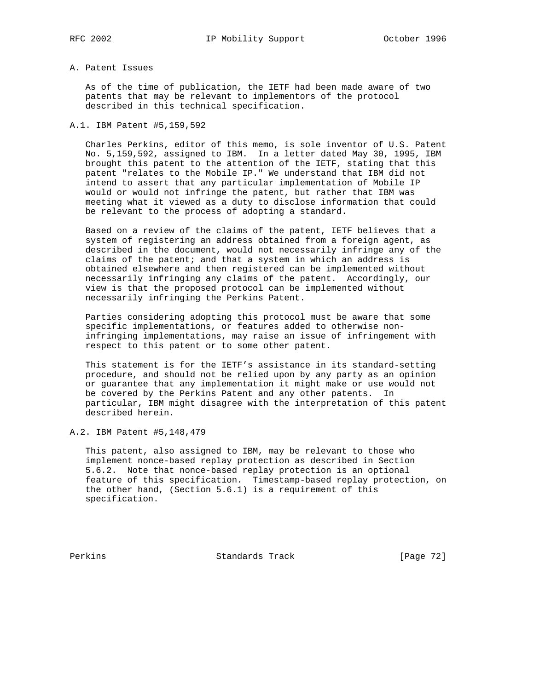## A. Patent Issues

 As of the time of publication, the IETF had been made aware of two patents that may be relevant to implementors of the protocol described in this technical specification.

## A.1. IBM Patent #5,159,592

 Charles Perkins, editor of this memo, is sole inventor of U.S. Patent No. 5,159,592, assigned to IBM. In a letter dated May 30, 1995, IBM brought this patent to the attention of the IETF, stating that this patent "relates to the Mobile IP." We understand that IBM did not intend to assert that any particular implementation of Mobile IP would or would not infringe the patent, but rather that IBM was meeting what it viewed as a duty to disclose information that could be relevant to the process of adopting a standard.

 Based on a review of the claims of the patent, IETF believes that a system of registering an address obtained from a foreign agent, as described in the document, would not necessarily infringe any of the claims of the patent; and that a system in which an address is obtained elsewhere and then registered can be implemented without necessarily infringing any claims of the patent. Accordingly, our view is that the proposed protocol can be implemented without necessarily infringing the Perkins Patent.

 Parties considering adopting this protocol must be aware that some specific implementations, or features added to otherwise non infringing implementations, may raise an issue of infringement with respect to this patent or to some other patent.

 This statement is for the IETF's assistance in its standard-setting procedure, and should not be relied upon by any party as an opinion or guarantee that any implementation it might make or use would not be covered by the Perkins Patent and any other patents. In particular, IBM might disagree with the interpretation of this patent described herein.

A.2. IBM Patent #5,148,479

 This patent, also assigned to IBM, may be relevant to those who implement nonce-based replay protection as described in Section 5.6.2. Note that nonce-based replay protection is an optional feature of this specification. Timestamp-based replay protection, on the other hand, (Section 5.6.1) is a requirement of this specification.

Perkins Standards Track [Page 72]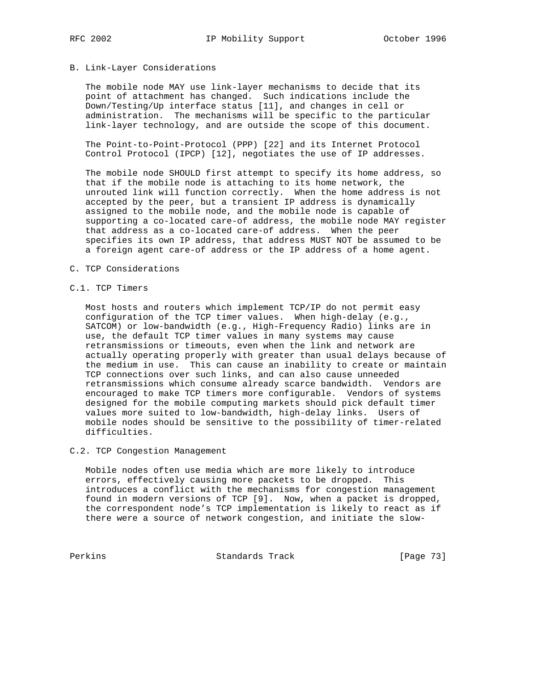# B. Link-Layer Considerations

 The mobile node MAY use link-layer mechanisms to decide that its point of attachment has changed. Such indications include the Down/Testing/Up interface status [11], and changes in cell or administration. The mechanisms will be specific to the particular link-layer technology, and are outside the scope of this document.

 The Point-to-Point-Protocol (PPP) [22] and its Internet Protocol Control Protocol (IPCP) [12], negotiates the use of IP addresses.

 The mobile node SHOULD first attempt to specify its home address, so that if the mobile node is attaching to its home network, the unrouted link will function correctly. When the home address is not accepted by the peer, but a transient IP address is dynamically assigned to the mobile node, and the mobile node is capable of supporting a co-located care-of address, the mobile node MAY register that address as a co-located care-of address. When the peer specifies its own IP address, that address MUST NOT be assumed to be a foreign agent care-of address or the IP address of a home agent.

### C. TCP Considerations

# C.1. TCP Timers

 Most hosts and routers which implement TCP/IP do not permit easy configuration of the TCP timer values. When high-delay (e.g., SATCOM) or low-bandwidth (e.g., High-Frequency Radio) links are in use, the default TCP timer values in many systems may cause retransmissions or timeouts, even when the link and network are actually operating properly with greater than usual delays because of the medium in use. This can cause an inability to create or maintain TCP connections over such links, and can also cause unneeded retransmissions which consume already scarce bandwidth. Vendors are encouraged to make TCP timers more configurable. Vendors of systems designed for the mobile computing markets should pick default timer values more suited to low-bandwidth, high-delay links. Users of mobile nodes should be sensitive to the possibility of timer-related difficulties.

C.2. TCP Congestion Management

 Mobile nodes often use media which are more likely to introduce errors, effectively causing more packets to be dropped. This introduces a conflict with the mechanisms for congestion management found in modern versions of TCP [9]. Now, when a packet is dropped, the correspondent node's TCP implementation is likely to react as if there were a source of network congestion, and initiate the slow-

Perkins Standards Track [Page 73]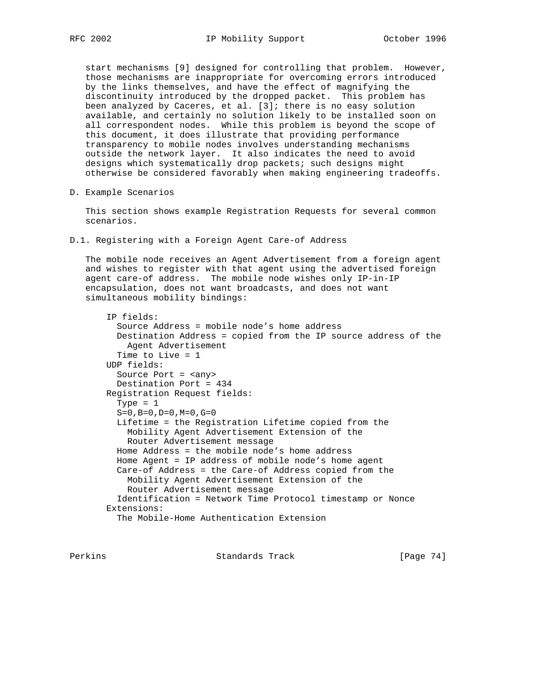start mechanisms [9] designed for controlling that problem. However, those mechanisms are inappropriate for overcoming errors introduced by the links themselves, and have the effect of magnifying the discontinuity introduced by the dropped packet. This problem has been analyzed by Caceres, et al. [3]; there is no easy solution available, and certainly no solution likely to be installed soon on all correspondent nodes. While this problem is beyond the scope of this document, it does illustrate that providing performance transparency to mobile nodes involves understanding mechanisms outside the network layer. It also indicates the need to avoid designs which systematically drop packets; such designs might otherwise be considered favorably when making engineering tradeoffs.

D. Example Scenarios

 This section shows example Registration Requests for several common scenarios.

D.1. Registering with a Foreign Agent Care-of Address

 The mobile node receives an Agent Advertisement from a foreign agent and wishes to register with that agent using the advertised foreign agent care-of address. The mobile node wishes only IP-in-IP encapsulation, does not want broadcasts, and does not want simultaneous mobility bindings:

```
 IP fields:
  Source Address = mobile node's home address
  Destination Address = copied from the IP source address of the
    Agent Advertisement
  Time to Live = 1
UDP fields:
 Source Port = <any>
  Destination Port = 434
Registration Request fields:
 Type = 1S=0, B=0, D=0, M=0, G=0 Lifetime = the Registration Lifetime copied from the
    Mobility Agent Advertisement Extension of the
    Router Advertisement message
  Home Address = the mobile node's home address
  Home Agent = IP address of mobile node's home agent
  Care-of Address = the Care-of Address copied from the
    Mobility Agent Advertisement Extension of the
    Router Advertisement message
  Identification = Network Time Protocol timestamp or Nonce
Extensions:
  The Mobile-Home Authentication Extension
```
Perkins Standards Track [Page 74]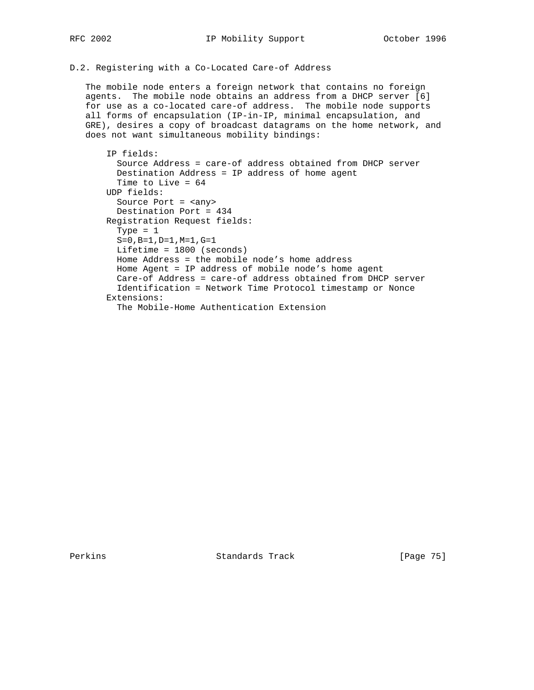### D.2. Registering with a Co-Located Care-of Address

 The mobile node enters a foreign network that contains no foreign agents. The mobile node obtains an address from a DHCP server [6] for use as a co-located care-of address. The mobile node supports all forms of encapsulation (IP-in-IP, minimal encapsulation, and GRE), desires a copy of broadcast datagrams on the home network, and does not want simultaneous mobility bindings:

```
 IP fields:
  Source Address = care-of address obtained from DHCP server
  Destination Address = IP address of home agent
  Time to Live = 64
UDP fields:
  Source Port = <any>
  Destination Port = 434
Registration Request fields:
  Type = 1
 \mbox{S=0} ,<br> \mbox{B=1} , \mbox{D=1} , \mbox{M=1} ,<br> \mbox{G=1} Lifetime = 1800 (seconds)
  Home Address = the mobile node's home address
  Home Agent = IP address of mobile node's home agent
  Care-of Address = care-of address obtained from DHCP server
  Identification = Network Time Protocol timestamp or Nonce
Extensions:
  The Mobile-Home Authentication Extension
```
Perkins **Standards Track** [Page 75]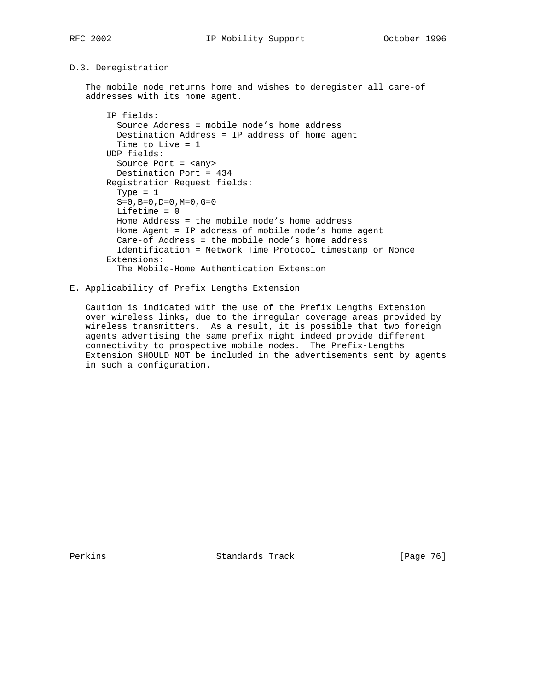# D.3. Deregistration

 The mobile node returns home and wishes to deregister all care-of addresses with its home agent.

```
 IP fields:
 Source Address = mobile node's home address
 Destination Address = IP address of home agent
 Time to Live = 1
UDP fields:
 Source Port = <any>
 Destination Port = 434
Registration Request fields:
 Type = 1 S=0,B=0,D=0,M=0,G=0
 Lifetime = 0
 Home Address = the mobile node's home address
 Home Agent = IP address of mobile node's home agent
 Care-of Address = the mobile node's home address
  Identification = Network Time Protocol timestamp or Nonce
Extensions:
  The Mobile-Home Authentication Extension
```
E. Applicability of Prefix Lengths Extension

 Caution is indicated with the use of the Prefix Lengths Extension over wireless links, due to the irregular coverage areas provided by wireless transmitters. As a result, it is possible that two foreign agents advertising the same prefix might indeed provide different connectivity to prospective mobile nodes. The Prefix-Lengths Extension SHOULD NOT be included in the advertisements sent by agents in such a configuration.

Perkins **Standards Track** [Page 76]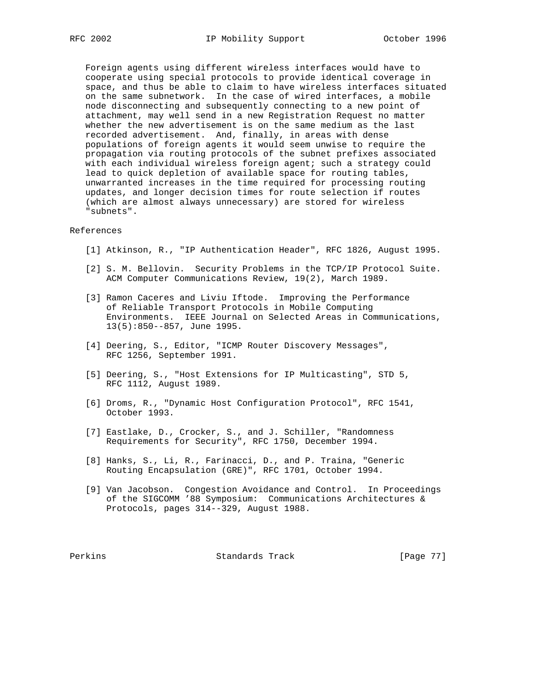Foreign agents using different wireless interfaces would have to cooperate using special protocols to provide identical coverage in space, and thus be able to claim to have wireless interfaces situated on the same subnetwork. In the case of wired interfaces, a mobile node disconnecting and subsequently connecting to a new point of attachment, may well send in a new Registration Request no matter whether the new advertisement is on the same medium as the last recorded advertisement. And, finally, in areas with dense populations of foreign agents it would seem unwise to require the propagation via routing protocols of the subnet prefixes associated with each individual wireless foreign agent; such a strategy could lead to quick depletion of available space for routing tables, unwarranted increases in the time required for processing routing updates, and longer decision times for route selection if routes (which are almost always unnecessary) are stored for wireless "subnets".

## References

- [1] Atkinson, R., "IP Authentication Header", RFC 1826, August 1995.
- [2] S. M. Bellovin. Security Problems in the TCP/IP Protocol Suite. ACM Computer Communications Review, 19(2), March 1989.
- [3] Ramon Caceres and Liviu Iftode. Improving the Performance of Reliable Transport Protocols in Mobile Computing Environments. IEEE Journal on Selected Areas in Communications, 13(5):850--857, June 1995.
- [4] Deering, S., Editor, "ICMP Router Discovery Messages", RFC 1256, September 1991.
- [5] Deering, S., "Host Extensions for IP Multicasting", STD 5, RFC 1112, August 1989.
- [6] Droms, R., "Dynamic Host Configuration Protocol", RFC 1541, October 1993.
- [7] Eastlake, D., Crocker, S., and J. Schiller, "Randomness Requirements for Security", RFC 1750, December 1994.
- [8] Hanks, S., Li, R., Farinacci, D., and P. Traina, "Generic Routing Encapsulation (GRE)", RFC 1701, October 1994.
- [9] Van Jacobson. Congestion Avoidance and Control. In Proceedings of the SIGCOMM '88 Symposium: Communications Architectures & Protocols, pages 314--329, August 1988.

Perkins **Standards Track** [Page 77]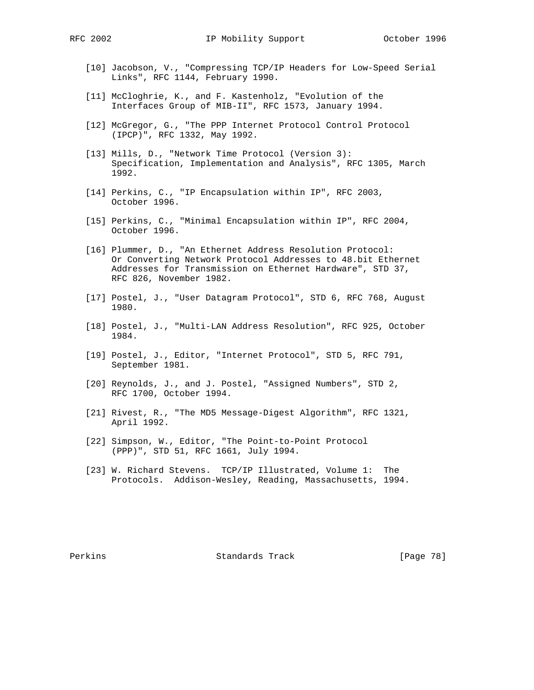- [10] Jacobson, V., "Compressing TCP/IP Headers for Low-Speed Serial Links", RFC 1144, February 1990.
- [11] McCloghrie, K., and F. Kastenholz, "Evolution of the Interfaces Group of MIB-II", RFC 1573, January 1994.
- [12] McGregor, G., "The PPP Internet Protocol Control Protocol (IPCP)", RFC 1332, May 1992.
- [13] Mills, D., "Network Time Protocol (Version 3): Specification, Implementation and Analysis", RFC 1305, March 1992.
- [14] Perkins, C., "IP Encapsulation within IP", RFC 2003, October 1996.
- [15] Perkins, C., "Minimal Encapsulation within IP", RFC 2004, October 1996.
- [16] Plummer, D., "An Ethernet Address Resolution Protocol: Or Converting Network Protocol Addresses to 48.bit Ethernet Addresses for Transmission on Ethernet Hardware", STD 37, RFC 826, November 1982.
- [17] Postel, J., "User Datagram Protocol", STD 6, RFC 768, August 1980.
- [18] Postel, J., "Multi-LAN Address Resolution", RFC 925, October 1984.
- [19] Postel, J., Editor, "Internet Protocol", STD 5, RFC 791, September 1981.
- [20] Reynolds, J., and J. Postel, "Assigned Numbers", STD 2, RFC 1700, October 1994.
- [21] Rivest, R., "The MD5 Message-Digest Algorithm", RFC 1321, April 1992.
- [22] Simpson, W., Editor, "The Point-to-Point Protocol (PPP)", STD 51, RFC 1661, July 1994.
- [23] W. Richard Stevens. TCP/IP Illustrated, Volume 1: The Protocols. Addison-Wesley, Reading, Massachusetts, 1994.

Perkins 6. Standards Track [Page 78]